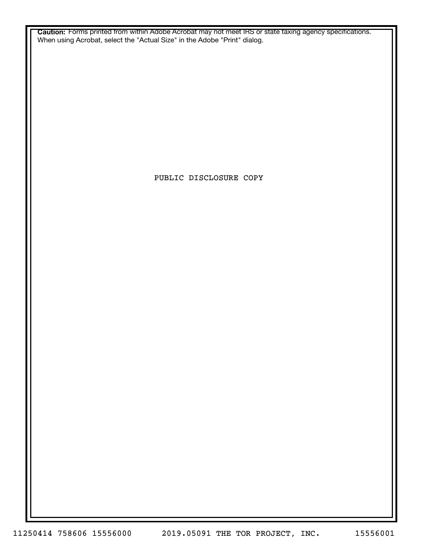**Caution:** Forms printed from within Adobe Acrobat may not meet IRS or state taxing agency specifications. When using Acrobat, select the "Actual Size" in the Adobe "Print" dialog.

PUBLIC DISCLOSURE COPY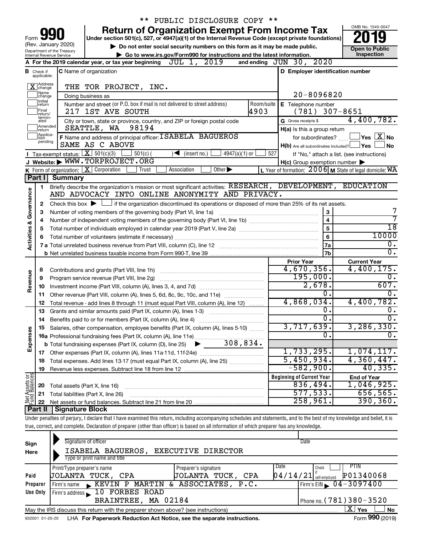|                         |                                  |                                                   | ** PUBLIC DISCLOSURE COPY **                                                                                                                                               |            |                                                              |                                                           |
|-------------------------|----------------------------------|---------------------------------------------------|----------------------------------------------------------------------------------------------------------------------------------------------------------------------------|------------|--------------------------------------------------------------|-----------------------------------------------------------|
|                         |                                  |                                                   | <b>Return of Organization Exempt From Income Tax</b>                                                                                                                       |            |                                                              | OMB No. 1545-0047                                         |
| Form                    |                                  |                                                   | Under section 501(c), 527, or 4947(a)(1) of the Internal Revenue Code (except private foundations)                                                                         |            |                                                              |                                                           |
|                         |                                  | (Rev. January 2020)<br>Department of the Treasury | Do not enter social security numbers on this form as it may be made public.                                                                                                |            |                                                              | <b>Open to Public</b>                                     |
|                         |                                  | Internal Revenue Service                          | Go to www.irs.gov/Form990 for instructions and the latest information.                                                                                                     |            |                                                              | Inspection                                                |
|                         |                                  |                                                   | A For the 2019 calendar year, or tax year beginning JUL 1, 2019                                                                                                            |            | and ending JUN 30, 2020                                      |                                                           |
|                         | <b>B</b> Check if<br>applicable: |                                                   | <b>C</b> Name of organization                                                                                                                                              |            | D Employer identification number                             |                                                           |
|                         | X Address                        |                                                   | THE TOR PROJECT, INC.                                                                                                                                                      |            |                                                              |                                                           |
|                         | Name<br>change                   |                                                   | Doing business as                                                                                                                                                          |            | $20 - 8096820$                                               |                                                           |
|                         | Ilnitial<br>return               |                                                   | Number and street (or P.O. box if mail is not delivered to street address)                                                                                                 | Room/suite | E Telephone number                                           |                                                           |
|                         | Final<br>lreturn/                |                                                   | 217 1ST AVE SOUTH                                                                                                                                                          | 4903       | $(781)$ 307-8651                                             |                                                           |
|                         | termin-<br>ated                  |                                                   | City or town, state or province, country, and ZIP or foreign postal code                                                                                                   |            | G Gross receipts \$                                          | 4,400,782.                                                |
|                         | Amended<br>Ireturn<br>Applica-   |                                                   | SEATTLE, WA<br>98194                                                                                                                                                       |            | H(a) Is this a group return                                  |                                                           |
|                         | tion<br>pending                  |                                                   | F Name and address of principal officer: I SABELA BAGUEROS<br>SAME AS C ABOVE                                                                                              |            | for subordinates?<br>H(b) Are all subordinates included? Ves | $\,$ Yes $\,$ $\rm X$ $\,$ No $\,$<br>∣No                 |
|                         |                                  |                                                   | Tax-exempt status: $X \over 301(c)(3)$<br>$501(c)$ (<br>$4947(a)(1)$ or<br>$\sqrt{\bullet}$ (insert no.)                                                                   | 527        |                                                              | If "No," attach a list. (see instructions)                |
|                         |                                  |                                                   | J Website: WWW.TORPROJECT.ORG                                                                                                                                              |            | $H(c)$ Group exemption number $\blacktriangleright$          |                                                           |
|                         |                                  |                                                   | K Form of organization: $X$ Corporation<br>Association<br>Other $\blacktriangleright$<br>Trust                                                                             |            |                                                              | L Year of formation: $2006$ M State of legal domicile: WA |
|                         | Part I                           | <b>Summary</b>                                    |                                                                                                                                                                            |            |                                                              |                                                           |
|                         | 1                                |                                                   | Briefly describe the organization's mission or most significant activities: RESEARCH, DEVELOPMENT, EDUCATION                                                               |            |                                                              |                                                           |
| Governance              |                                  |                                                   | AND ADVOCACY INTO ONLINE ANONYMITY AND PRIVACY.                                                                                                                            |            |                                                              |                                                           |
|                         | 2                                |                                                   | Check this box $\blacktriangleright$ $\Box$ if the organization discontinued its operations or disposed of more than 25% of its net assets.                                |            |                                                              |                                                           |
|                         | З                                |                                                   | Number of voting members of the governing body (Part VI, line 1a)                                                                                                          |            | 3                                                            | 7                                                         |
|                         | 4                                |                                                   |                                                                                                                                                                            |            | $\overline{\mathbf{4}}$                                      | 7                                                         |
|                         | 5                                |                                                   |                                                                                                                                                                            |            | 5                                                            | $\overline{18}$                                           |
| <b>Activities &amp;</b> | 6                                |                                                   |                                                                                                                                                                            |            | 6                                                            | 10000                                                     |
|                         |                                  |                                                   |                                                                                                                                                                            |            | 7a                                                           | Ο.<br>$\overline{0}$ .                                    |
|                         |                                  |                                                   |                                                                                                                                                                            |            | 7b                                                           |                                                           |
|                         |                                  |                                                   |                                                                                                                                                                            |            | <b>Prior Year</b><br>4,670,356.                              | <b>Current Year</b><br>4,400,175.                         |
| Revenue                 | 8                                |                                                   |                                                                                                                                                                            |            | 195,000.                                                     | $\overline{0}$ .                                          |
|                         | 9                                |                                                   | Program service revenue (Part VIII, line 2g)                                                                                                                               |            | 2,678.                                                       | 607.                                                      |
|                         | 10<br>11                         |                                                   | Other revenue (Part VIII, column (A), lines 5, 6d, 8c, 9c, 10c, and 11e)                                                                                                   |            | 0.                                                           | 0.                                                        |
|                         | 12                               |                                                   | Total revenue - add lines 8 through 11 (must equal Part VIII, column (A), line 12)                                                                                         |            | 4,868,034.                                                   | 4,400,782.                                                |
|                         | 13                               |                                                   | Grants and similar amounts paid (Part IX, column (A), lines 1-3)                                                                                                           |            | 0.                                                           | 0.                                                        |
|                         |                                  |                                                   |                                                                                                                                                                            |            | $\overline{0}$ .                                             | $\overline{0}$ .                                          |
|                         |                                  |                                                   | Salaries, other compensation, employee benefits (Part IX, column (A), lines 5-10)                                                                                          |            | 3,717,639.                                                   | 3,286,330.                                                |
| Expenses                |                                  |                                                   |                                                                                                                                                                            |            | $\overline{0}$ .                                             | σ.                                                        |
|                         |                                  |                                                   | 308,834.<br><b>b</b> Total fundraising expenses (Part IX, column (D), line 25)                                                                                             |            |                                                              |                                                           |
|                         |                                  |                                                   |                                                                                                                                                                            |            | 1,733,295.                                                   | 1,074,117.                                                |
|                         | 18                               |                                                   | Total expenses. Add lines 13-17 (must equal Part IX, column (A), line 25)                                                                                                  |            | 5,450,934.                                                   | 4,360,447.                                                |
|                         | 19                               |                                                   |                                                                                                                                                                            |            | $-582,900.$                                                  | 40,335.                                                   |
| Net Assets or           |                                  |                                                   |                                                                                                                                                                            |            | <b>Beginning of Current Year</b>                             | <b>End of Year</b>                                        |
|                         | 20                               | Total assets (Part X, line 16)                    |                                                                                                                                                                            |            | 836,494.                                                     | 1,046,925.                                                |
|                         | 21                               |                                                   | Total liabilities (Part X, line 26)                                                                                                                                        |            | 577, 533.                                                    | 656, 565.                                                 |
|                         | 22                               |                                                   |                                                                                                                                                                            |            | 258,961.                                                     | 390, 360.                                                 |
|                         | Part II                          | Signature Block                                   |                                                                                                                                                                            |            |                                                              |                                                           |
|                         |                                  |                                                   | Under penalties of perjury, I declare that I have examined this return, including accompanying schedules and statements, and to the best of my knowledge and belief, it is |            |                                                              |                                                           |
|                         |                                  |                                                   | true, correct, and complete. Declaration of preparer (other than officer) is based on all information of which preparer has any knowledge.                                 |            |                                                              |                                                           |
|                         |                                  |                                                   | Signature of officer                                                                                                                                                       |            | Date                                                         |                                                           |
| Sign                    |                                  |                                                   |                                                                                                                                                                            |            |                                                              |                                                           |
| Here                    |                                  |                                                   | ISABELA BAGUEROS, EXECUTIVE DIRECTOR                                                                                                                                       |            |                                                              |                                                           |

| Here            | ISABELA BAGUEROS,                                                                                           | EXECUTIVE DIRECTOR   |                                                                                   |  |  |  |  |  |
|-----------------|-------------------------------------------------------------------------------------------------------------|----------------------|-----------------------------------------------------------------------------------|--|--|--|--|--|
|                 | Type or print name and title                                                                                |                      |                                                                                   |  |  |  |  |  |
|                 | Print/Type preparer's name                                                                                  | Preparer's signature | Date<br>PHN<br>Check                                                              |  |  |  |  |  |
| Paid            | JOLANTA TUCK, CPA                                                                                           | JOLANTA TUCK,<br>CPA | P01340068<br>$\left[0\,4\,/\,1\,4\,/\,2\,1\right]$ $_{\rm self-emoloved}^{\rm w}$ |  |  |  |  |  |
| Preparer        | Firm's name KEVIN P MARTIN & ASSOCIATES, P.C.                                                               |                      | $\frac{1}{2}$ Firm's EIN $\frac{0.4 - 3097400}{0.000}$                            |  |  |  |  |  |
| <b>Use Only</b> | Firm's address 10 FORBES ROAD                                                                               |                      |                                                                                   |  |  |  |  |  |
|                 | BRAINTREE, MA 02184                                                                                         |                      | Phone no. (781) 380-3520                                                          |  |  |  |  |  |
|                 | ΧI<br><b>No</b><br>Yes<br>May the IRS discuss this return with the preparer shown above? (see instructions) |                      |                                                                                   |  |  |  |  |  |
|                 |                                                                                                             |                      |                                                                                   |  |  |  |  |  |

932001 01-20-20 **For Paperwork Reduction Act Notice, see the separate instructions.** LHA Form (2019)

Form **990** (2019)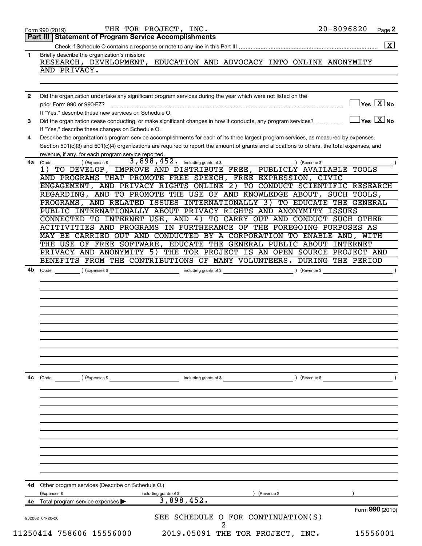| Briefly describe the organization's mission:<br>1<br>AND PRIVACY.<br>Did the organization undertake any significant program services during the year which were not listed on the<br>$\mathbf{2}$<br>If "Yes," describe these new services on Schedule O.<br>Did the organization cease conducting, or make significant changes in how it conducts, any program services?<br>3<br>If "Yes," describe these changes on Schedule O.<br>Describe the organization's program service accomplishments for each of its three largest program services, as measured by expenses.<br>4<br>Section 501(c)(3) and 501(c)(4) organizations are required to report the amount of grants and allocations to others, the total expenses, and<br>revenue, if any, for each program service reported.<br>3,898,452. including grants of \$<br>(Expenses \$<br>) (Revenue \$<br>4a<br>(Code:<br>1) TO DEVELOP, IMPROVE AND DISTRIBUTE FREE, PUBLICLY AVAILABLE TOOLS<br>AND PROGRAMS THAT PROMOTE FREE SPEECH, FREE EXPRESSION, CIVIC<br>ENGAGEMENT, AND PRIVACY RIGHTS ONLINE 2) TO CONDUCT SCIENTIFIC RESEARCH<br>REGARDING, AND TO PROMOTE THE USE OF AND KNOWLEDGE ABOUT, SUCH TOOLS,<br>PROGRAMS, AND RELATED ISSUES INTERNATIONALLY 3) TO EDUCATE THE GENERAL<br>PUBLIC INTERNATIONALLY ABOUT PRIVACY RIGHTS AND ANONYMITY ISSUES<br>CONNECTED TO INTERNET USE, AND 4) TO CARRY OUT AND CONDUCT SUCH OTHER<br>ACITIVITIES AND PROGRAMS IN FURTHERANCE OF THE FOREGOING PURPOSES AS<br>MAY BE CARRIED OUT AND CONDUCTED BY A CORPORATION TO ENABLE AND, WITH<br>THE USE OF FREE SOFTWARE, EDUCATE THE GENERAL PUBLIC ABOUT INTERNET<br>PRIVACY AND ANONYMITY 5) THE TOR PROJECT IS AN OPEN SOURCE PROJECT AND<br>BENEFITS FROM THE CONTRIBUTIONS OF MANY VOLUNTEERS. DURING THE PERIOD<br>(Code: ) (Expenses \$<br>including grants of \$ (Revenue \$)<br>4b<br>) (Revenue \$<br>4с<br>(Code: ) (Expenses \$<br>including grants of \$<br>4d Other program services (Describe on Schedule O.)<br>(Expenses \$<br>) (Revenue \$<br>including grants of \$<br>3,898,452.<br>Total program service expenses<br>4е<br>SEE SCHEDULE O FOR CONTINUATION(S)<br>932002 01-20-20 | Part III   Statement of Program Service Accomplishments             |
|-------------------------------------------------------------------------------------------------------------------------------------------------------------------------------------------------------------------------------------------------------------------------------------------------------------------------------------------------------------------------------------------------------------------------------------------------------------------------------------------------------------------------------------------------------------------------------------------------------------------------------------------------------------------------------------------------------------------------------------------------------------------------------------------------------------------------------------------------------------------------------------------------------------------------------------------------------------------------------------------------------------------------------------------------------------------------------------------------------------------------------------------------------------------------------------------------------------------------------------------------------------------------------------------------------------------------------------------------------------------------------------------------------------------------------------------------------------------------------------------------------------------------------------------------------------------------------------------------------------------------------------------------------------------------------------------------------------------------------------------------------------------------------------------------------------------------------------------------------------------------------------------------------------------------------------------------------------------------------------------------------------------------------------------------------------------------------------------------------------------------------------------------------------|---------------------------------------------------------------------|
|                                                                                                                                                                                                                                                                                                                                                                                                                                                                                                                                                                                                                                                                                                                                                                                                                                                                                                                                                                                                                                                                                                                                                                                                                                                                                                                                                                                                                                                                                                                                                                                                                                                                                                                                                                                                                                                                                                                                                                                                                                                                                                                                                             |                                                                     |
|                                                                                                                                                                                                                                                                                                                                                                                                                                                                                                                                                                                                                                                                                                                                                                                                                                                                                                                                                                                                                                                                                                                                                                                                                                                                                                                                                                                                                                                                                                                                                                                                                                                                                                                                                                                                                                                                                                                                                                                                                                                                                                                                                             |                                                                     |
|                                                                                                                                                                                                                                                                                                                                                                                                                                                                                                                                                                                                                                                                                                                                                                                                                                                                                                                                                                                                                                                                                                                                                                                                                                                                                                                                                                                                                                                                                                                                                                                                                                                                                                                                                                                                                                                                                                                                                                                                                                                                                                                                                             | RESEARCH, DEVELOPMENT, EDUCATION AND ADVOCACY INTO ONLINE ANONYMITY |
|                                                                                                                                                                                                                                                                                                                                                                                                                                                                                                                                                                                                                                                                                                                                                                                                                                                                                                                                                                                                                                                                                                                                                                                                                                                                                                                                                                                                                                                                                                                                                                                                                                                                                                                                                                                                                                                                                                                                                                                                                                                                                                                                                             |                                                                     |
|                                                                                                                                                                                                                                                                                                                                                                                                                                                                                                                                                                                                                                                                                                                                                                                                                                                                                                                                                                                                                                                                                                                                                                                                                                                                                                                                                                                                                                                                                                                                                                                                                                                                                                                                                                                                                                                                                                                                                                                                                                                                                                                                                             |                                                                     |
|                                                                                                                                                                                                                                                                                                                                                                                                                                                                                                                                                                                                                                                                                                                                                                                                                                                                                                                                                                                                                                                                                                                                                                                                                                                                                                                                                                                                                                                                                                                                                                                                                                                                                                                                                                                                                                                                                                                                                                                                                                                                                                                                                             |                                                                     |
|                                                                                                                                                                                                                                                                                                                                                                                                                                                                                                                                                                                                                                                                                                                                                                                                                                                                                                                                                                                                                                                                                                                                                                                                                                                                                                                                                                                                                                                                                                                                                                                                                                                                                                                                                                                                                                                                                                                                                                                                                                                                                                                                                             | $\Box$ Yes $[\overline{\mathrm{X}}]$ No                             |
|                                                                                                                                                                                                                                                                                                                                                                                                                                                                                                                                                                                                                                                                                                                                                                                                                                                                                                                                                                                                                                                                                                                                                                                                                                                                                                                                                                                                                                                                                                                                                                                                                                                                                                                                                                                                                                                                                                                                                                                                                                                                                                                                                             |                                                                     |
|                                                                                                                                                                                                                                                                                                                                                                                                                                                                                                                                                                                                                                                                                                                                                                                                                                                                                                                                                                                                                                                                                                                                                                                                                                                                                                                                                                                                                                                                                                                                                                                                                                                                                                                                                                                                                                                                                                                                                                                                                                                                                                                                                             | $\Box$ Yes $[\overline{\mathrm{X}}]$ No                             |
|                                                                                                                                                                                                                                                                                                                                                                                                                                                                                                                                                                                                                                                                                                                                                                                                                                                                                                                                                                                                                                                                                                                                                                                                                                                                                                                                                                                                                                                                                                                                                                                                                                                                                                                                                                                                                                                                                                                                                                                                                                                                                                                                                             |                                                                     |
|                                                                                                                                                                                                                                                                                                                                                                                                                                                                                                                                                                                                                                                                                                                                                                                                                                                                                                                                                                                                                                                                                                                                                                                                                                                                                                                                                                                                                                                                                                                                                                                                                                                                                                                                                                                                                                                                                                                                                                                                                                                                                                                                                             |                                                                     |
|                                                                                                                                                                                                                                                                                                                                                                                                                                                                                                                                                                                                                                                                                                                                                                                                                                                                                                                                                                                                                                                                                                                                                                                                                                                                                                                                                                                                                                                                                                                                                                                                                                                                                                                                                                                                                                                                                                                                                                                                                                                                                                                                                             |                                                                     |
|                                                                                                                                                                                                                                                                                                                                                                                                                                                                                                                                                                                                                                                                                                                                                                                                                                                                                                                                                                                                                                                                                                                                                                                                                                                                                                                                                                                                                                                                                                                                                                                                                                                                                                                                                                                                                                                                                                                                                                                                                                                                                                                                                             |                                                                     |
|                                                                                                                                                                                                                                                                                                                                                                                                                                                                                                                                                                                                                                                                                                                                                                                                                                                                                                                                                                                                                                                                                                                                                                                                                                                                                                                                                                                                                                                                                                                                                                                                                                                                                                                                                                                                                                                                                                                                                                                                                                                                                                                                                             |                                                                     |
|                                                                                                                                                                                                                                                                                                                                                                                                                                                                                                                                                                                                                                                                                                                                                                                                                                                                                                                                                                                                                                                                                                                                                                                                                                                                                                                                                                                                                                                                                                                                                                                                                                                                                                                                                                                                                                                                                                                                                                                                                                                                                                                                                             |                                                                     |
|                                                                                                                                                                                                                                                                                                                                                                                                                                                                                                                                                                                                                                                                                                                                                                                                                                                                                                                                                                                                                                                                                                                                                                                                                                                                                                                                                                                                                                                                                                                                                                                                                                                                                                                                                                                                                                                                                                                                                                                                                                                                                                                                                             |                                                                     |
|                                                                                                                                                                                                                                                                                                                                                                                                                                                                                                                                                                                                                                                                                                                                                                                                                                                                                                                                                                                                                                                                                                                                                                                                                                                                                                                                                                                                                                                                                                                                                                                                                                                                                                                                                                                                                                                                                                                                                                                                                                                                                                                                                             |                                                                     |
|                                                                                                                                                                                                                                                                                                                                                                                                                                                                                                                                                                                                                                                                                                                                                                                                                                                                                                                                                                                                                                                                                                                                                                                                                                                                                                                                                                                                                                                                                                                                                                                                                                                                                                                                                                                                                                                                                                                                                                                                                                                                                                                                                             |                                                                     |
|                                                                                                                                                                                                                                                                                                                                                                                                                                                                                                                                                                                                                                                                                                                                                                                                                                                                                                                                                                                                                                                                                                                                                                                                                                                                                                                                                                                                                                                                                                                                                                                                                                                                                                                                                                                                                                                                                                                                                                                                                                                                                                                                                             |                                                                     |
|                                                                                                                                                                                                                                                                                                                                                                                                                                                                                                                                                                                                                                                                                                                                                                                                                                                                                                                                                                                                                                                                                                                                                                                                                                                                                                                                                                                                                                                                                                                                                                                                                                                                                                                                                                                                                                                                                                                                                                                                                                                                                                                                                             |                                                                     |
|                                                                                                                                                                                                                                                                                                                                                                                                                                                                                                                                                                                                                                                                                                                                                                                                                                                                                                                                                                                                                                                                                                                                                                                                                                                                                                                                                                                                                                                                                                                                                                                                                                                                                                                                                                                                                                                                                                                                                                                                                                                                                                                                                             |                                                                     |
|                                                                                                                                                                                                                                                                                                                                                                                                                                                                                                                                                                                                                                                                                                                                                                                                                                                                                                                                                                                                                                                                                                                                                                                                                                                                                                                                                                                                                                                                                                                                                                                                                                                                                                                                                                                                                                                                                                                                                                                                                                                                                                                                                             |                                                                     |
|                                                                                                                                                                                                                                                                                                                                                                                                                                                                                                                                                                                                                                                                                                                                                                                                                                                                                                                                                                                                                                                                                                                                                                                                                                                                                                                                                                                                                                                                                                                                                                                                                                                                                                                                                                                                                                                                                                                                                                                                                                                                                                                                                             |                                                                     |
|                                                                                                                                                                                                                                                                                                                                                                                                                                                                                                                                                                                                                                                                                                                                                                                                                                                                                                                                                                                                                                                                                                                                                                                                                                                                                                                                                                                                                                                                                                                                                                                                                                                                                                                                                                                                                                                                                                                                                                                                                                                                                                                                                             |                                                                     |
|                                                                                                                                                                                                                                                                                                                                                                                                                                                                                                                                                                                                                                                                                                                                                                                                                                                                                                                                                                                                                                                                                                                                                                                                                                                                                                                                                                                                                                                                                                                                                                                                                                                                                                                                                                                                                                                                                                                                                                                                                                                                                                                                                             |                                                                     |
|                                                                                                                                                                                                                                                                                                                                                                                                                                                                                                                                                                                                                                                                                                                                                                                                                                                                                                                                                                                                                                                                                                                                                                                                                                                                                                                                                                                                                                                                                                                                                                                                                                                                                                                                                                                                                                                                                                                                                                                                                                                                                                                                                             |                                                                     |
|                                                                                                                                                                                                                                                                                                                                                                                                                                                                                                                                                                                                                                                                                                                                                                                                                                                                                                                                                                                                                                                                                                                                                                                                                                                                                                                                                                                                                                                                                                                                                                                                                                                                                                                                                                                                                                                                                                                                                                                                                                                                                                                                                             |                                                                     |
|                                                                                                                                                                                                                                                                                                                                                                                                                                                                                                                                                                                                                                                                                                                                                                                                                                                                                                                                                                                                                                                                                                                                                                                                                                                                                                                                                                                                                                                                                                                                                                                                                                                                                                                                                                                                                                                                                                                                                                                                                                                                                                                                                             |                                                                     |
|                                                                                                                                                                                                                                                                                                                                                                                                                                                                                                                                                                                                                                                                                                                                                                                                                                                                                                                                                                                                                                                                                                                                                                                                                                                                                                                                                                                                                                                                                                                                                                                                                                                                                                                                                                                                                                                                                                                                                                                                                                                                                                                                                             |                                                                     |
|                                                                                                                                                                                                                                                                                                                                                                                                                                                                                                                                                                                                                                                                                                                                                                                                                                                                                                                                                                                                                                                                                                                                                                                                                                                                                                                                                                                                                                                                                                                                                                                                                                                                                                                                                                                                                                                                                                                                                                                                                                                                                                                                                             |                                                                     |
|                                                                                                                                                                                                                                                                                                                                                                                                                                                                                                                                                                                                                                                                                                                                                                                                                                                                                                                                                                                                                                                                                                                                                                                                                                                                                                                                                                                                                                                                                                                                                                                                                                                                                                                                                                                                                                                                                                                                                                                                                                                                                                                                                             |                                                                     |
|                                                                                                                                                                                                                                                                                                                                                                                                                                                                                                                                                                                                                                                                                                                                                                                                                                                                                                                                                                                                                                                                                                                                                                                                                                                                                                                                                                                                                                                                                                                                                                                                                                                                                                                                                                                                                                                                                                                                                                                                                                                                                                                                                             |                                                                     |
|                                                                                                                                                                                                                                                                                                                                                                                                                                                                                                                                                                                                                                                                                                                                                                                                                                                                                                                                                                                                                                                                                                                                                                                                                                                                                                                                                                                                                                                                                                                                                                                                                                                                                                                                                                                                                                                                                                                                                                                                                                                                                                                                                             |                                                                     |
|                                                                                                                                                                                                                                                                                                                                                                                                                                                                                                                                                                                                                                                                                                                                                                                                                                                                                                                                                                                                                                                                                                                                                                                                                                                                                                                                                                                                                                                                                                                                                                                                                                                                                                                                                                                                                                                                                                                                                                                                                                                                                                                                                             |                                                                     |
|                                                                                                                                                                                                                                                                                                                                                                                                                                                                                                                                                                                                                                                                                                                                                                                                                                                                                                                                                                                                                                                                                                                                                                                                                                                                                                                                                                                                                                                                                                                                                                                                                                                                                                                                                                                                                                                                                                                                                                                                                                                                                                                                                             |                                                                     |
|                                                                                                                                                                                                                                                                                                                                                                                                                                                                                                                                                                                                                                                                                                                                                                                                                                                                                                                                                                                                                                                                                                                                                                                                                                                                                                                                                                                                                                                                                                                                                                                                                                                                                                                                                                                                                                                                                                                                                                                                                                                                                                                                                             |                                                                     |
|                                                                                                                                                                                                                                                                                                                                                                                                                                                                                                                                                                                                                                                                                                                                                                                                                                                                                                                                                                                                                                                                                                                                                                                                                                                                                                                                                                                                                                                                                                                                                                                                                                                                                                                                                                                                                                                                                                                                                                                                                                                                                                                                                             |                                                                     |
|                                                                                                                                                                                                                                                                                                                                                                                                                                                                                                                                                                                                                                                                                                                                                                                                                                                                                                                                                                                                                                                                                                                                                                                                                                                                                                                                                                                                                                                                                                                                                                                                                                                                                                                                                                                                                                                                                                                                                                                                                                                                                                                                                             |                                                                     |
|                                                                                                                                                                                                                                                                                                                                                                                                                                                                                                                                                                                                                                                                                                                                                                                                                                                                                                                                                                                                                                                                                                                                                                                                                                                                                                                                                                                                                                                                                                                                                                                                                                                                                                                                                                                                                                                                                                                                                                                                                                                                                                                                                             |                                                                     |
|                                                                                                                                                                                                                                                                                                                                                                                                                                                                                                                                                                                                                                                                                                                                                                                                                                                                                                                                                                                                                                                                                                                                                                                                                                                                                                                                                                                                                                                                                                                                                                                                                                                                                                                                                                                                                                                                                                                                                                                                                                                                                                                                                             |                                                                     |
|                                                                                                                                                                                                                                                                                                                                                                                                                                                                                                                                                                                                                                                                                                                                                                                                                                                                                                                                                                                                                                                                                                                                                                                                                                                                                                                                                                                                                                                                                                                                                                                                                                                                                                                                                                                                                                                                                                                                                                                                                                                                                                                                                             |                                                                     |
|                                                                                                                                                                                                                                                                                                                                                                                                                                                                                                                                                                                                                                                                                                                                                                                                                                                                                                                                                                                                                                                                                                                                                                                                                                                                                                                                                                                                                                                                                                                                                                                                                                                                                                                                                                                                                                                                                                                                                                                                                                                                                                                                                             |                                                                     |
|                                                                                                                                                                                                                                                                                                                                                                                                                                                                                                                                                                                                                                                                                                                                                                                                                                                                                                                                                                                                                                                                                                                                                                                                                                                                                                                                                                                                                                                                                                                                                                                                                                                                                                                                                                                                                                                                                                                                                                                                                                                                                                                                                             |                                                                     |
|                                                                                                                                                                                                                                                                                                                                                                                                                                                                                                                                                                                                                                                                                                                                                                                                                                                                                                                                                                                                                                                                                                                                                                                                                                                                                                                                                                                                                                                                                                                                                                                                                                                                                                                                                                                                                                                                                                                                                                                                                                                                                                                                                             |                                                                     |
|                                                                                                                                                                                                                                                                                                                                                                                                                                                                                                                                                                                                                                                                                                                                                                                                                                                                                                                                                                                                                                                                                                                                                                                                                                                                                                                                                                                                                                                                                                                                                                                                                                                                                                                                                                                                                                                                                                                                                                                                                                                                                                                                                             |                                                                     |
|                                                                                                                                                                                                                                                                                                                                                                                                                                                                                                                                                                                                                                                                                                                                                                                                                                                                                                                                                                                                                                                                                                                                                                                                                                                                                                                                                                                                                                                                                                                                                                                                                                                                                                                                                                                                                                                                                                                                                                                                                                                                                                                                                             |                                                                     |
|                                                                                                                                                                                                                                                                                                                                                                                                                                                                                                                                                                                                                                                                                                                                                                                                                                                                                                                                                                                                                                                                                                                                                                                                                                                                                                                                                                                                                                                                                                                                                                                                                                                                                                                                                                                                                                                                                                                                                                                                                                                                                                                                                             |                                                                     |
|                                                                                                                                                                                                                                                                                                                                                                                                                                                                                                                                                                                                                                                                                                                                                                                                                                                                                                                                                                                                                                                                                                                                                                                                                                                                                                                                                                                                                                                                                                                                                                                                                                                                                                                                                                                                                                                                                                                                                                                                                                                                                                                                                             |                                                                     |
|                                                                                                                                                                                                                                                                                                                                                                                                                                                                                                                                                                                                                                                                                                                                                                                                                                                                                                                                                                                                                                                                                                                                                                                                                                                                                                                                                                                                                                                                                                                                                                                                                                                                                                                                                                                                                                                                                                                                                                                                                                                                                                                                                             |                                                                     |
|                                                                                                                                                                                                                                                                                                                                                                                                                                                                                                                                                                                                                                                                                                                                                                                                                                                                                                                                                                                                                                                                                                                                                                                                                                                                                                                                                                                                                                                                                                                                                                                                                                                                                                                                                                                                                                                                                                                                                                                                                                                                                                                                                             | Form 990 (2019)                                                     |
|                                                                                                                                                                                                                                                                                                                                                                                                                                                                                                                                                                                                                                                                                                                                                                                                                                                                                                                                                                                                                                                                                                                                                                                                                                                                                                                                                                                                                                                                                                                                                                                                                                                                                                                                                                                                                                                                                                                                                                                                                                                                                                                                                             |                                                                     |
|                                                                                                                                                                                                                                                                                                                                                                                                                                                                                                                                                                                                                                                                                                                                                                                                                                                                                                                                                                                                                                                                                                                                                                                                                                                                                                                                                                                                                                                                                                                                                                                                                                                                                                                                                                                                                                                                                                                                                                                                                                                                                                                                                             |                                                                     |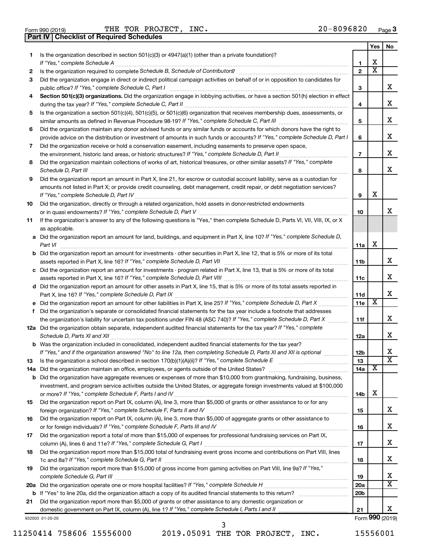|  | Form 990 (2019)<br><b>Part IV   Checklist of Required Schedules</b> |  |  |
|--|---------------------------------------------------------------------|--|--|
|  |                                                                     |  |  |

Form 990 (2019)  $\begin{array}{cccc} \text{THE} & \text{TOR} & \text{PROJECT.}} \end{array}$  MC  $\begin{array}{cccc} \text{NIC.} \end{array}$  20 – 8096820  $\begin{array}{cccc} \text{Page} & \text{P}_1 \end{array}$ 

|     |                                                                                                                                                                                                                                                   |                 | Yes                     | No                      |
|-----|---------------------------------------------------------------------------------------------------------------------------------------------------------------------------------------------------------------------------------------------------|-----------------|-------------------------|-------------------------|
| 1   | Is the organization described in section $501(c)(3)$ or $4947(a)(1)$ (other than a private foundation)?                                                                                                                                           |                 |                         |                         |
|     | If "Yes," complete Schedule A                                                                                                                                                                                                                     | 1               | х                       |                         |
| 2   |                                                                                                                                                                                                                                                   | $\mathbf{2}$    | $\overline{\textbf{x}}$ |                         |
| 3   | Did the organization engage in direct or indirect political campaign activities on behalf of or in opposition to candidates for                                                                                                                   |                 |                         |                         |
|     | public office? If "Yes," complete Schedule C, Part I                                                                                                                                                                                              | 3               |                         | x                       |
| 4   | Section 501(c)(3) organizations. Did the organization engage in lobbying activities, or have a section 501(h) election in effect                                                                                                                  |                 |                         |                         |
|     |                                                                                                                                                                                                                                                   | 4               |                         | x                       |
| 5   | Is the organization a section 501(c)(4), 501(c)(5), or 501(c)(6) organization that receives membership dues, assessments, or                                                                                                                      |                 |                         |                         |
|     |                                                                                                                                                                                                                                                   | 5               |                         | х                       |
| 6   | Did the organization maintain any donor advised funds or any similar funds or accounts for which donors have the right to                                                                                                                         |                 |                         |                         |
|     | provide advice on the distribution or investment of amounts in such funds or accounts? If "Yes," complete Schedule D, Part I                                                                                                                      | 6               |                         | х                       |
| 7   | Did the organization receive or hold a conservation easement, including easements to preserve open space,                                                                                                                                         |                 |                         |                         |
|     | the environment, historic land areas, or historic structures? If "Yes," complete Schedule D, Part II<br>.                                                                                                                                         | $\overline{7}$  |                         | x                       |
| 8   | Did the organization maintain collections of works of art, historical treasures, or other similar assets? If "Yes," complete                                                                                                                      |                 |                         |                         |
|     |                                                                                                                                                                                                                                                   | 8               |                         | x                       |
| 9   | Did the organization report an amount in Part X, line 21, for escrow or custodial account liability, serve as a custodian for                                                                                                                     |                 |                         |                         |
|     | amounts not listed in Part X; or provide credit counseling, debt management, credit repair, or debt negotiation services?                                                                                                                         |                 |                         |                         |
|     | If "Yes," complete Schedule D, Part IV [111] [12] The Company of The Schedule D, Part IV [12] Manuscript (2011                                                                                                                                    | 9               | х                       |                         |
| 10  | Did the organization, directly or through a related organization, hold assets in donor-restricted endowments                                                                                                                                      |                 |                         |                         |
|     |                                                                                                                                                                                                                                                   | 10              |                         | x                       |
| 11  | If the organization's answer to any of the following questions is "Yes," then complete Schedule D, Parts VI, VII, VIII, IX, or X                                                                                                                  |                 |                         |                         |
|     | as applicable.                                                                                                                                                                                                                                    |                 |                         |                         |
|     | a Did the organization report an amount for land, buildings, and equipment in Part X, line 10? If "Yes," complete Schedule D,                                                                                                                     |                 |                         |                         |
|     | Part VI                                                                                                                                                                                                                                           | 11a             | х                       |                         |
|     | <b>b</b> Did the organization report an amount for investments - other securities in Part X, line 12, that is 5% or more of its total                                                                                                             |                 |                         |                         |
|     |                                                                                                                                                                                                                                                   | 11b             |                         | х                       |
|     | c Did the organization report an amount for investments - program related in Part X, line 13, that is 5% or more of its total                                                                                                                     |                 |                         | х                       |
|     |                                                                                                                                                                                                                                                   | 11c             |                         |                         |
|     | d Did the organization report an amount for other assets in Part X, line 15, that is 5% or more of its total assets reported in                                                                                                                   |                 |                         | x                       |
|     |                                                                                                                                                                                                                                                   | 11d<br>11e      | $\overline{\textbf{x}}$ |                         |
|     |                                                                                                                                                                                                                                                   |                 |                         |                         |
| f   | Did the organization's separate or consolidated financial statements for the tax year include a footnote that addresses<br>the organization's liability for uncertain tax positions under FIN 48 (ASC 740)? If "Yes," complete Schedule D, Part X | 11f             |                         | х                       |
|     | 12a Did the organization obtain separate, independent audited financial statements for the tax year? If "Yes," complete                                                                                                                           |                 |                         |                         |
|     | Schedule D, Parts XI and XII                                                                                                                                                                                                                      | 12a             |                         | x                       |
|     | <b>b</b> Was the organization included in consolidated, independent audited financial statements for the tax year?                                                                                                                                |                 |                         |                         |
|     | If "Yes," and if the organization answered "No" to line 12a, then completing Schedule D, Parts XI and XII is optional <i>www.</i>                                                                                                                 | 12 <sub>b</sub> |                         | Χ                       |
| 13  |                                                                                                                                                                                                                                                   | 13              |                         | $\overline{\textbf{x}}$ |
| 14a |                                                                                                                                                                                                                                                   | 14a             | X                       |                         |
|     | <b>b</b> Did the organization have aggregate revenues or expenses of more than \$10,000 from grantmaking, fundraising, business,                                                                                                                  |                 |                         |                         |
|     | investment, and program service activities outside the United States, or aggregate foreign investments valued at \$100,000                                                                                                                        |                 |                         |                         |
|     |                                                                                                                                                                                                                                                   | 14b             | х                       |                         |
| 15  | Did the organization report on Part IX, column (A), line 3, more than \$5,000 of grants or other assistance to or for any                                                                                                                         |                 |                         |                         |
|     |                                                                                                                                                                                                                                                   | 15              |                         | х                       |
| 16  | Did the organization report on Part IX, column (A), line 3, more than \$5,000 of aggregate grants or other assistance to                                                                                                                          |                 |                         |                         |
|     |                                                                                                                                                                                                                                                   | 16              |                         | х                       |
| 17  | Did the organization report a total of more than \$15,000 of expenses for professional fundraising services on Part IX,                                                                                                                           |                 |                         |                         |
|     |                                                                                                                                                                                                                                                   | 17              |                         | х                       |
| 18  | Did the organization report more than \$15,000 total of fundraising event gross income and contributions on Part VIII, lines                                                                                                                      |                 |                         |                         |
|     |                                                                                                                                                                                                                                                   | 18              |                         | х                       |
| 19  | Did the organization report more than \$15,000 of gross income from gaming activities on Part VIII, line 9a? If "Yes,"                                                                                                                            |                 |                         |                         |
|     |                                                                                                                                                                                                                                                   | 19              |                         | х                       |
| 20a |                                                                                                                                                                                                                                                   | 20a             |                         | X                       |
|     |                                                                                                                                                                                                                                                   | 20 <sub>b</sub> |                         |                         |
| 21  | Did the organization report more than \$5,000 of grants or other assistance to any domestic organization or                                                                                                                                       |                 |                         |                         |
|     | domestic government on Part IX, column (A), line 1? If "Yes," complete Schedule I, Parts I and II                                                                                                                                                 | 21              |                         | х                       |
|     | 932003 01-20-20                                                                                                                                                                                                                                   |                 |                         | Form 990 (2019)         |

11250414 758606 15556000 2019.05091 THE TOR PROJECT, INC. 15556001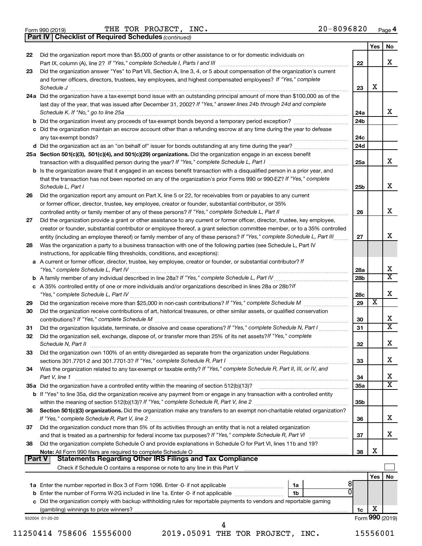Form 990 (2019)  $\begin{array}{cccc} \text{THE} & \text{TOR} & \text{PROJECT.}} \end{array}$  MC  $\begin{array}{cccc} \text{NIC.} \end{array}$  20 – 8096820  $\begin{array}{cccc} \text{Page} & \text{P}_1 \end{array}$ 

*(continued)* **Part IV Checklist of Required Schedules**

|               |                                                                                                                                     |                 | Yes | No                           |
|---------------|-------------------------------------------------------------------------------------------------------------------------------------|-----------------|-----|------------------------------|
| 22            | Did the organization report more than \$5,000 of grants or other assistance to or for domestic individuals on                       |                 |     |                              |
|               |                                                                                                                                     | 22              |     | x                            |
| 23            | Did the organization answer "Yes" to Part VII, Section A, line 3, 4, or 5 about compensation of the organization's current          |                 |     |                              |
|               | and former officers, directors, trustees, key employees, and highest compensated employees? If "Yes," complete                      |                 |     |                              |
|               | Schedule J <b>Production Construction Construction Construction Construction Construction</b>                                       | 23              | X   |                              |
|               | 24a Did the organization have a tax-exempt bond issue with an outstanding principal amount of more than \$100,000 as of the         |                 |     |                              |
|               | last day of the year, that was issued after December 31, 2002? If "Yes," answer lines 24b through 24d and complete                  |                 |     |                              |
|               |                                                                                                                                     | 24a             |     | x                            |
|               | b Did the organization invest any proceeds of tax-exempt bonds beyond a temporary period exception?                                 | 24 <sub>b</sub> |     |                              |
|               | c Did the organization maintain an escrow account other than a refunding escrow at any time during the year to defease              |                 |     |                              |
|               | d Did the organization act as an "on behalf of" issuer for bonds outstanding at any time during the year?                           | 24c<br>24d      |     |                              |
|               |                                                                                                                                     |                 |     |                              |
|               | 25a Section 501(c)(3), 501(c)(4), and 501(c)(29) organizations. Did the organization engage in an excess benefit                    | 25a             |     | x                            |
|               | <b>b</b> Is the organization aware that it engaged in an excess benefit transaction with a disqualified person in a prior year, and |                 |     |                              |
|               | that the transaction has not been reported on any of the organization's prior Forms 990 or 990-EZ? If "Yes," complete               |                 |     |                              |
|               | Schedule L, Part I                                                                                                                  | 25b             |     | x                            |
| 26            | Did the organization report any amount on Part X, line 5 or 22, for receivables from or payables to any current                     |                 |     |                              |
|               | or former officer, director, trustee, key employee, creator or founder, substantial contributor, or 35%                             |                 |     |                              |
|               |                                                                                                                                     | 26              |     | x                            |
| 27            | Did the organization provide a grant or other assistance to any current or former officer, director, trustee, key employee,         |                 |     |                              |
|               | creator or founder, substantial contributor or employee thereof, a grant selection committee member, or to a 35% controlled         |                 |     |                              |
|               | entity (including an employee thereof) or family member of any of these persons? If "Yes," complete Schedule L, Part III            | 27              |     | x                            |
| 28            | Was the organization a party to a business transaction with one of the following parties (see Schedule L, Part IV                   |                 |     |                              |
|               | instructions, for applicable filing thresholds, conditions, and exceptions):                                                        |                 |     |                              |
|               | a A current or former officer, director, trustee, key employee, creator or founder, or substantial contributor? If                  |                 |     |                              |
|               |                                                                                                                                     | 28a             |     | х                            |
|               |                                                                                                                                     | 28b             |     | $\overline{\mathbf{x}}$      |
|               | c A 35% controlled entity of one or more individuals and/or organizations described in lines 28a or 28b?If                          |                 |     |                              |
|               |                                                                                                                                     | 28c             |     | x                            |
| 29            |                                                                                                                                     | 29              | X   |                              |
| 30            | Did the organization receive contributions of art, historical treasures, or other similar assets, or qualified conservation         |                 |     |                              |
|               |                                                                                                                                     | 30              |     | X                            |
| 31            | Did the organization liquidate, terminate, or dissolve and cease operations? If "Yes," complete Schedule N, Part I                  | 31              |     | $\overline{\mathbf{x}}$      |
| 32            | Did the organization sell, exchange, dispose of, or transfer more than 25% of its net assets? If "Yes," complete                    |                 |     |                              |
|               |                                                                                                                                     | 32              |     | x                            |
| 33            | Did the organization own 100% of an entity disregarded as separate from the organization under Regulations                          |                 |     |                              |
|               |                                                                                                                                     | 33              |     | х                            |
| 34            | Was the organization related to any tax-exempt or taxable entity? If "Yes," complete Schedule R, Part II, III, or IV, and           |                 |     |                              |
|               | Part V, line 1                                                                                                                      | 34              |     | X<br>$\overline{\texttt{x}}$ |
|               |                                                                                                                                     | 35a             |     |                              |
|               | b If "Yes" to line 35a, did the organization receive any payment from or engage in any transaction with a controlled entity         | 35b             |     |                              |
| 36            | Section 501(c)(3) organizations. Did the organization make any transfers to an exempt non-charitable related organization?          |                 |     |                              |
|               |                                                                                                                                     | 36              |     | X                            |
| 37            | Did the organization conduct more than 5% of its activities through an entity that is not a related organization                    |                 |     |                              |
|               |                                                                                                                                     | 37              |     | X                            |
| 38            | Did the organization complete Schedule O and provide explanations in Schedule O for Part VI, lines 11b and 19?                      |                 |     |                              |
|               |                                                                                                                                     | 38              | X   |                              |
| <b>Part V</b> |                                                                                                                                     |                 |     |                              |
|               |                                                                                                                                     |                 |     |                              |
|               |                                                                                                                                     |                 | Yes | No.                          |
|               | 8<br>1a                                                                                                                             |                 |     |                              |
|               | 1b                                                                                                                                  |                 |     |                              |
|               | c Did the organization comply with backup withholding rules for reportable payments to vendors and reportable gaming                |                 |     |                              |
|               |                                                                                                                                     | 1c              | х   |                              |
|               | 932004 01-20-20                                                                                                                     |                 |     | Form 990 (2019)              |
|               | 4                                                                                                                                   |                 |     |                              |

11250414 758606 15556000 2019.05091 THE TOR PROJECT, INC. 15556001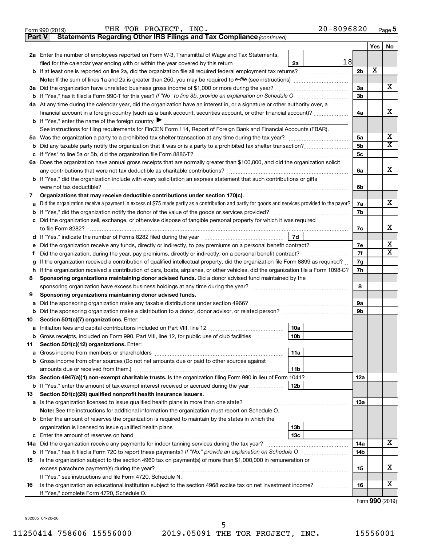|               | $20 - 8096820$<br>THE TOR PROJECT, INC.<br>Form 990 (2019)                                                                                                                                                                                       |                 |     | Page 5                       |
|---------------|--------------------------------------------------------------------------------------------------------------------------------------------------------------------------------------------------------------------------------------------------|-----------------|-----|------------------------------|
| <b>Part V</b> | Statements Regarding Other IRS Filings and Tax Compliance (continued)                                                                                                                                                                            |                 |     |                              |
|               |                                                                                                                                                                                                                                                  |                 | Yes | No                           |
|               | 2a Enter the number of employees reported on Form W-3, Transmittal of Wage and Tax Statements,                                                                                                                                                   |                 |     |                              |
|               | 18<br>filed for the calendar year ending with or within the year covered by this return [11] [11] filed for the calendar year ending with or within the year covered by this return<br>2a                                                        |                 |     |                              |
|               | <b>b</b> If at least one is reported on line 2a, did the organization file all required federal employment tax returns?                                                                                                                          | 2 <sub>b</sub>  | х   |                              |
|               | <b>Note:</b> If the sum of lines 1a and 2a is greater than 250, you may be required to e-file (see instructions)                                                                                                                                 |                 |     |                              |
|               | 3a Did the organization have unrelated business gross income of \$1,000 or more during the year?                                                                                                                                                 | 3a              |     | х                            |
|               | <b>b</b> If "Yes," has it filed a Form 990-T for this year? If "No" to line 3b, provide an explanation on Schedule O                                                                                                                             | 3 <sub>b</sub>  |     |                              |
|               | 4a At any time during the calendar year, did the organization have an interest in, or a signature or other authority over, a                                                                                                                     |                 |     |                              |
|               | financial account in a foreign country (such as a bank account, securities account, or other financial account)?                                                                                                                                 | 4a              |     | х                            |
|               | <b>b</b> If "Yes," enter the name of the foreign country $\blacktriangleright$                                                                                                                                                                   |                 |     |                              |
|               | See instructions for filing requirements for FinCEN Form 114, Report of Foreign Bank and Financial Accounts (FBAR).                                                                                                                              |                 |     |                              |
|               |                                                                                                                                                                                                                                                  | 5a              |     | х<br>$\overline{\texttt{x}}$ |
|               |                                                                                                                                                                                                                                                  | 5 <sub>b</sub>  |     |                              |
|               |                                                                                                                                                                                                                                                  | 5 <sub>c</sub>  |     |                              |
|               | 6a Does the organization have annual gross receipts that are normally greater than \$100,000, and did the organization solicit                                                                                                                   |                 |     |                              |
|               | any contributions that were not tax deductible as charitable contributions?                                                                                                                                                                      | 6a              |     | х                            |
|               | b If "Yes," did the organization include with every solicitation an express statement that such contributions or gifts                                                                                                                           |                 |     |                              |
|               | were not tax deductible?                                                                                                                                                                                                                         | 6b              |     |                              |
| 7             | Organizations that may receive deductible contributions under section 170(c).                                                                                                                                                                    |                 |     | х                            |
| а             | Did the organization receive a payment in excess of \$75 made partly as a contribution and partly for goods and services provided to the payor?                                                                                                  | 7a              |     |                              |
|               | <b>b</b> If "Yes," did the organization notify the donor of the value of the goods or services provided?                                                                                                                                         | 7b              |     |                              |
|               | c Did the organization sell, exchange, or otherwise dispose of tangible personal property for which it was required                                                                                                                              |                 |     | х                            |
|               | to file Form 8282?<br>7d                                                                                                                                                                                                                         | 7c              |     |                              |
|               |                                                                                                                                                                                                                                                  |                 |     | х                            |
|               | e Did the organization receive any funds, directly or indirectly, to pay premiums on a personal benefit contract?                                                                                                                                | 7е<br>7f        |     | $\overline{\mathbf{X}}$      |
|               | Did the organization, during the year, pay premiums, directly or indirectly, on a personal benefit contract?<br>If the organization received a contribution of qualified intellectual property, did the organization file Form 8899 as required? | 7g              |     |                              |
| g             | h If the organization received a contribution of cars, boats, airplanes, or other vehicles, did the organization file a Form 1098-C?                                                                                                             | 7h              |     |                              |
| 8             | Sponsoring organizations maintaining donor advised funds. Did a donor advised fund maintained by the                                                                                                                                             |                 |     |                              |
|               | sponsoring organization have excess business holdings at any time during the year?                                                                                                                                                               | 8               |     |                              |
| 9             | Sponsoring organizations maintaining donor advised funds.                                                                                                                                                                                        |                 |     |                              |
| а             | Did the sponsoring organization make any taxable distributions under section 4966? [11] [12] Discommand the sponsoring organization make any taxable distributions under section 4966?                                                           | 9а              |     |                              |
|               | b Did the sponsoring organization make a distribution to a donor, donor advisor, or related person? [111] [12]                                                                                                                                   | 9 <sub>b</sub>  |     |                              |
| 10            | Section 501(c)(7) organizations. Enter:                                                                                                                                                                                                          |                 |     |                              |
|               | 10a                                                                                                                                                                                                                                              |                 |     |                              |
|               | b Gross receipts, included on Form 990, Part VIII, line 12, for public use of club facilities<br>10b                                                                                                                                             |                 |     |                              |
| 11.           | Section 501(c)(12) organizations. Enter:                                                                                                                                                                                                         |                 |     |                              |
|               | 11a                                                                                                                                                                                                                                              |                 |     |                              |
|               | b Gross income from other sources (Do not net amounts due or paid to other sources against                                                                                                                                                       |                 |     |                              |
|               | 11b                                                                                                                                                                                                                                              |                 |     |                              |
|               | 12a Section 4947(a)(1) non-exempt charitable trusts. Is the organization filing Form 990 in lieu of Form 1041?                                                                                                                                   | 12a             |     |                              |
|               | <b>b</b> If "Yes," enter the amount of tax-exempt interest received or accrued during the year<br>12b                                                                                                                                            |                 |     |                              |
| 13            | Section 501(c)(29) qualified nonprofit health insurance issuers.                                                                                                                                                                                 |                 |     |                              |
|               |                                                                                                                                                                                                                                                  | 13a             |     |                              |
|               | Note: See the instructions for additional information the organization must report on Schedule O.                                                                                                                                                |                 |     |                              |
|               | <b>b</b> Enter the amount of reserves the organization is required to maintain by the states in which the                                                                                                                                        |                 |     |                              |
|               | 13 <sub>b</sub>                                                                                                                                                                                                                                  |                 |     |                              |
|               | 13 <sub>c</sub>                                                                                                                                                                                                                                  |                 |     |                              |
|               |                                                                                                                                                                                                                                                  | 14a             |     | X                            |
|               | <b>b</b> If "Yes," has it filed a Form 720 to report these payments? If "No," provide an explanation on Schedule O                                                                                                                               | 14 <sub>b</sub> |     |                              |
| 15            | Is the organization subject to the section 4960 tax on payment(s) of more than \$1,000,000 in remuneration or                                                                                                                                    |                 |     |                              |
|               |                                                                                                                                                                                                                                                  | 15              |     | х                            |
|               | If "Yes," see instructions and file Form 4720, Schedule N.                                                                                                                                                                                       |                 |     |                              |
| 16            | Is the organization an educational institution subject to the section 4968 excise tax on net investment income?<br>.                                                                                                                             | 16              |     | х                            |
|               | If "Yes," complete Form 4720, Schedule O.                                                                                                                                                                                                        |                 |     | $Form$ QQQ $(2010)$          |
|               |                                                                                                                                                                                                                                                  |                 |     |                              |

Form (2019) **990**

932005 01-20-20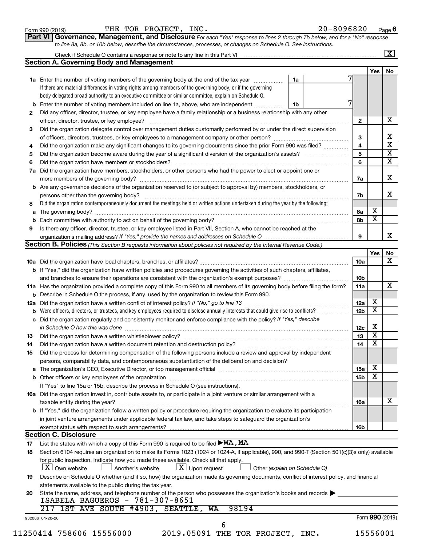| Form 990 (2019) |  |
|-----------------|--|
|-----------------|--|

| Form 990 (2019) | THE TOR PROJECT,<br>$\_$ INC . | $20 - 8096820$<br>Page |
|-----------------|--------------------------------|------------------------|
|-----------------|--------------------------------|------------------------|

| Part VI   Governance, Management, and Disclosure For each "Yes" response to lines 2 through 7b below, and for a "No" response |
|-------------------------------------------------------------------------------------------------------------------------------|
| to line 8a, 8b, or 10b below, describe the circumstances, processes, or changes on Schedule O. See instructions.              |

| <b>Yes</b><br>1a Enter the number of voting members of the governing body at the end of the tax year <i>manamer</i><br>1a<br>If there are material differences in voting rights among members of the governing body, or if the governing<br>body delegated broad authority to an executive committee or similar committee, explain on Schedule O.<br>Enter the number of voting members included on line 1a, above, who are independent<br>1b<br>b<br>Did any officer, director, trustee, or key employee have a family relationship or a business relationship with any other<br>$\mathbf{2}$<br>Did the organization delegate control over management duties customarily performed by or under the direct supervision<br>3<br>$\overline{\mathbf{4}}$<br>Did the organization make any significant changes to its governing documents since the prior Form 990 was filed?<br>4<br>5<br>5<br>6<br>6<br>Did the organization have members, stockholders, or other persons who had the power to elect or appoint one or<br>7a<br>Are any governance decisions of the organization reserved to (or subject to approval by) members, stockholders, or<br>b<br>persons other than the governing body?<br>7b<br>Did the organization contemporaneously document the meetings held or written actions undertaken during the year by the following:<br>8<br>х<br>8а<br>а<br>$\overline{\textbf{x}}$<br>8b<br>Is there any officer, director, trustee, or key employee listed in Part VII, Section A, who cannot be reached at the<br>9<br>9<br><b>Section B. Policies</b> (This Section B requests information about policies not required by the Internal Revenue Code.)<br>Yes<br>10a<br><b>b</b> If "Yes," did the organization have written policies and procedures governing the activities of such chapters, affiliates,<br>and branches to ensure their operations are consistent with the organization's exempt purposes? www.www.www.www.<br>10 <sub>b</sub><br>11a Has the organization provided a complete copy of this Form 990 to all members of its governing body before filing the form?<br>11a<br>Describe in Schedule O the process, if any, used by the organization to review this Form 990.<br>х<br>12a<br>12a<br>$\overline{\text{x}}$<br>Were officers, directors, or trustees, and key employees required to disclose annually interests that could give rise to conflicts?<br>12 <sub>b</sub><br>Did the organization regularly and consistently monitor and enforce compliance with the policy? If "Yes," describe<br>с<br>Х<br>in Schedule O how this was done manufactured and continuum and contract the state of the state of the state of<br>12c<br>$\overline{\textbf{x}}$<br>13<br>13<br>$\overline{\mathbf{X}}$<br>14<br>Did the organization have a written document retention and destruction policy? [11] manufaction model of the organization have a written document retention and destruction policy?<br>14<br>Did the process for determining compensation of the following persons include a review and approval by independent<br>15<br>persons, comparability data, and contemporaneous substantiation of the deliberation and decision?<br>х<br>15a<br>а<br>$\overline{\text{x}}$<br>15b<br>If "Yes" to line 15a or 15b, describe the process in Schedule O (see instructions).<br>16a Did the organization invest in, contribute assets to, or participate in a joint venture or similar arrangement with a<br>taxable entity during the year?<br>16a<br>b If "Yes," did the organization follow a written policy or procedure requiring the organization to evaluate its participation<br>in joint venture arrangements under applicable federal tax law, and take steps to safeguard the organization's<br>16b<br><b>Section C. Disclosure</b><br>List the states with which a copy of this Form 990 is required to be filed $\blacktriangleright\texttt{W}\texttt{A}$ , MA<br>17<br>Section 6104 requires an organization to make its Forms 1023 (1024 or 1024-A, if applicable), 990, and 990-T (Section 501(c)(3)s only) available<br>for public inspection. Indicate how you made these available. Check all that apply.<br>$\lfloor x \rfloor$ Upon request<br><b>X</b> Own website<br>Another's website<br>Other (explain on Schedule O)<br>Describe on Schedule O whether (and if so, how) the organization made its governing documents, conflict of interest policy, and financial<br>19<br>statements available to the public during the tax year.<br>State the name, address, and telephone number of the person who possesses the organization's books and records<br>20<br>ISABELA BAGUEROS - 781-307-8651<br>217 1ST AVE SOUTH #4903, SEATTLE, WA<br>98194<br>Form 990 (2019)<br>932006 01-20-20<br>6<br>11250414 758606 15556000<br>15556001<br>2019.05091 THE TOR PROJECT, INC. |    | Check if Schedule O contains a response or note to any line in this Part VI |  | $\overline{\mathbf{X}}$ |
|-------------------------------------------------------------------------------------------------------------------------------------------------------------------------------------------------------------------------------------------------------------------------------------------------------------------------------------------------------------------------------------------------------------------------------------------------------------------------------------------------------------------------------------------------------------------------------------------------------------------------------------------------------------------------------------------------------------------------------------------------------------------------------------------------------------------------------------------------------------------------------------------------------------------------------------------------------------------------------------------------------------------------------------------------------------------------------------------------------------------------------------------------------------------------------------------------------------------------------------------------------------------------------------------------------------------------------------------------------------------------------------------------------------------------------------------------------------------------------------------------------------------------------------------------------------------------------------------------------------------------------------------------------------------------------------------------------------------------------------------------------------------------------------------------------------------------------------------------------------------------------------------------------------------------------------------------------------------------------------------------------------------------------------------------------------------------------------------------------------------------------------------------------------------------------------------------------------------------------------------------------------------------------------------------------------------------------------------------------------------------------------------------------------------------------------------------------------------------------------------------------------------------------------------------------------------------------------------------------------------------------------------------------------------------------------------------------------------------------------------------------------------------------------------------------------------------------------------------------------------------------------------------------------------------------------------------------------------------------------------------------------------------------------------------------------------------------------------------------------------------------------------------------------------------------------------------------------------------------------------------------------------------------------------------------------------------------------------------------------------------------------------------------------------------------------------------------------------------------------------------------------------------------------------------------------------------------------------------------------------------------------------------------------------------------------------------------------------------------------------------------------------------------------------------------------------------------------------------------------------------------------------------------------------------------------------------------------------------------------------------------------------------------------------------------------------------------------------------------------------------------------------------------------------------------------------------------------------------------------------------------------------------------------------------------------------------------------------------------------------------------------------------------------------------------------------------------------------------------------------------------------------------------------------------------------------------------------------------------------------------------------------------------------------------------------------------------------------------------------------------------------------------------------------------------------------------------------------|----|-----------------------------------------------------------------------------|--|-------------------------|
|                                                                                                                                                                                                                                                                                                                                                                                                                                                                                                                                                                                                                                                                                                                                                                                                                                                                                                                                                                                                                                                                                                                                                                                                                                                                                                                                                                                                                                                                                                                                                                                                                                                                                                                                                                                                                                                                                                                                                                                                                                                                                                                                                                                                                                                                                                                                                                                                                                                                                                                                                                                                                                                                                                                                                                                                                                                                                                                                                                                                                                                                                                                                                                                                                                                                                                                                                                                                                                                                                                                                                                                                                                                                                                                                                                                                                                                                                                                                                                                                                                                                                                                                                                                                                                                                                                                                                                                                                                                                                                                                                                                                                                                                                                                                                                                                                                           |    | <b>Section A. Governing Body and Management</b>                             |  |                         |
|                                                                                                                                                                                                                                                                                                                                                                                                                                                                                                                                                                                                                                                                                                                                                                                                                                                                                                                                                                                                                                                                                                                                                                                                                                                                                                                                                                                                                                                                                                                                                                                                                                                                                                                                                                                                                                                                                                                                                                                                                                                                                                                                                                                                                                                                                                                                                                                                                                                                                                                                                                                                                                                                                                                                                                                                                                                                                                                                                                                                                                                                                                                                                                                                                                                                                                                                                                                                                                                                                                                                                                                                                                                                                                                                                                                                                                                                                                                                                                                                                                                                                                                                                                                                                                                                                                                                                                                                                                                                                                                                                                                                                                                                                                                                                                                                                                           |    |                                                                             |  | No                      |
|                                                                                                                                                                                                                                                                                                                                                                                                                                                                                                                                                                                                                                                                                                                                                                                                                                                                                                                                                                                                                                                                                                                                                                                                                                                                                                                                                                                                                                                                                                                                                                                                                                                                                                                                                                                                                                                                                                                                                                                                                                                                                                                                                                                                                                                                                                                                                                                                                                                                                                                                                                                                                                                                                                                                                                                                                                                                                                                                                                                                                                                                                                                                                                                                                                                                                                                                                                                                                                                                                                                                                                                                                                                                                                                                                                                                                                                                                                                                                                                                                                                                                                                                                                                                                                                                                                                                                                                                                                                                                                                                                                                                                                                                                                                                                                                                                                           |    |                                                                             |  |                         |
|                                                                                                                                                                                                                                                                                                                                                                                                                                                                                                                                                                                                                                                                                                                                                                                                                                                                                                                                                                                                                                                                                                                                                                                                                                                                                                                                                                                                                                                                                                                                                                                                                                                                                                                                                                                                                                                                                                                                                                                                                                                                                                                                                                                                                                                                                                                                                                                                                                                                                                                                                                                                                                                                                                                                                                                                                                                                                                                                                                                                                                                                                                                                                                                                                                                                                                                                                                                                                                                                                                                                                                                                                                                                                                                                                                                                                                                                                                                                                                                                                                                                                                                                                                                                                                                                                                                                                                                                                                                                                                                                                                                                                                                                                                                                                                                                                                           |    |                                                                             |  |                         |
|                                                                                                                                                                                                                                                                                                                                                                                                                                                                                                                                                                                                                                                                                                                                                                                                                                                                                                                                                                                                                                                                                                                                                                                                                                                                                                                                                                                                                                                                                                                                                                                                                                                                                                                                                                                                                                                                                                                                                                                                                                                                                                                                                                                                                                                                                                                                                                                                                                                                                                                                                                                                                                                                                                                                                                                                                                                                                                                                                                                                                                                                                                                                                                                                                                                                                                                                                                                                                                                                                                                                                                                                                                                                                                                                                                                                                                                                                                                                                                                                                                                                                                                                                                                                                                                                                                                                                                                                                                                                                                                                                                                                                                                                                                                                                                                                                                           |    |                                                                             |  |                         |
|                                                                                                                                                                                                                                                                                                                                                                                                                                                                                                                                                                                                                                                                                                                                                                                                                                                                                                                                                                                                                                                                                                                                                                                                                                                                                                                                                                                                                                                                                                                                                                                                                                                                                                                                                                                                                                                                                                                                                                                                                                                                                                                                                                                                                                                                                                                                                                                                                                                                                                                                                                                                                                                                                                                                                                                                                                                                                                                                                                                                                                                                                                                                                                                                                                                                                                                                                                                                                                                                                                                                                                                                                                                                                                                                                                                                                                                                                                                                                                                                                                                                                                                                                                                                                                                                                                                                                                                                                                                                                                                                                                                                                                                                                                                                                                                                                                           |    |                                                                             |  |                         |
|                                                                                                                                                                                                                                                                                                                                                                                                                                                                                                                                                                                                                                                                                                                                                                                                                                                                                                                                                                                                                                                                                                                                                                                                                                                                                                                                                                                                                                                                                                                                                                                                                                                                                                                                                                                                                                                                                                                                                                                                                                                                                                                                                                                                                                                                                                                                                                                                                                                                                                                                                                                                                                                                                                                                                                                                                                                                                                                                                                                                                                                                                                                                                                                                                                                                                                                                                                                                                                                                                                                                                                                                                                                                                                                                                                                                                                                                                                                                                                                                                                                                                                                                                                                                                                                                                                                                                                                                                                                                                                                                                                                                                                                                                                                                                                                                                                           | 2  |                                                                             |  |                         |
|                                                                                                                                                                                                                                                                                                                                                                                                                                                                                                                                                                                                                                                                                                                                                                                                                                                                                                                                                                                                                                                                                                                                                                                                                                                                                                                                                                                                                                                                                                                                                                                                                                                                                                                                                                                                                                                                                                                                                                                                                                                                                                                                                                                                                                                                                                                                                                                                                                                                                                                                                                                                                                                                                                                                                                                                                                                                                                                                                                                                                                                                                                                                                                                                                                                                                                                                                                                                                                                                                                                                                                                                                                                                                                                                                                                                                                                                                                                                                                                                                                                                                                                                                                                                                                                                                                                                                                                                                                                                                                                                                                                                                                                                                                                                                                                                                                           |    |                                                                             |  | х                       |
|                                                                                                                                                                                                                                                                                                                                                                                                                                                                                                                                                                                                                                                                                                                                                                                                                                                                                                                                                                                                                                                                                                                                                                                                                                                                                                                                                                                                                                                                                                                                                                                                                                                                                                                                                                                                                                                                                                                                                                                                                                                                                                                                                                                                                                                                                                                                                                                                                                                                                                                                                                                                                                                                                                                                                                                                                                                                                                                                                                                                                                                                                                                                                                                                                                                                                                                                                                                                                                                                                                                                                                                                                                                                                                                                                                                                                                                                                                                                                                                                                                                                                                                                                                                                                                                                                                                                                                                                                                                                                                                                                                                                                                                                                                                                                                                                                                           | 3  |                                                                             |  |                         |
|                                                                                                                                                                                                                                                                                                                                                                                                                                                                                                                                                                                                                                                                                                                                                                                                                                                                                                                                                                                                                                                                                                                                                                                                                                                                                                                                                                                                                                                                                                                                                                                                                                                                                                                                                                                                                                                                                                                                                                                                                                                                                                                                                                                                                                                                                                                                                                                                                                                                                                                                                                                                                                                                                                                                                                                                                                                                                                                                                                                                                                                                                                                                                                                                                                                                                                                                                                                                                                                                                                                                                                                                                                                                                                                                                                                                                                                                                                                                                                                                                                                                                                                                                                                                                                                                                                                                                                                                                                                                                                                                                                                                                                                                                                                                                                                                                                           |    |                                                                             |  | х                       |
|                                                                                                                                                                                                                                                                                                                                                                                                                                                                                                                                                                                                                                                                                                                                                                                                                                                                                                                                                                                                                                                                                                                                                                                                                                                                                                                                                                                                                                                                                                                                                                                                                                                                                                                                                                                                                                                                                                                                                                                                                                                                                                                                                                                                                                                                                                                                                                                                                                                                                                                                                                                                                                                                                                                                                                                                                                                                                                                                                                                                                                                                                                                                                                                                                                                                                                                                                                                                                                                                                                                                                                                                                                                                                                                                                                                                                                                                                                                                                                                                                                                                                                                                                                                                                                                                                                                                                                                                                                                                                                                                                                                                                                                                                                                                                                                                                                           |    |                                                                             |  | $\overline{\textbf{x}}$ |
|                                                                                                                                                                                                                                                                                                                                                                                                                                                                                                                                                                                                                                                                                                                                                                                                                                                                                                                                                                                                                                                                                                                                                                                                                                                                                                                                                                                                                                                                                                                                                                                                                                                                                                                                                                                                                                                                                                                                                                                                                                                                                                                                                                                                                                                                                                                                                                                                                                                                                                                                                                                                                                                                                                                                                                                                                                                                                                                                                                                                                                                                                                                                                                                                                                                                                                                                                                                                                                                                                                                                                                                                                                                                                                                                                                                                                                                                                                                                                                                                                                                                                                                                                                                                                                                                                                                                                                                                                                                                                                                                                                                                                                                                                                                                                                                                                                           |    |                                                                             |  | $\overline{\mathbf{x}}$ |
|                                                                                                                                                                                                                                                                                                                                                                                                                                                                                                                                                                                                                                                                                                                                                                                                                                                                                                                                                                                                                                                                                                                                                                                                                                                                                                                                                                                                                                                                                                                                                                                                                                                                                                                                                                                                                                                                                                                                                                                                                                                                                                                                                                                                                                                                                                                                                                                                                                                                                                                                                                                                                                                                                                                                                                                                                                                                                                                                                                                                                                                                                                                                                                                                                                                                                                                                                                                                                                                                                                                                                                                                                                                                                                                                                                                                                                                                                                                                                                                                                                                                                                                                                                                                                                                                                                                                                                                                                                                                                                                                                                                                                                                                                                                                                                                                                                           |    |                                                                             |  | $\overline{\textbf{x}}$ |
|                                                                                                                                                                                                                                                                                                                                                                                                                                                                                                                                                                                                                                                                                                                                                                                                                                                                                                                                                                                                                                                                                                                                                                                                                                                                                                                                                                                                                                                                                                                                                                                                                                                                                                                                                                                                                                                                                                                                                                                                                                                                                                                                                                                                                                                                                                                                                                                                                                                                                                                                                                                                                                                                                                                                                                                                                                                                                                                                                                                                                                                                                                                                                                                                                                                                                                                                                                                                                                                                                                                                                                                                                                                                                                                                                                                                                                                                                                                                                                                                                                                                                                                                                                                                                                                                                                                                                                                                                                                                                                                                                                                                                                                                                                                                                                                                                                           | 7a |                                                                             |  |                         |
|                                                                                                                                                                                                                                                                                                                                                                                                                                                                                                                                                                                                                                                                                                                                                                                                                                                                                                                                                                                                                                                                                                                                                                                                                                                                                                                                                                                                                                                                                                                                                                                                                                                                                                                                                                                                                                                                                                                                                                                                                                                                                                                                                                                                                                                                                                                                                                                                                                                                                                                                                                                                                                                                                                                                                                                                                                                                                                                                                                                                                                                                                                                                                                                                                                                                                                                                                                                                                                                                                                                                                                                                                                                                                                                                                                                                                                                                                                                                                                                                                                                                                                                                                                                                                                                                                                                                                                                                                                                                                                                                                                                                                                                                                                                                                                                                                                           |    |                                                                             |  | X                       |
|                                                                                                                                                                                                                                                                                                                                                                                                                                                                                                                                                                                                                                                                                                                                                                                                                                                                                                                                                                                                                                                                                                                                                                                                                                                                                                                                                                                                                                                                                                                                                                                                                                                                                                                                                                                                                                                                                                                                                                                                                                                                                                                                                                                                                                                                                                                                                                                                                                                                                                                                                                                                                                                                                                                                                                                                                                                                                                                                                                                                                                                                                                                                                                                                                                                                                                                                                                                                                                                                                                                                                                                                                                                                                                                                                                                                                                                                                                                                                                                                                                                                                                                                                                                                                                                                                                                                                                                                                                                                                                                                                                                                                                                                                                                                                                                                                                           |    |                                                                             |  |                         |
|                                                                                                                                                                                                                                                                                                                                                                                                                                                                                                                                                                                                                                                                                                                                                                                                                                                                                                                                                                                                                                                                                                                                                                                                                                                                                                                                                                                                                                                                                                                                                                                                                                                                                                                                                                                                                                                                                                                                                                                                                                                                                                                                                                                                                                                                                                                                                                                                                                                                                                                                                                                                                                                                                                                                                                                                                                                                                                                                                                                                                                                                                                                                                                                                                                                                                                                                                                                                                                                                                                                                                                                                                                                                                                                                                                                                                                                                                                                                                                                                                                                                                                                                                                                                                                                                                                                                                                                                                                                                                                                                                                                                                                                                                                                                                                                                                                           |    |                                                                             |  | x                       |
|                                                                                                                                                                                                                                                                                                                                                                                                                                                                                                                                                                                                                                                                                                                                                                                                                                                                                                                                                                                                                                                                                                                                                                                                                                                                                                                                                                                                                                                                                                                                                                                                                                                                                                                                                                                                                                                                                                                                                                                                                                                                                                                                                                                                                                                                                                                                                                                                                                                                                                                                                                                                                                                                                                                                                                                                                                                                                                                                                                                                                                                                                                                                                                                                                                                                                                                                                                                                                                                                                                                                                                                                                                                                                                                                                                                                                                                                                                                                                                                                                                                                                                                                                                                                                                                                                                                                                                                                                                                                                                                                                                                                                                                                                                                                                                                                                                           |    |                                                                             |  |                         |
|                                                                                                                                                                                                                                                                                                                                                                                                                                                                                                                                                                                                                                                                                                                                                                                                                                                                                                                                                                                                                                                                                                                                                                                                                                                                                                                                                                                                                                                                                                                                                                                                                                                                                                                                                                                                                                                                                                                                                                                                                                                                                                                                                                                                                                                                                                                                                                                                                                                                                                                                                                                                                                                                                                                                                                                                                                                                                                                                                                                                                                                                                                                                                                                                                                                                                                                                                                                                                                                                                                                                                                                                                                                                                                                                                                                                                                                                                                                                                                                                                                                                                                                                                                                                                                                                                                                                                                                                                                                                                                                                                                                                                                                                                                                                                                                                                                           |    |                                                                             |  |                         |
|                                                                                                                                                                                                                                                                                                                                                                                                                                                                                                                                                                                                                                                                                                                                                                                                                                                                                                                                                                                                                                                                                                                                                                                                                                                                                                                                                                                                                                                                                                                                                                                                                                                                                                                                                                                                                                                                                                                                                                                                                                                                                                                                                                                                                                                                                                                                                                                                                                                                                                                                                                                                                                                                                                                                                                                                                                                                                                                                                                                                                                                                                                                                                                                                                                                                                                                                                                                                                                                                                                                                                                                                                                                                                                                                                                                                                                                                                                                                                                                                                                                                                                                                                                                                                                                                                                                                                                                                                                                                                                                                                                                                                                                                                                                                                                                                                                           |    |                                                                             |  |                         |
|                                                                                                                                                                                                                                                                                                                                                                                                                                                                                                                                                                                                                                                                                                                                                                                                                                                                                                                                                                                                                                                                                                                                                                                                                                                                                                                                                                                                                                                                                                                                                                                                                                                                                                                                                                                                                                                                                                                                                                                                                                                                                                                                                                                                                                                                                                                                                                                                                                                                                                                                                                                                                                                                                                                                                                                                                                                                                                                                                                                                                                                                                                                                                                                                                                                                                                                                                                                                                                                                                                                                                                                                                                                                                                                                                                                                                                                                                                                                                                                                                                                                                                                                                                                                                                                                                                                                                                                                                                                                                                                                                                                                                                                                                                                                                                                                                                           |    |                                                                             |  |                         |
|                                                                                                                                                                                                                                                                                                                                                                                                                                                                                                                                                                                                                                                                                                                                                                                                                                                                                                                                                                                                                                                                                                                                                                                                                                                                                                                                                                                                                                                                                                                                                                                                                                                                                                                                                                                                                                                                                                                                                                                                                                                                                                                                                                                                                                                                                                                                                                                                                                                                                                                                                                                                                                                                                                                                                                                                                                                                                                                                                                                                                                                                                                                                                                                                                                                                                                                                                                                                                                                                                                                                                                                                                                                                                                                                                                                                                                                                                                                                                                                                                                                                                                                                                                                                                                                                                                                                                                                                                                                                                                                                                                                                                                                                                                                                                                                                                                           |    |                                                                             |  |                         |
|                                                                                                                                                                                                                                                                                                                                                                                                                                                                                                                                                                                                                                                                                                                                                                                                                                                                                                                                                                                                                                                                                                                                                                                                                                                                                                                                                                                                                                                                                                                                                                                                                                                                                                                                                                                                                                                                                                                                                                                                                                                                                                                                                                                                                                                                                                                                                                                                                                                                                                                                                                                                                                                                                                                                                                                                                                                                                                                                                                                                                                                                                                                                                                                                                                                                                                                                                                                                                                                                                                                                                                                                                                                                                                                                                                                                                                                                                                                                                                                                                                                                                                                                                                                                                                                                                                                                                                                                                                                                                                                                                                                                                                                                                                                                                                                                                                           |    |                                                                             |  |                         |
|                                                                                                                                                                                                                                                                                                                                                                                                                                                                                                                                                                                                                                                                                                                                                                                                                                                                                                                                                                                                                                                                                                                                                                                                                                                                                                                                                                                                                                                                                                                                                                                                                                                                                                                                                                                                                                                                                                                                                                                                                                                                                                                                                                                                                                                                                                                                                                                                                                                                                                                                                                                                                                                                                                                                                                                                                                                                                                                                                                                                                                                                                                                                                                                                                                                                                                                                                                                                                                                                                                                                                                                                                                                                                                                                                                                                                                                                                                                                                                                                                                                                                                                                                                                                                                                                                                                                                                                                                                                                                                                                                                                                                                                                                                                                                                                                                                           |    |                                                                             |  | No                      |
|                                                                                                                                                                                                                                                                                                                                                                                                                                                                                                                                                                                                                                                                                                                                                                                                                                                                                                                                                                                                                                                                                                                                                                                                                                                                                                                                                                                                                                                                                                                                                                                                                                                                                                                                                                                                                                                                                                                                                                                                                                                                                                                                                                                                                                                                                                                                                                                                                                                                                                                                                                                                                                                                                                                                                                                                                                                                                                                                                                                                                                                                                                                                                                                                                                                                                                                                                                                                                                                                                                                                                                                                                                                                                                                                                                                                                                                                                                                                                                                                                                                                                                                                                                                                                                                                                                                                                                                                                                                                                                                                                                                                                                                                                                                                                                                                                                           |    |                                                                             |  |                         |
|                                                                                                                                                                                                                                                                                                                                                                                                                                                                                                                                                                                                                                                                                                                                                                                                                                                                                                                                                                                                                                                                                                                                                                                                                                                                                                                                                                                                                                                                                                                                                                                                                                                                                                                                                                                                                                                                                                                                                                                                                                                                                                                                                                                                                                                                                                                                                                                                                                                                                                                                                                                                                                                                                                                                                                                                                                                                                                                                                                                                                                                                                                                                                                                                                                                                                                                                                                                                                                                                                                                                                                                                                                                                                                                                                                                                                                                                                                                                                                                                                                                                                                                                                                                                                                                                                                                                                                                                                                                                                                                                                                                                                                                                                                                                                                                                                                           |    |                                                                             |  |                         |
|                                                                                                                                                                                                                                                                                                                                                                                                                                                                                                                                                                                                                                                                                                                                                                                                                                                                                                                                                                                                                                                                                                                                                                                                                                                                                                                                                                                                                                                                                                                                                                                                                                                                                                                                                                                                                                                                                                                                                                                                                                                                                                                                                                                                                                                                                                                                                                                                                                                                                                                                                                                                                                                                                                                                                                                                                                                                                                                                                                                                                                                                                                                                                                                                                                                                                                                                                                                                                                                                                                                                                                                                                                                                                                                                                                                                                                                                                                                                                                                                                                                                                                                                                                                                                                                                                                                                                                                                                                                                                                                                                                                                                                                                                                                                                                                                                                           |    |                                                                             |  |                         |
|                                                                                                                                                                                                                                                                                                                                                                                                                                                                                                                                                                                                                                                                                                                                                                                                                                                                                                                                                                                                                                                                                                                                                                                                                                                                                                                                                                                                                                                                                                                                                                                                                                                                                                                                                                                                                                                                                                                                                                                                                                                                                                                                                                                                                                                                                                                                                                                                                                                                                                                                                                                                                                                                                                                                                                                                                                                                                                                                                                                                                                                                                                                                                                                                                                                                                                                                                                                                                                                                                                                                                                                                                                                                                                                                                                                                                                                                                                                                                                                                                                                                                                                                                                                                                                                                                                                                                                                                                                                                                                                                                                                                                                                                                                                                                                                                                                           |    |                                                                             |  |                         |
|                                                                                                                                                                                                                                                                                                                                                                                                                                                                                                                                                                                                                                                                                                                                                                                                                                                                                                                                                                                                                                                                                                                                                                                                                                                                                                                                                                                                                                                                                                                                                                                                                                                                                                                                                                                                                                                                                                                                                                                                                                                                                                                                                                                                                                                                                                                                                                                                                                                                                                                                                                                                                                                                                                                                                                                                                                                                                                                                                                                                                                                                                                                                                                                                                                                                                                                                                                                                                                                                                                                                                                                                                                                                                                                                                                                                                                                                                                                                                                                                                                                                                                                                                                                                                                                                                                                                                                                                                                                                                                                                                                                                                                                                                                                                                                                                                                           |    |                                                                             |  |                         |
|                                                                                                                                                                                                                                                                                                                                                                                                                                                                                                                                                                                                                                                                                                                                                                                                                                                                                                                                                                                                                                                                                                                                                                                                                                                                                                                                                                                                                                                                                                                                                                                                                                                                                                                                                                                                                                                                                                                                                                                                                                                                                                                                                                                                                                                                                                                                                                                                                                                                                                                                                                                                                                                                                                                                                                                                                                                                                                                                                                                                                                                                                                                                                                                                                                                                                                                                                                                                                                                                                                                                                                                                                                                                                                                                                                                                                                                                                                                                                                                                                                                                                                                                                                                                                                                                                                                                                                                                                                                                                                                                                                                                                                                                                                                                                                                                                                           |    |                                                                             |  |                         |
|                                                                                                                                                                                                                                                                                                                                                                                                                                                                                                                                                                                                                                                                                                                                                                                                                                                                                                                                                                                                                                                                                                                                                                                                                                                                                                                                                                                                                                                                                                                                                                                                                                                                                                                                                                                                                                                                                                                                                                                                                                                                                                                                                                                                                                                                                                                                                                                                                                                                                                                                                                                                                                                                                                                                                                                                                                                                                                                                                                                                                                                                                                                                                                                                                                                                                                                                                                                                                                                                                                                                                                                                                                                                                                                                                                                                                                                                                                                                                                                                                                                                                                                                                                                                                                                                                                                                                                                                                                                                                                                                                                                                                                                                                                                                                                                                                                           |    |                                                                             |  |                         |
|                                                                                                                                                                                                                                                                                                                                                                                                                                                                                                                                                                                                                                                                                                                                                                                                                                                                                                                                                                                                                                                                                                                                                                                                                                                                                                                                                                                                                                                                                                                                                                                                                                                                                                                                                                                                                                                                                                                                                                                                                                                                                                                                                                                                                                                                                                                                                                                                                                                                                                                                                                                                                                                                                                                                                                                                                                                                                                                                                                                                                                                                                                                                                                                                                                                                                                                                                                                                                                                                                                                                                                                                                                                                                                                                                                                                                                                                                                                                                                                                                                                                                                                                                                                                                                                                                                                                                                                                                                                                                                                                                                                                                                                                                                                                                                                                                                           |    |                                                                             |  |                         |
|                                                                                                                                                                                                                                                                                                                                                                                                                                                                                                                                                                                                                                                                                                                                                                                                                                                                                                                                                                                                                                                                                                                                                                                                                                                                                                                                                                                                                                                                                                                                                                                                                                                                                                                                                                                                                                                                                                                                                                                                                                                                                                                                                                                                                                                                                                                                                                                                                                                                                                                                                                                                                                                                                                                                                                                                                                                                                                                                                                                                                                                                                                                                                                                                                                                                                                                                                                                                                                                                                                                                                                                                                                                                                                                                                                                                                                                                                                                                                                                                                                                                                                                                                                                                                                                                                                                                                                                                                                                                                                                                                                                                                                                                                                                                                                                                                                           |    |                                                                             |  |                         |
|                                                                                                                                                                                                                                                                                                                                                                                                                                                                                                                                                                                                                                                                                                                                                                                                                                                                                                                                                                                                                                                                                                                                                                                                                                                                                                                                                                                                                                                                                                                                                                                                                                                                                                                                                                                                                                                                                                                                                                                                                                                                                                                                                                                                                                                                                                                                                                                                                                                                                                                                                                                                                                                                                                                                                                                                                                                                                                                                                                                                                                                                                                                                                                                                                                                                                                                                                                                                                                                                                                                                                                                                                                                                                                                                                                                                                                                                                                                                                                                                                                                                                                                                                                                                                                                                                                                                                                                                                                                                                                                                                                                                                                                                                                                                                                                                                                           |    |                                                                             |  |                         |
|                                                                                                                                                                                                                                                                                                                                                                                                                                                                                                                                                                                                                                                                                                                                                                                                                                                                                                                                                                                                                                                                                                                                                                                                                                                                                                                                                                                                                                                                                                                                                                                                                                                                                                                                                                                                                                                                                                                                                                                                                                                                                                                                                                                                                                                                                                                                                                                                                                                                                                                                                                                                                                                                                                                                                                                                                                                                                                                                                                                                                                                                                                                                                                                                                                                                                                                                                                                                                                                                                                                                                                                                                                                                                                                                                                                                                                                                                                                                                                                                                                                                                                                                                                                                                                                                                                                                                                                                                                                                                                                                                                                                                                                                                                                                                                                                                                           |    |                                                                             |  |                         |
|                                                                                                                                                                                                                                                                                                                                                                                                                                                                                                                                                                                                                                                                                                                                                                                                                                                                                                                                                                                                                                                                                                                                                                                                                                                                                                                                                                                                                                                                                                                                                                                                                                                                                                                                                                                                                                                                                                                                                                                                                                                                                                                                                                                                                                                                                                                                                                                                                                                                                                                                                                                                                                                                                                                                                                                                                                                                                                                                                                                                                                                                                                                                                                                                                                                                                                                                                                                                                                                                                                                                                                                                                                                                                                                                                                                                                                                                                                                                                                                                                                                                                                                                                                                                                                                                                                                                                                                                                                                                                                                                                                                                                                                                                                                                                                                                                                           |    |                                                                             |  |                         |
|                                                                                                                                                                                                                                                                                                                                                                                                                                                                                                                                                                                                                                                                                                                                                                                                                                                                                                                                                                                                                                                                                                                                                                                                                                                                                                                                                                                                                                                                                                                                                                                                                                                                                                                                                                                                                                                                                                                                                                                                                                                                                                                                                                                                                                                                                                                                                                                                                                                                                                                                                                                                                                                                                                                                                                                                                                                                                                                                                                                                                                                                                                                                                                                                                                                                                                                                                                                                                                                                                                                                                                                                                                                                                                                                                                                                                                                                                                                                                                                                                                                                                                                                                                                                                                                                                                                                                                                                                                                                                                                                                                                                                                                                                                                                                                                                                                           |    |                                                                             |  |                         |
|                                                                                                                                                                                                                                                                                                                                                                                                                                                                                                                                                                                                                                                                                                                                                                                                                                                                                                                                                                                                                                                                                                                                                                                                                                                                                                                                                                                                                                                                                                                                                                                                                                                                                                                                                                                                                                                                                                                                                                                                                                                                                                                                                                                                                                                                                                                                                                                                                                                                                                                                                                                                                                                                                                                                                                                                                                                                                                                                                                                                                                                                                                                                                                                                                                                                                                                                                                                                                                                                                                                                                                                                                                                                                                                                                                                                                                                                                                                                                                                                                                                                                                                                                                                                                                                                                                                                                                                                                                                                                                                                                                                                                                                                                                                                                                                                                                           |    |                                                                             |  |                         |
|                                                                                                                                                                                                                                                                                                                                                                                                                                                                                                                                                                                                                                                                                                                                                                                                                                                                                                                                                                                                                                                                                                                                                                                                                                                                                                                                                                                                                                                                                                                                                                                                                                                                                                                                                                                                                                                                                                                                                                                                                                                                                                                                                                                                                                                                                                                                                                                                                                                                                                                                                                                                                                                                                                                                                                                                                                                                                                                                                                                                                                                                                                                                                                                                                                                                                                                                                                                                                                                                                                                                                                                                                                                                                                                                                                                                                                                                                                                                                                                                                                                                                                                                                                                                                                                                                                                                                                                                                                                                                                                                                                                                                                                                                                                                                                                                                                           |    |                                                                             |  |                         |
|                                                                                                                                                                                                                                                                                                                                                                                                                                                                                                                                                                                                                                                                                                                                                                                                                                                                                                                                                                                                                                                                                                                                                                                                                                                                                                                                                                                                                                                                                                                                                                                                                                                                                                                                                                                                                                                                                                                                                                                                                                                                                                                                                                                                                                                                                                                                                                                                                                                                                                                                                                                                                                                                                                                                                                                                                                                                                                                                                                                                                                                                                                                                                                                                                                                                                                                                                                                                                                                                                                                                                                                                                                                                                                                                                                                                                                                                                                                                                                                                                                                                                                                                                                                                                                                                                                                                                                                                                                                                                                                                                                                                                                                                                                                                                                                                                                           |    |                                                                             |  |                         |
|                                                                                                                                                                                                                                                                                                                                                                                                                                                                                                                                                                                                                                                                                                                                                                                                                                                                                                                                                                                                                                                                                                                                                                                                                                                                                                                                                                                                                                                                                                                                                                                                                                                                                                                                                                                                                                                                                                                                                                                                                                                                                                                                                                                                                                                                                                                                                                                                                                                                                                                                                                                                                                                                                                                                                                                                                                                                                                                                                                                                                                                                                                                                                                                                                                                                                                                                                                                                                                                                                                                                                                                                                                                                                                                                                                                                                                                                                                                                                                                                                                                                                                                                                                                                                                                                                                                                                                                                                                                                                                                                                                                                                                                                                                                                                                                                                                           |    |                                                                             |  |                         |
|                                                                                                                                                                                                                                                                                                                                                                                                                                                                                                                                                                                                                                                                                                                                                                                                                                                                                                                                                                                                                                                                                                                                                                                                                                                                                                                                                                                                                                                                                                                                                                                                                                                                                                                                                                                                                                                                                                                                                                                                                                                                                                                                                                                                                                                                                                                                                                                                                                                                                                                                                                                                                                                                                                                                                                                                                                                                                                                                                                                                                                                                                                                                                                                                                                                                                                                                                                                                                                                                                                                                                                                                                                                                                                                                                                                                                                                                                                                                                                                                                                                                                                                                                                                                                                                                                                                                                                                                                                                                                                                                                                                                                                                                                                                                                                                                                                           |    |                                                                             |  |                         |
|                                                                                                                                                                                                                                                                                                                                                                                                                                                                                                                                                                                                                                                                                                                                                                                                                                                                                                                                                                                                                                                                                                                                                                                                                                                                                                                                                                                                                                                                                                                                                                                                                                                                                                                                                                                                                                                                                                                                                                                                                                                                                                                                                                                                                                                                                                                                                                                                                                                                                                                                                                                                                                                                                                                                                                                                                                                                                                                                                                                                                                                                                                                                                                                                                                                                                                                                                                                                                                                                                                                                                                                                                                                                                                                                                                                                                                                                                                                                                                                                                                                                                                                                                                                                                                                                                                                                                                                                                                                                                                                                                                                                                                                                                                                                                                                                                                           |    |                                                                             |  | X                       |
|                                                                                                                                                                                                                                                                                                                                                                                                                                                                                                                                                                                                                                                                                                                                                                                                                                                                                                                                                                                                                                                                                                                                                                                                                                                                                                                                                                                                                                                                                                                                                                                                                                                                                                                                                                                                                                                                                                                                                                                                                                                                                                                                                                                                                                                                                                                                                                                                                                                                                                                                                                                                                                                                                                                                                                                                                                                                                                                                                                                                                                                                                                                                                                                                                                                                                                                                                                                                                                                                                                                                                                                                                                                                                                                                                                                                                                                                                                                                                                                                                                                                                                                                                                                                                                                                                                                                                                                                                                                                                                                                                                                                                                                                                                                                                                                                                                           |    |                                                                             |  |                         |
|                                                                                                                                                                                                                                                                                                                                                                                                                                                                                                                                                                                                                                                                                                                                                                                                                                                                                                                                                                                                                                                                                                                                                                                                                                                                                                                                                                                                                                                                                                                                                                                                                                                                                                                                                                                                                                                                                                                                                                                                                                                                                                                                                                                                                                                                                                                                                                                                                                                                                                                                                                                                                                                                                                                                                                                                                                                                                                                                                                                                                                                                                                                                                                                                                                                                                                                                                                                                                                                                                                                                                                                                                                                                                                                                                                                                                                                                                                                                                                                                                                                                                                                                                                                                                                                                                                                                                                                                                                                                                                                                                                                                                                                                                                                                                                                                                                           |    |                                                                             |  |                         |
|                                                                                                                                                                                                                                                                                                                                                                                                                                                                                                                                                                                                                                                                                                                                                                                                                                                                                                                                                                                                                                                                                                                                                                                                                                                                                                                                                                                                                                                                                                                                                                                                                                                                                                                                                                                                                                                                                                                                                                                                                                                                                                                                                                                                                                                                                                                                                                                                                                                                                                                                                                                                                                                                                                                                                                                                                                                                                                                                                                                                                                                                                                                                                                                                                                                                                                                                                                                                                                                                                                                                                                                                                                                                                                                                                                                                                                                                                                                                                                                                                                                                                                                                                                                                                                                                                                                                                                                                                                                                                                                                                                                                                                                                                                                                                                                                                                           |    |                                                                             |  |                         |
|                                                                                                                                                                                                                                                                                                                                                                                                                                                                                                                                                                                                                                                                                                                                                                                                                                                                                                                                                                                                                                                                                                                                                                                                                                                                                                                                                                                                                                                                                                                                                                                                                                                                                                                                                                                                                                                                                                                                                                                                                                                                                                                                                                                                                                                                                                                                                                                                                                                                                                                                                                                                                                                                                                                                                                                                                                                                                                                                                                                                                                                                                                                                                                                                                                                                                                                                                                                                                                                                                                                                                                                                                                                                                                                                                                                                                                                                                                                                                                                                                                                                                                                                                                                                                                                                                                                                                                                                                                                                                                                                                                                                                                                                                                                                                                                                                                           |    |                                                                             |  |                         |
|                                                                                                                                                                                                                                                                                                                                                                                                                                                                                                                                                                                                                                                                                                                                                                                                                                                                                                                                                                                                                                                                                                                                                                                                                                                                                                                                                                                                                                                                                                                                                                                                                                                                                                                                                                                                                                                                                                                                                                                                                                                                                                                                                                                                                                                                                                                                                                                                                                                                                                                                                                                                                                                                                                                                                                                                                                                                                                                                                                                                                                                                                                                                                                                                                                                                                                                                                                                                                                                                                                                                                                                                                                                                                                                                                                                                                                                                                                                                                                                                                                                                                                                                                                                                                                                                                                                                                                                                                                                                                                                                                                                                                                                                                                                                                                                                                                           |    |                                                                             |  |                         |
|                                                                                                                                                                                                                                                                                                                                                                                                                                                                                                                                                                                                                                                                                                                                                                                                                                                                                                                                                                                                                                                                                                                                                                                                                                                                                                                                                                                                                                                                                                                                                                                                                                                                                                                                                                                                                                                                                                                                                                                                                                                                                                                                                                                                                                                                                                                                                                                                                                                                                                                                                                                                                                                                                                                                                                                                                                                                                                                                                                                                                                                                                                                                                                                                                                                                                                                                                                                                                                                                                                                                                                                                                                                                                                                                                                                                                                                                                                                                                                                                                                                                                                                                                                                                                                                                                                                                                                                                                                                                                                                                                                                                                                                                                                                                                                                                                                           | 18 |                                                                             |  |                         |
|                                                                                                                                                                                                                                                                                                                                                                                                                                                                                                                                                                                                                                                                                                                                                                                                                                                                                                                                                                                                                                                                                                                                                                                                                                                                                                                                                                                                                                                                                                                                                                                                                                                                                                                                                                                                                                                                                                                                                                                                                                                                                                                                                                                                                                                                                                                                                                                                                                                                                                                                                                                                                                                                                                                                                                                                                                                                                                                                                                                                                                                                                                                                                                                                                                                                                                                                                                                                                                                                                                                                                                                                                                                                                                                                                                                                                                                                                                                                                                                                                                                                                                                                                                                                                                                                                                                                                                                                                                                                                                                                                                                                                                                                                                                                                                                                                                           |    |                                                                             |  |                         |
|                                                                                                                                                                                                                                                                                                                                                                                                                                                                                                                                                                                                                                                                                                                                                                                                                                                                                                                                                                                                                                                                                                                                                                                                                                                                                                                                                                                                                                                                                                                                                                                                                                                                                                                                                                                                                                                                                                                                                                                                                                                                                                                                                                                                                                                                                                                                                                                                                                                                                                                                                                                                                                                                                                                                                                                                                                                                                                                                                                                                                                                                                                                                                                                                                                                                                                                                                                                                                                                                                                                                                                                                                                                                                                                                                                                                                                                                                                                                                                                                                                                                                                                                                                                                                                                                                                                                                                                                                                                                                                                                                                                                                                                                                                                                                                                                                                           |    |                                                                             |  |                         |
|                                                                                                                                                                                                                                                                                                                                                                                                                                                                                                                                                                                                                                                                                                                                                                                                                                                                                                                                                                                                                                                                                                                                                                                                                                                                                                                                                                                                                                                                                                                                                                                                                                                                                                                                                                                                                                                                                                                                                                                                                                                                                                                                                                                                                                                                                                                                                                                                                                                                                                                                                                                                                                                                                                                                                                                                                                                                                                                                                                                                                                                                                                                                                                                                                                                                                                                                                                                                                                                                                                                                                                                                                                                                                                                                                                                                                                                                                                                                                                                                                                                                                                                                                                                                                                                                                                                                                                                                                                                                                                                                                                                                                                                                                                                                                                                                                                           |    |                                                                             |  |                         |
|                                                                                                                                                                                                                                                                                                                                                                                                                                                                                                                                                                                                                                                                                                                                                                                                                                                                                                                                                                                                                                                                                                                                                                                                                                                                                                                                                                                                                                                                                                                                                                                                                                                                                                                                                                                                                                                                                                                                                                                                                                                                                                                                                                                                                                                                                                                                                                                                                                                                                                                                                                                                                                                                                                                                                                                                                                                                                                                                                                                                                                                                                                                                                                                                                                                                                                                                                                                                                                                                                                                                                                                                                                                                                                                                                                                                                                                                                                                                                                                                                                                                                                                                                                                                                                                                                                                                                                                                                                                                                                                                                                                                                                                                                                                                                                                                                                           |    |                                                                             |  |                         |
|                                                                                                                                                                                                                                                                                                                                                                                                                                                                                                                                                                                                                                                                                                                                                                                                                                                                                                                                                                                                                                                                                                                                                                                                                                                                                                                                                                                                                                                                                                                                                                                                                                                                                                                                                                                                                                                                                                                                                                                                                                                                                                                                                                                                                                                                                                                                                                                                                                                                                                                                                                                                                                                                                                                                                                                                                                                                                                                                                                                                                                                                                                                                                                                                                                                                                                                                                                                                                                                                                                                                                                                                                                                                                                                                                                                                                                                                                                                                                                                                                                                                                                                                                                                                                                                                                                                                                                                                                                                                                                                                                                                                                                                                                                                                                                                                                                           |    |                                                                             |  |                         |
|                                                                                                                                                                                                                                                                                                                                                                                                                                                                                                                                                                                                                                                                                                                                                                                                                                                                                                                                                                                                                                                                                                                                                                                                                                                                                                                                                                                                                                                                                                                                                                                                                                                                                                                                                                                                                                                                                                                                                                                                                                                                                                                                                                                                                                                                                                                                                                                                                                                                                                                                                                                                                                                                                                                                                                                                                                                                                                                                                                                                                                                                                                                                                                                                                                                                                                                                                                                                                                                                                                                                                                                                                                                                                                                                                                                                                                                                                                                                                                                                                                                                                                                                                                                                                                                                                                                                                                                                                                                                                                                                                                                                                                                                                                                                                                                                                                           |    |                                                                             |  |                         |
|                                                                                                                                                                                                                                                                                                                                                                                                                                                                                                                                                                                                                                                                                                                                                                                                                                                                                                                                                                                                                                                                                                                                                                                                                                                                                                                                                                                                                                                                                                                                                                                                                                                                                                                                                                                                                                                                                                                                                                                                                                                                                                                                                                                                                                                                                                                                                                                                                                                                                                                                                                                                                                                                                                                                                                                                                                                                                                                                                                                                                                                                                                                                                                                                                                                                                                                                                                                                                                                                                                                                                                                                                                                                                                                                                                                                                                                                                                                                                                                                                                                                                                                                                                                                                                                                                                                                                                                                                                                                                                                                                                                                                                                                                                                                                                                                                                           |    |                                                                             |  |                         |
|                                                                                                                                                                                                                                                                                                                                                                                                                                                                                                                                                                                                                                                                                                                                                                                                                                                                                                                                                                                                                                                                                                                                                                                                                                                                                                                                                                                                                                                                                                                                                                                                                                                                                                                                                                                                                                                                                                                                                                                                                                                                                                                                                                                                                                                                                                                                                                                                                                                                                                                                                                                                                                                                                                                                                                                                                                                                                                                                                                                                                                                                                                                                                                                                                                                                                                                                                                                                                                                                                                                                                                                                                                                                                                                                                                                                                                                                                                                                                                                                                                                                                                                                                                                                                                                                                                                                                                                                                                                                                                                                                                                                                                                                                                                                                                                                                                           |    |                                                                             |  |                         |
|                                                                                                                                                                                                                                                                                                                                                                                                                                                                                                                                                                                                                                                                                                                                                                                                                                                                                                                                                                                                                                                                                                                                                                                                                                                                                                                                                                                                                                                                                                                                                                                                                                                                                                                                                                                                                                                                                                                                                                                                                                                                                                                                                                                                                                                                                                                                                                                                                                                                                                                                                                                                                                                                                                                                                                                                                                                                                                                                                                                                                                                                                                                                                                                                                                                                                                                                                                                                                                                                                                                                                                                                                                                                                                                                                                                                                                                                                                                                                                                                                                                                                                                                                                                                                                                                                                                                                                                                                                                                                                                                                                                                                                                                                                                                                                                                                                           |    |                                                                             |  |                         |
|                                                                                                                                                                                                                                                                                                                                                                                                                                                                                                                                                                                                                                                                                                                                                                                                                                                                                                                                                                                                                                                                                                                                                                                                                                                                                                                                                                                                                                                                                                                                                                                                                                                                                                                                                                                                                                                                                                                                                                                                                                                                                                                                                                                                                                                                                                                                                                                                                                                                                                                                                                                                                                                                                                                                                                                                                                                                                                                                                                                                                                                                                                                                                                                                                                                                                                                                                                                                                                                                                                                                                                                                                                                                                                                                                                                                                                                                                                                                                                                                                                                                                                                                                                                                                                                                                                                                                                                                                                                                                                                                                                                                                                                                                                                                                                                                                                           |    |                                                                             |  |                         |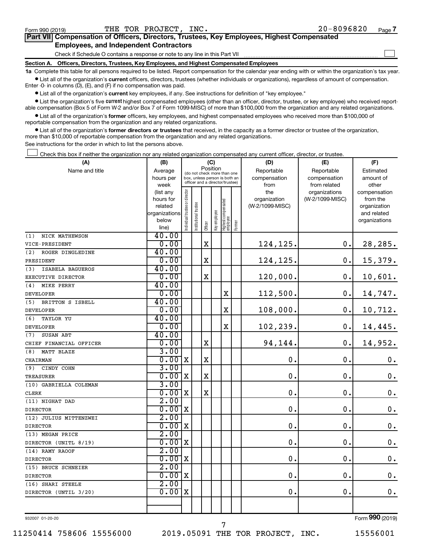$\Box$ 

| Part VII Compensation of Officers, Directors, Trustees, Key Employees, Highest Compensated |  |  |
|--------------------------------------------------------------------------------------------|--|--|
| <b>Employees, and Independent Contractors</b>                                              |  |  |

Check if Schedule O contains a response or note to any line in this Part VII

**Section A. Officers, Directors, Trustees, Key Employees, and Highest Compensated Employees**

**1a**  Complete this table for all persons required to be listed. Report compensation for the calendar year ending with or within the organization's tax year.  $\bullet$  List all of the organization's current officers, directors, trustees (whether individuals or organizations), regardless of amount of compensation.

Enter -0- in columns (D), (E), and (F) if no compensation was paid.

**•** List all of the organization's current key employees, if any. See instructions for definition of "key employee."

• List the organization's five *current* highest compensated employees (other than an officer, director, trustee, or key employee) who received reportable compensation (Box 5 of Form W-2 and/or Box 7 of Form 1099-MISC) of more than \$100,000 from the organization and any related organizations.

 $\bullet$  List all of the organization's former officers, key employees, and highest compensated employees who received more than \$100,000 of reportable compensation from the organization and any related organizations.

**•** List all of the organization's former directors or trustees that received, in the capacity as a former director or trustee of the organization, more than \$10,000 of reportable compensation from the organization and any related organizations.

See instructions for the order in which to list the persons above.

Check this box if neither the organization nor any related organization compensated any current officer, director, or trustee.  $\Box$ 

| (A)                     | (C)<br>(B)           |                                         |                                                                  |             |              |                                   | (D)    | (F)                             |                 |                          |
|-------------------------|----------------------|-----------------------------------------|------------------------------------------------------------------|-------------|--------------|-----------------------------------|--------|---------------------------------|-----------------|--------------------------|
| Name and title          | Average              | Position<br>(do not check more than one |                                                                  |             |              |                                   |        | Reportable                      | Reportable      | Estimated                |
|                         | hours per            |                                         | box, unless person is both an<br>officer and a director/trustee) |             |              |                                   |        | compensation                    | compensation    | amount of                |
|                         | week                 |                                         |                                                                  |             |              |                                   |        | from                            | from related    | other                    |
|                         | (list any            |                                         |                                                                  |             |              |                                   |        | the                             | organizations   | compensation             |
|                         | hours for<br>related |                                         |                                                                  |             |              |                                   |        | organization<br>(W-2/1099-MISC) | (W-2/1099-MISC) | from the<br>organization |
|                         | organizations        |                                         |                                                                  |             |              |                                   |        |                                 |                 | and related              |
|                         | below                |                                         |                                                                  |             |              |                                   |        |                                 |                 | organizations            |
|                         | line)                | Individual trustee or director          | Institutional trustee                                            | Officer     | Key employee | Highest compensated<br>  employee | Former |                                 |                 |                          |
| NICK MATHEWSON<br>(1)   | 40.00                |                                         |                                                                  |             |              |                                   |        |                                 |                 |                          |
| VICE-PRESIDENT          | 0.00                 |                                         |                                                                  | $\mathbf x$ |              |                                   |        | 124,125.                        | 0.              | 28,285.                  |
| (2)<br>ROGER DINGLEDINE | 40.00                |                                         |                                                                  |             |              |                                   |        |                                 |                 |                          |
| PRESIDENT               | 0.00                 |                                         |                                                                  | X           |              |                                   |        | 124,125.                        | $\mathbf 0$ .   | 15,379.                  |
| (3)<br>ISABELA BAGUEROS | 40.00                |                                         |                                                                  |             |              |                                   |        |                                 |                 |                          |
| EXECUTIVE DIRECTOR      | 0.00                 |                                         |                                                                  | $\mathbf X$ |              |                                   |        | 120,000.                        | $\mathbf 0$ .   | 10,601.                  |
| (4)<br>MIKE PERRY       | 40.00                |                                         |                                                                  |             |              |                                   |        |                                 |                 |                          |
| <b>DEVELOPER</b>        | 0.00                 |                                         |                                                                  |             |              | X                                 |        | 112,500.                        | $\mathbf 0$ .   | 14,747.                  |
| BRITTON S ISBELL<br>(5) | 40.00                |                                         |                                                                  |             |              |                                   |        |                                 |                 |                          |
| <b>DEVELOPER</b>        | 0.00                 |                                         |                                                                  |             |              | $\mathbf x$                       |        | 108,000.                        | $\mathbf 0$ .   | 10,712.                  |
| (6)<br><b>TAYLOR YU</b> | 40.00                |                                         |                                                                  |             |              |                                   |        |                                 |                 |                          |
| <b>DEVELOPER</b>        | 0.00                 |                                         |                                                                  |             |              | $\rm X$                           |        | 102,239.                        | $\mathbf 0$ .   | 14,445.                  |
| SUSAN ABT<br>(7)        | 40.00                |                                         |                                                                  |             |              |                                   |        |                                 |                 |                          |
| CHIEF FINANCIAL OFFICER | 0.00                 |                                         |                                                                  | $\mathbf X$ |              |                                   |        | 94,144.                         | $\mathbf 0$ .   | 14,952.                  |
| (8)<br>MATT BLAZE       | 3.00                 |                                         |                                                                  |             |              |                                   |        |                                 |                 |                          |
| CHAIRMAN                | 0.00                 | $\mathbf x$                             |                                                                  | X           |              |                                   |        | 0.                              | $\mathbf 0$ .   | $\mathbf 0$ .            |
| (9)<br>CINDY COHN       | 3.00                 |                                         |                                                                  |             |              |                                   |        |                                 |                 |                          |
| TREASURER               | 0.00                 | $\mathbf X$                             |                                                                  | $\mathbf X$ |              |                                   |        | $\mathbf 0$ .                   | $\mathbf 0$ .   | $\boldsymbol{0}$ .       |
| (10) GABRIELLA COLEMAN  | 3.00                 |                                         |                                                                  |             |              |                                   |        |                                 |                 |                          |
| <b>CLERK</b>            | 0.00                 | $\mathbf x$                             |                                                                  | X           |              |                                   |        | $\mathbf 0$ .                   | $\mathbf 0$ .   | $\mathbf 0$ .            |
| (11) NIGHAT DAD         | 2.00                 |                                         |                                                                  |             |              |                                   |        |                                 |                 |                          |
| <b>DIRECTOR</b>         | 0.00                 | $\mathbf X$                             |                                                                  |             |              |                                   |        | $\mathbf 0$ .                   | $\mathbf 0$ .   | $\boldsymbol{0}$ .       |
| (12) JULIUS MITTENZWEI  | 2.00                 |                                         |                                                                  |             |              |                                   |        |                                 |                 |                          |
| <b>DIRECTOR</b>         | 0.00                 | X                                       |                                                                  |             |              |                                   |        | $\mathbf 0$ .                   | $\mathbf 0$ .   | $\mathbf 0$ .            |
| (13) MEGAN PRICE        | 2.00                 |                                         |                                                                  |             |              |                                   |        |                                 |                 |                          |
| DIRECTOR (UNITL 8/19)   | 0.00                 | $\mathbf X$                             |                                                                  |             |              |                                   |        | $\mathbf 0$ .                   | $\mathbf 0$ .   | $\boldsymbol{0}$ .       |
| (14) RAMY RAOOF         | 2.00                 |                                         |                                                                  |             |              |                                   |        |                                 |                 |                          |
| <b>DIRECTOR</b>         | 0.00                 | $\mathbf x$                             |                                                                  |             |              |                                   |        | $\mathbf 0$ .                   | $\mathbf 0$ .   | $\mathbf 0$ .            |
| (15) BRUCE SCHNEIER     | 2.00                 |                                         |                                                                  |             |              |                                   |        |                                 |                 |                          |
| <b>DIRECTOR</b>         | 0.00x                |                                         |                                                                  |             |              |                                   |        | $\mathbf 0$ .                   | $\mathbf 0$ .   | $\mathbf 0$ .            |
| (16) SHARI STEELE       | 2.00                 |                                         |                                                                  |             |              |                                   |        |                                 |                 |                          |
| DIRECTOR (UNTIL 3/20)   | 0.00                 | $\mathbf X$                             |                                                                  |             |              |                                   |        | $\mathbf 0$ .                   | $\mathbf 0$ .   | 0.                       |
|                         |                      |                                         |                                                                  |             |              |                                   |        |                                 |                 |                          |
|                         |                      |                                         |                                                                  |             |              |                                   |        |                                 |                 |                          |

932007 01-20-20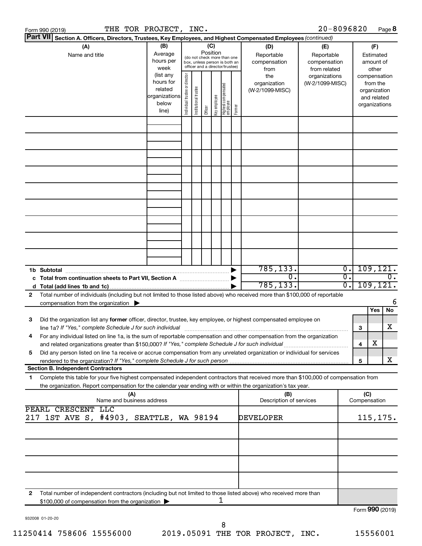| Form 990 (2019)                                                                                                                                                                                                                                                         | THE TOR PROJECT, INC.                                                |                                                                                                 |                       |         |                 |                                   |        |                                           | $20 - 8096820$                                    |                                                 |                     |                                                                          | Page 8   |
|-------------------------------------------------------------------------------------------------------------------------------------------------------------------------------------------------------------------------------------------------------------------------|----------------------------------------------------------------------|-------------------------------------------------------------------------------------------------|-----------------------|---------|-----------------|-----------------------------------|--------|-------------------------------------------|---------------------------------------------------|-------------------------------------------------|---------------------|--------------------------------------------------------------------------|----------|
| <b>Part VII</b><br>Section A. Officers, Directors, Trustees, Key Employees, and Highest Compensated Employees (continued)                                                                                                                                               |                                                                      |                                                                                                 |                       |         |                 |                                   |        |                                           |                                                   |                                                 |                     |                                                                          |          |
| (A)<br>Name and title                                                                                                                                                                                                                                                   | (B)<br>Average<br>hours per<br>week                                  | (do not check more than one<br>box, unless person is both an<br>officer and a director/trustee) |                       |         | (C)<br>Position |                                   |        | (D)<br>Reportable<br>compensation<br>from | (E)<br>Reportable<br>compensation<br>from related |                                                 |                     | (F)<br>Estimated<br>amount of<br>other                                   |          |
|                                                                                                                                                                                                                                                                         | (list any<br>hours for<br>related<br>organizations<br>below<br>line) | Individual trustee or director                                                                  | Institutional trustee | Officer | Key employee    | Highest compensated<br>  employee | Former | the<br>organization<br>(W-2/1099-MISC)    | organizations<br>(W-2/1099-MISC)                  |                                                 |                     | compensation<br>from the<br>organization<br>and related<br>organizations |          |
|                                                                                                                                                                                                                                                                         |                                                                      |                                                                                                 |                       |         |                 |                                   |        |                                           |                                                   |                                                 |                     |                                                                          |          |
|                                                                                                                                                                                                                                                                         |                                                                      |                                                                                                 |                       |         |                 |                                   |        |                                           |                                                   |                                                 |                     |                                                                          |          |
|                                                                                                                                                                                                                                                                         |                                                                      |                                                                                                 |                       |         |                 |                                   |        |                                           |                                                   |                                                 |                     |                                                                          |          |
|                                                                                                                                                                                                                                                                         |                                                                      |                                                                                                 |                       |         |                 |                                   |        |                                           |                                                   |                                                 |                     |                                                                          |          |
|                                                                                                                                                                                                                                                                         |                                                                      |                                                                                                 |                       |         |                 |                                   |        |                                           |                                                   |                                                 |                     |                                                                          |          |
|                                                                                                                                                                                                                                                                         |                                                                      |                                                                                                 |                       |         |                 |                                   |        |                                           |                                                   |                                                 |                     |                                                                          |          |
|                                                                                                                                                                                                                                                                         |                                                                      |                                                                                                 |                       |         |                 |                                   |        |                                           |                                                   |                                                 |                     |                                                                          |          |
|                                                                                                                                                                                                                                                                         |                                                                      |                                                                                                 |                       |         |                 |                                   |        |                                           |                                                   |                                                 |                     |                                                                          |          |
|                                                                                                                                                                                                                                                                         |                                                                      |                                                                                                 |                       |         |                 |                                   |        |                                           |                                                   |                                                 |                     |                                                                          |          |
| 1b Subtotal                                                                                                                                                                                                                                                             |                                                                      |                                                                                                 |                       |         |                 |                                   |        | 785, 133.<br>$\overline{0}$ .             |                                                   | $\overline{0}$ .<br>$\overline{\mathfrak{o}}$ . |                     | 109, 121.                                                                | 0.       |
| Total number of individuals (including but not limited to those listed above) who received more than \$100,000 of reportable<br>2                                                                                                                                       |                                                                      |                                                                                                 |                       |         |                 |                                   |        | 785, 133.                                 |                                                   | $\overline{0}$ .                                |                     | 109, 121.                                                                |          |
| compensation from the organization $\blacktriangleright$                                                                                                                                                                                                                |                                                                      |                                                                                                 |                       |         |                 |                                   |        |                                           |                                                   |                                                 |                     | Yes                                                                      | 6<br>No. |
| Did the organization list any former officer, director, trustee, key employee, or highest compensated employee on<br>3<br>line 1a? If "Yes," complete Schedule J for such individual [11] manufacture manufacture 1a? If "Yes," complete Schedule J for such individual |                                                                      |                                                                                                 |                       |         |                 |                                   |        |                                           |                                                   |                                                 | 3                   |                                                                          | x        |
| For any individual listed on line 1a, is the sum of reportable compensation and other compensation from the organization<br>and related organizations greater than \$150,000? If "Yes," complete Schedule J for such individual                                         |                                                                      |                                                                                                 |                       |         |                 |                                   |        |                                           |                                                   |                                                 | 4                   | х                                                                        |          |
| Did any person listed on line 1a receive or accrue compensation from any unrelated organization or individual for services<br>5<br>rendered to the organization? If "Yes," complete Schedule J for such person                                                          |                                                                      |                                                                                                 |                       |         |                 |                                   |        |                                           |                                                   |                                                 | 5                   |                                                                          | x        |
| <b>Section B. Independent Contractors</b>                                                                                                                                                                                                                               |                                                                      |                                                                                                 |                       |         |                 |                                   |        |                                           |                                                   |                                                 |                     |                                                                          |          |
| Complete this table for your five highest compensated independent contractors that received more than \$100,000 of compensation from<br>1<br>the organization. Report compensation for the calendar year ending with or within the organization's tax year.             |                                                                      |                                                                                                 |                       |         |                 |                                   |        |                                           |                                                   |                                                 |                     |                                                                          |          |
| (A)<br>Name and business address                                                                                                                                                                                                                                        |                                                                      |                                                                                                 |                       |         |                 |                                   |        | (B)<br>Description of services            |                                                   |                                                 | (C)<br>Compensation |                                                                          |          |
| PEARL CRESCENT LLC<br>1ST AVE S, #4903, SEATTLE, WA 98194<br>217                                                                                                                                                                                                        |                                                                      |                                                                                                 |                       |         |                 |                                   |        | DEVELOPER                                 |                                                   |                                                 |                     | 115, 175.                                                                |          |
|                                                                                                                                                                                                                                                                         |                                                                      |                                                                                                 |                       |         |                 |                                   |        |                                           |                                                   |                                                 |                     |                                                                          |          |
|                                                                                                                                                                                                                                                                         |                                                                      |                                                                                                 |                       |         |                 |                                   |        |                                           |                                                   |                                                 |                     |                                                                          |          |
|                                                                                                                                                                                                                                                                         |                                                                      |                                                                                                 |                       |         |                 |                                   |        |                                           |                                                   |                                                 |                     |                                                                          |          |
|                                                                                                                                                                                                                                                                         |                                                                      |                                                                                                 |                       |         |                 |                                   |        |                                           |                                                   |                                                 |                     |                                                                          |          |
| Total number of independent contractors (including but not limited to those listed above) who received more than<br>$\mathbf{2}$<br>\$100,000 of compensation from the organization                                                                                     |                                                                      |                                                                                                 |                       |         |                 | 1                                 |        |                                           |                                                   |                                                 |                     |                                                                          |          |
|                                                                                                                                                                                                                                                                         |                                                                      |                                                                                                 |                       |         |                 |                                   |        |                                           |                                                   |                                                 | Form 990 (2019)     |                                                                          |          |

932008 01-20-20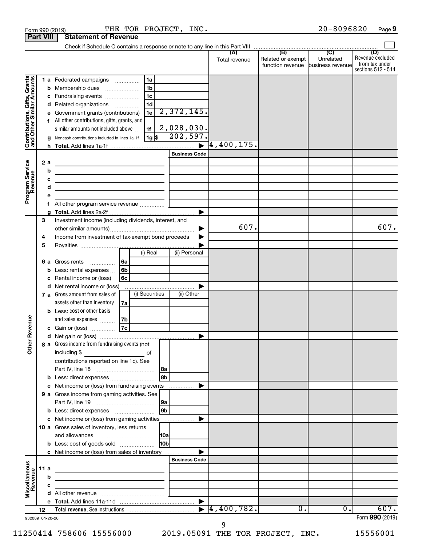|                                                           | <b>Part VIII</b>             | <b>Statement of Revenue</b>                                                                                                                                                                                                                                                         |                                                             |                                                              |                              |                                                               |                             |                                                                 |
|-----------------------------------------------------------|------------------------------|-------------------------------------------------------------------------------------------------------------------------------------------------------------------------------------------------------------------------------------------------------------------------------------|-------------------------------------------------------------|--------------------------------------------------------------|------------------------------|---------------------------------------------------------------|-----------------------------|-----------------------------------------------------------------|
|                                                           |                              |                                                                                                                                                                                                                                                                                     |                                                             |                                                              |                              |                                                               |                             |                                                                 |
|                                                           |                              |                                                                                                                                                                                                                                                                                     |                                                             |                                                              | (A)<br>Total revenue         | (B)<br>Related or exempt<br>function revenue business revenue | $\overline{C}$<br>Unrelated | (D)<br>Revenue excluded<br>from tax under<br>sections 512 - 514 |
| Contributions, Gifts, Grants<br>and Other Similar Amounts |                              | 1 a Federated campaigns<br><b>b</b> Membership dues<br>c Fundraising events<br>d Related organizations<br>Government grants (contributions)<br>f All other contributions, gifts, grants, and<br>similar amounts not included above<br>Noncash contributions included in lines 1a-1f | 1a<br>1b<br>1c<br>1d<br>1e<br>1f<br>$1g$ \$                 | 2,372,145.<br>2,028,030.<br>202,597.<br><b>Business Code</b> | $\overline{\bf }$ 4,400,175. |                                                               |                             |                                                                 |
| Program Service<br>Revenue                                | 2a<br>b<br>с<br>d<br>е<br>f. | the control of the control of the control of the control of the control of<br>the control of the control of the control of the control of the control of<br>All other program service revenue                                                                                       | the control of the control of the control of the control of | ▶                                                            |                              |                                                               |                             |                                                                 |
|                                                           | 3<br>4<br>5                  | Investment income (including dividends, interest, and<br>Income from investment of tax-exempt bond proceeds                                                                                                                                                                         |                                                             |                                                              | 607.                         |                                                               |                             | 607.                                                            |
|                                                           | c                            | 6 a Gross rents<br>.<br><b>b</b> Less: rental expenses<br>Rental income or (loss)<br><b>d</b> Net rental income or (loss)<br>7 a Gross amount from sales of<br>assets other than inventory                                                                                          | (i) Real<br> 6a<br>6b<br>6с<br>(i) Securities<br>7a         | (ii) Personal<br>(ii) Other                                  |                              |                                                               |                             |                                                                 |
| Revenue<br>$\tilde{\epsilon}$                             |                              | <b>b</b> Less: cost or other basis<br>and sales expenses<br>c Gain or (loss)<br>8 a Gross income from fundraising events (not<br>including \$                                                                                                                                       | 7b<br> 7c<br>0f                                             | ▶                                                            |                              |                                                               |                             |                                                                 |
|                                                           |                              | contributions reported on line 1c). See<br><b>b</b> Less: direct expenses <b>constants</b> b<br>c Net income or (loss) from fundraising events<br>9 a Gross income from gaming activities. See                                                                                      |                                                             | l 8b<br>.                                                    |                              |                                                               |                             |                                                                 |
|                                                           |                              | c Net income or (loss) from gaming activities<br>10 a Gross sales of inventory, less returns<br><b>b</b> Less: cost of goods sold                                                                                                                                                   |                                                             | 9 <sub>b</sub><br><b>HOb</b>                                 |                              |                                                               |                             |                                                                 |
| Miscellaneous<br>Revenue                                  | 11 a<br>b<br>с               | c Net income or (loss) from sales of inventory<br>the contract of the contract of the contract of the contract of                                                                                                                                                                   | <u> 1989 - Johann Barbara, martxa alemaniar a</u>           | <b>Business Code</b>                                         |                              |                                                               |                             |                                                                 |
|                                                           | 12<br>932009 01-20-20        |                                                                                                                                                                                                                                                                                     |                                                             | $\blacktriangleright$                                        | 4,400,782.                   | 0.                                                            | 0.                          | 607.<br>Form 990 (2019)                                         |

Form 990 (2019)  $\begin{array}{cccc} \text{THE} & \text{TOR} & \text{PROJECT.} & \text{INC.} \end{array}$  and  $\begin{array}{cccc} 20-8096820 & \text{Page.} \end{array}$ 

20-8096820 Page 9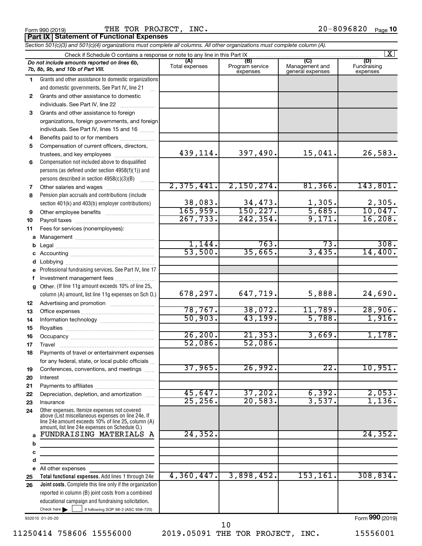| Form 990 (2019 |  |  |
|----------------|--|--|
|                |  |  |

 $\frac{1}{20}$ Form 990 (2019) THE TOR PROJECT, INC.  $\frac{1}{20}$  and  $\frac{1}{20}$   $\frac{1}{20}$   $\frac{1}{20}$   $\frac{1}{20}$ THE TOR PROJECT, INC.

| <b>Part IX Statement of Functional Expenses</b>                                                                            |
|----------------------------------------------------------------------------------------------------------------------------|
| Section 501(c)(3) and 501(c)(4) organizations must complete all columns. All other organizations must complete column (A). |
| Check if Schedule O contains a response or note to any line in this Part IX                                                |

|          |                                                                                                    |                       |                                    |                                           | $\mathbf{X}$                   |
|----------|----------------------------------------------------------------------------------------------------|-----------------------|------------------------------------|-------------------------------------------|--------------------------------|
|          | Do not include amounts reported on lines 6b,<br>7b, 8b, 9b, and 10b of Part VIII.                  | (A)<br>Total expenses | (B)<br>Program service<br>expenses | (C)<br>Management and<br>general expenses | (D)<br>Fundraising<br>expenses |
| 1.       | Grants and other assistance to domestic organizations                                              |                       |                                    |                                           |                                |
|          | and domestic governments. See Part IV, line 21                                                     |                       |                                    |                                           |                                |
| 2        | Grants and other assistance to domestic                                                            |                       |                                    |                                           |                                |
|          | individuals. See Part IV, line 22                                                                  |                       |                                    |                                           |                                |
| 3        | Grants and other assistance to foreign                                                             |                       |                                    |                                           |                                |
|          | organizations, foreign governments, and foreign                                                    |                       |                                    |                                           |                                |
|          | individuals. See Part IV, lines 15 and 16                                                          |                       |                                    |                                           |                                |
| 4        | Benefits paid to or for members                                                                    |                       |                                    |                                           |                                |
| 5        | Compensation of current officers, directors,                                                       |                       |                                    |                                           |                                |
|          | trustees, and key employees                                                                        | 439, 114.             | 397,490.                           | 15,041.                                   | 26,583.                        |
| 6        | Compensation not included above to disqualified                                                    |                       |                                    |                                           |                                |
|          | persons (as defined under section 4958(f)(1)) and                                                  |                       |                                    |                                           |                                |
|          | persons described in section 4958(c)(3)(B)                                                         |                       |                                    |                                           |                                |
| 7        | Other salaries and wages                                                                           | 2,375,441.            | 2,150,274.                         | 81,366.                                   | 143,801.                       |
| 8        | Pension plan accruals and contributions (include                                                   |                       |                                    |                                           |                                |
|          | section 401(k) and 403(b) employer contributions)                                                  | 38,083.               | 34,473.                            | 1,305.                                    | 2,305.                         |
| 9        | Other employee benefits                                                                            | 165,959.<br>267,733.  | 150, 227.<br>242, 354.             | 5,685.<br>9,171.                          | 10,047.<br>16,208.             |
| 10       |                                                                                                    |                       |                                    |                                           |                                |
| 11       | Fees for services (nonemployees):                                                                  |                       |                                    |                                           |                                |
| a        |                                                                                                    | 1,144.                | 763.                               | 73.                                       | 308.                           |
| b        |                                                                                                    | 53,500.               | 35,665.                            | 3,435.                                    | 14,400.                        |
| c        |                                                                                                    |                       |                                    |                                           |                                |
| d        |                                                                                                    |                       |                                    |                                           |                                |
| е        | Professional fundraising services. See Part IV, line 17                                            |                       |                                    |                                           |                                |
| f        | Investment management fees                                                                         |                       |                                    |                                           |                                |
|          | g Other. (If line 11g amount exceeds 10% of line 25,                                               | 678,297.              | 647,719.                           | 5,888.                                    | 24,690.                        |
|          | column (A) amount, list line 11g expenses on Sch O.)                                               |                       |                                    |                                           |                                |
| 12<br>13 |                                                                                                    | 78,767.               | 38,072.                            | 11,789.                                   | 28,906.                        |
| 14       |                                                                                                    | 50,903.               | 43,199.                            | 5,788.                                    | 1,916.                         |
| 15       |                                                                                                    |                       |                                    |                                           |                                |
| 16       |                                                                                                    | 26, 200.              | 21, 353.                           | 3,669.                                    | 1,178.                         |
| 17       | Travel                                                                                             | 52,086.               | 52,086.                            |                                           |                                |
| 18       | Payments of travel or entertainment expenses                                                       |                       |                                    |                                           |                                |
|          | for any federal, state, or local public officials                                                  |                       |                                    |                                           |                                |
| 19       | Conferences, conventions, and meetings                                                             | 37,965.               | 26,992.                            | $\overline{22}$ .                         | 10,951.                        |
| 20       | Interest                                                                                           |                       |                                    |                                           |                                |
| 21       |                                                                                                    |                       |                                    |                                           |                                |
| 22       | Depreciation, depletion, and amortization                                                          | 45,647.               | 37,202.                            | 6,392.                                    | 2,053.                         |
| 23       | Insurance                                                                                          | 25, 256.              | 20,583.                            | 3,537.                                    | 1,136.                         |
| 24       | Other expenses. Itemize expenses not covered<br>above (List miscellaneous expenses on line 24e. If |                       |                                    |                                           |                                |
|          | line 24e amount exceeds 10% of line 25, column (A)                                                 |                       |                                    |                                           |                                |
|          | amount, list line 24e expenses on Schedule O.)<br>FUNDRAISING MATERIALS                            | 24, 352.              |                                    |                                           | 24, 352.                       |
| a        | A                                                                                                  |                       |                                    |                                           |                                |
| b        | the control of the control of the control of the                                                   |                       |                                    |                                           |                                |
| c        |                                                                                                    |                       |                                    |                                           |                                |
| d        |                                                                                                    |                       |                                    |                                           |                                |
|          | e All other expenses<br>Total functional expenses. Add lines 1 through 24e                         | 4,360,447.            | 3,898,452.                         | 153, 161.                                 | 308, 834.                      |
| 25<br>26 | Joint costs. Complete this line only if the organization                                           |                       |                                    |                                           |                                |
|          | reported in column (B) joint costs from a combined                                                 |                       |                                    |                                           |                                |
|          | educational campaign and fundraising solicitation.                                                 |                       |                                    |                                           |                                |
|          | Check here $\blacktriangleright$<br>if following SOP 98-2 (ASC 958-720)                            |                       |                                    |                                           |                                |
|          | 932010 01-20-20                                                                                    |                       |                                    |                                           | Form 990 (2019)                |

11250414 758606 15556000 2019.05091 THE TOR PROJECT, INC. 15556001

10

Form (2019) **990**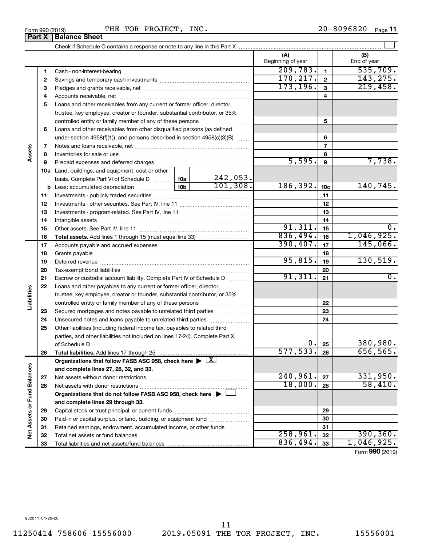÷

Form 990 (2019)  $\begin{array}{cccc} \text{THE} & \text{TOR} & \text{PROJECT.}} \end{array}$  THE TOR PROJECT, INC.  $20-8096820$  Page 20-8096820 Page 11

|                             | Part X | <b>Balance Sheet</b>                                                                                                                                                                                                           |           |                           |                          |                 |                    |
|-----------------------------|--------|--------------------------------------------------------------------------------------------------------------------------------------------------------------------------------------------------------------------------------|-----------|---------------------------|--------------------------|-----------------|--------------------|
|                             |        |                                                                                                                                                                                                                                |           |                           |                          |                 |                    |
|                             |        |                                                                                                                                                                                                                                |           |                           | (A)<br>Beginning of year |                 | (B)<br>End of year |
|                             | 1      |                                                                                                                                                                                                                                |           |                           | 209,783.                 | 1               | 535,709.           |
|                             | 2      |                                                                                                                                                                                                                                |           |                           | 170, 217.                | $\mathbf 2$     | 143, 275.          |
|                             | З      |                                                                                                                                                                                                                                |           | 173, 196.                 | 3                        | 219,458.        |                    |
|                             | 4      |                                                                                                                                                                                                                                |           |                           | 4                        |                 |                    |
|                             | 5      | Loans and other receivables from any current or former officer, director,                                                                                                                                                      |           |                           |                          |                 |                    |
|                             |        | trustee, key employee, creator or founder, substantial contributor, or 35%                                                                                                                                                     |           |                           |                          |                 |                    |
|                             |        | controlled entity or family member of any of these persons [                                                                                                                                                                   |           | 5                         |                          |                 |                    |
|                             | 6      | Loans and other receivables from other disqualified persons (as defined                                                                                                                                                        |           |                           |                          |                 |                    |
|                             |        | under section 4958(f)(1)), and persons described in section 4958(c)(3)(B)                                                                                                                                                      |           |                           |                          | 6               |                    |
|                             | 7      |                                                                                                                                                                                                                                |           |                           |                          | 7               |                    |
| Assets                      | 8      |                                                                                                                                                                                                                                |           |                           | 8                        |                 |                    |
|                             | 9      | Prepaid expenses and deferred charges [11] [11] Prepaid expenses and deferred charges [11] [11] American contract experiment and the Prepaid expension of Prepaid experiment and the Prepaid experiment and the Prepaid experi |           |                           | 5,595.                   | 9               | 7,738.             |
|                             |        | <b>10a</b> Land, buildings, and equipment: cost or other                                                                                                                                                                       |           |                           |                          |                 |                    |
|                             |        | basis. Complete Part VI of Schedule D  10a                                                                                                                                                                                     |           | $\frac{242,053}{101,308}$ |                          |                 |                    |
|                             |        |                                                                                                                                                                                                                                |           |                           | 186,392.                 | 10 <sub>c</sub> | 140,745.           |
|                             | 11     |                                                                                                                                                                                                                                |           |                           | 11                       |                 |                    |
|                             | 12     |                                                                                                                                                                                                                                |           |                           | 12                       |                 |                    |
|                             | 13     |                                                                                                                                                                                                                                |           | 13                        |                          |                 |                    |
|                             | 14     |                                                                                                                                                                                                                                |           |                           |                          | 14              |                    |
|                             | 15     |                                                                                                                                                                                                                                |           |                           | 91,311.                  | 15              | 0.                 |
|                             | 16     |                                                                                                                                                                                                                                |           |                           | 836,494.                 | 16              | 1,046,925.         |
|                             | 17     |                                                                                                                                                                                                                                | 390, 407. | 17                        | 145,066.                 |                 |                    |
|                             | 18     |                                                                                                                                                                                                                                |           |                           |                          | 18              |                    |
|                             | 19     |                                                                                                                                                                                                                                |           |                           | 95,815.                  | 19              | 130, 519.          |
|                             | 20     |                                                                                                                                                                                                                                |           |                           |                          | 20              |                    |
|                             | 21     | Escrow or custodial account liability. Complete Part IV of Schedule D                                                                                                                                                          |           |                           | 91,311.                  | 21              | $\overline{0}$ .   |
|                             | 22     | Loans and other payables to any current or former officer, director,                                                                                                                                                           |           |                           |                          |                 |                    |
|                             |        | trustee, key employee, creator or founder, substantial contributor, or 35%                                                                                                                                                     |           |                           |                          |                 |                    |
| Liabilities                 |        | controlled entity or family member of any of these persons                                                                                                                                                                     |           |                           |                          | 22              |                    |
|                             | 23     | Secured mortgages and notes payable to unrelated third parties                                                                                                                                                                 |           |                           |                          | 23              |                    |
|                             | 24     | Unsecured notes and loans payable to unrelated third parties                                                                                                                                                                   |           |                           |                          | 24              |                    |
|                             | 25     | Other liabilities (including federal income tax, payables to related third                                                                                                                                                     |           |                           |                          |                 |                    |
|                             |        | parties, and other liabilities not included on lines 17-24). Complete Part X                                                                                                                                                   |           |                           | 0.                       |                 | 380,980.           |
|                             | 26     | of Schedule D<br>Total liabilities. Add lines 17 through 25                                                                                                                                                                    |           |                           | 577,533.                 | 25<br>26        | 656,565.           |
|                             |        | Organizations that follow FASB ASC 958, check here $\blacktriangleright \lfloor \underline{X} \rfloor$                                                                                                                         |           |                           |                          |                 |                    |
|                             |        | and complete lines 27, 28, 32, and 33.                                                                                                                                                                                         |           |                           |                          |                 |                    |
|                             | 27     |                                                                                                                                                                                                                                |           |                           | 240,961.                 | 27              | 331,950.           |
|                             | 28     |                                                                                                                                                                                                                                |           |                           | 18,000.                  | 28              | 58,410.            |
|                             |        | Organizations that do not follow FASB ASC 958, check here $\blacktriangleright$                                                                                                                                                |           |                           |                          |                 |                    |
|                             |        | and complete lines 29 through 33.                                                                                                                                                                                              |           |                           |                          |                 |                    |
|                             | 29     |                                                                                                                                                                                                                                |           |                           |                          | 29              |                    |
|                             | 30     | Paid-in or capital surplus, or land, building, or equipment fund                                                                                                                                                               |           |                           |                          | 30              |                    |
|                             | 31     | Retained earnings, endowment, accumulated income, or other funds                                                                                                                                                               |           |                           |                          | 31              |                    |
| Net Assets or Fund Balances | 32     |                                                                                                                                                                                                                                |           |                           | 258,961.                 | 32              | 390, 360.          |
|                             | 33     |                                                                                                                                                                                                                                |           |                           | 836,494.                 | 33              | 1,046,925.         |
|                             |        |                                                                                                                                                                                                                                |           |                           |                          |                 |                    |

Form (2019) **990**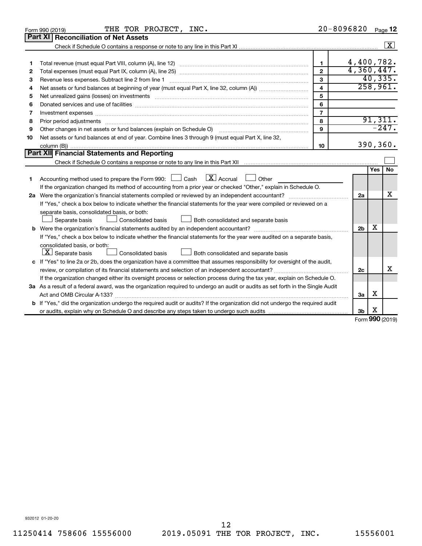|    | THE TOR PROJECT, INC.<br>Form 990 (2019)                                                                                                                                                                                       | $20 - 8096820$          |                |            | Page 12    |  |
|----|--------------------------------------------------------------------------------------------------------------------------------------------------------------------------------------------------------------------------------|-------------------------|----------------|------------|------------|--|
|    | Part XI<br><b>Reconciliation of Net Assets</b>                                                                                                                                                                                 |                         |                |            |            |  |
|    |                                                                                                                                                                                                                                |                         |                |            | $\sqrt{X}$ |  |
|    |                                                                                                                                                                                                                                |                         |                |            |            |  |
| 1  |                                                                                                                                                                                                                                | $\blacksquare$          | 4,400,782.     |            |            |  |
| 2  |                                                                                                                                                                                                                                | $\mathbf{2}$            | 4,360,447.     |            |            |  |
| з  | Revenue less expenses. Subtract line 2 from line 1                                                                                                                                                                             | 3                       |                |            | 40,335.    |  |
| 4  |                                                                                                                                                                                                                                | $\overline{\mathbf{4}}$ |                |            | 258,961.   |  |
| 5  |                                                                                                                                                                                                                                | 5                       |                |            |            |  |
| 6  |                                                                                                                                                                                                                                | 6                       |                |            |            |  |
| 7  | Investment expenses www.communication.com/www.communication.com/www.communication.com/www.com                                                                                                                                  | $\overline{7}$          |                |            |            |  |
| 8  | Prior period adjustments material contents and content and content and content and content and content and content and content and content and content and content and content and content and content and content and content | 8                       |                |            | 91,311.    |  |
| 9  | Other changes in net assets or fund balances (explain on Schedule O)                                                                                                                                                           | 9                       |                |            | $-247.$    |  |
| 10 | Net assets or fund balances at end of year. Combine lines 3 through 9 (must equal Part X, line 32,                                                                                                                             |                         |                |            |            |  |
|    |                                                                                                                                                                                                                                | 10                      |                |            | 390,360.   |  |
|    | Part XII Financial Statements and Reporting                                                                                                                                                                                    |                         |                |            |            |  |
|    |                                                                                                                                                                                                                                |                         |                |            |            |  |
|    |                                                                                                                                                                                                                                |                         |                | <b>Yes</b> | No         |  |
| 1  | Accounting method used to prepare the Form 990: $\Box$ Cash $\Box X$ Accrual<br><b>Durier</b>                                                                                                                                  |                         |                |            |            |  |
|    | If the organization changed its method of accounting from a prior year or checked "Other," explain in Schedule O.                                                                                                              |                         |                |            |            |  |
|    |                                                                                                                                                                                                                                |                         |                |            |            |  |
|    | If "Yes," check a box below to indicate whether the financial statements for the year were compiled or reviewed on a                                                                                                           |                         |                |            |            |  |
|    | separate basis, consolidated basis, or both:                                                                                                                                                                                   |                         |                |            |            |  |
|    | Both consolidated and separate basis<br>Separate basis<br>Consolidated basis                                                                                                                                                   |                         |                | х          |            |  |
|    |                                                                                                                                                                                                                                |                         | 2 <sub>b</sub> |            |            |  |
|    | If "Yes," check a box below to indicate whether the financial statements for the year were audited on a separate basis,                                                                                                        |                         |                |            |            |  |
|    | consolidated basis, or both:                                                                                                                                                                                                   |                         |                |            |            |  |
|    | $ \mathbf{X} $ Separate basis<br><b>Consolidated basis</b><br>Both consolidated and separate basis                                                                                                                             |                         |                |            |            |  |
|    | c If "Yes" to line 2a or 2b, does the organization have a committee that assumes responsibility for oversight of the audit,                                                                                                    |                         | 2c             |            | х          |  |
|    | review, or compilation of its financial statements and selection of an independent accountant?                                                                                                                                 |                         |                |            |            |  |
|    | If the organization changed either its oversight process or selection process during the tax year, explain on Schedule O.                                                                                                      |                         |                |            |            |  |
|    | 3a As a result of a federal award, was the organization required to undergo an audit or audits as set forth in the Single Audit                                                                                                |                         | За             | x          |            |  |
|    | b If "Yes," did the organization undergo the required audit or audits? If the organization did not undergo the required audit                                                                                                  |                         |                |            |            |  |
|    |                                                                                                                                                                                                                                |                         | 3b             | х          |            |  |
|    |                                                                                                                                                                                                                                |                         |                |            |            |  |

Form (2019) **990**

932012 01-20-20

11250414 758606 15556000 2019.05091 THE TOR PROJECT, INC. 15556001 12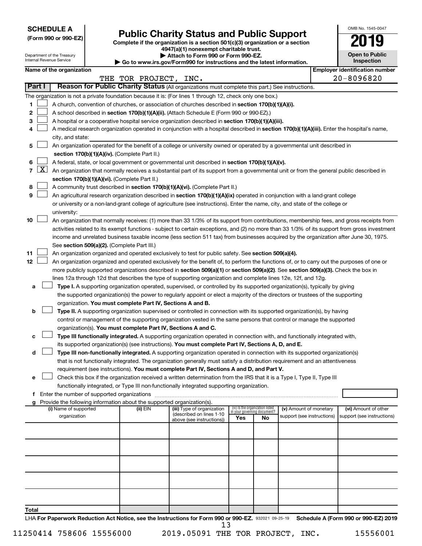**SCHEDULE A**

Department of the Treasury

| (Form 990 or 990-EZ) |  |  |  |  |
|----------------------|--|--|--|--|
|----------------------|--|--|--|--|

# **Public Charity Status and Public Support**

**(Form 990 or 990-EZ) Complete if the organization is a section 501(c)(3) organization or a section**

**4947(a)(1) nonexempt charitable trust. | Attach to Form 990 or Form 990-EZ.** 

|  | $\blacksquare$                                                                               |  |
|--|----------------------------------------------------------------------------------------------|--|
|  | $\blacktriangleright$ Go to www.irs.gov/Form990 for instructions and the latest information. |  |

| <b>Open to Public</b><br>Inspection |  |  |  |  |  |  |
|-------------------------------------|--|--|--|--|--|--|
|                                     |  |  |  |  |  |  |

OMB No. 1545-0047

|                |                     | Internal Revenue Service                                                                                                                                                   |  |                                                                        | ᇭ ល ៲ ៴៲ ៲៲៲ ៴៴៴ ៴៲ ៲ ៴៲ ៲៲៲ ៴៴៴<br>$\triangleright$ Go to www.irs.gov/Form990 for instructions and the latest information.                                                                                                      |     |                                                                |                            |  | Inspection                            |
|----------------|---------------------|----------------------------------------------------------------------------------------------------------------------------------------------------------------------------|--|------------------------------------------------------------------------|----------------------------------------------------------------------------------------------------------------------------------------------------------------------------------------------------------------------------------|-----|----------------------------------------------------------------|----------------------------|--|---------------------------------------|
|                |                     | Name of the organization                                                                                                                                                   |  |                                                                        |                                                                                                                                                                                                                                  |     |                                                                |                            |  | <b>Employer identification number</b> |
|                |                     |                                                                                                                                                                            |  | THE TOR PROJECT, INC.                                                  |                                                                                                                                                                                                                                  |     |                                                                |                            |  | $20 - 8096820$                        |
| Part I         |                     |                                                                                                                                                                            |  |                                                                        | Reason for Public Charity Status (All organizations must complete this part.) See instructions.                                                                                                                                  |     |                                                                |                            |  |                                       |
|                |                     |                                                                                                                                                                            |  |                                                                        | The organization is not a private foundation because it is: (For lines 1 through 12, check only one box.)                                                                                                                        |     |                                                                |                            |  |                                       |
| 1.             |                     |                                                                                                                                                                            |  |                                                                        | A church, convention of churches, or association of churches described in section 170(b)(1)(A)(i).                                                                                                                               |     |                                                                |                            |  |                                       |
| 2              |                     |                                                                                                                                                                            |  |                                                                        | A school described in section 170(b)(1)(A)(ii). (Attach Schedule E (Form 990 or 990-EZ).)                                                                                                                                        |     |                                                                |                            |  |                                       |
| 3              |                     |                                                                                                                                                                            |  |                                                                        | A hospital or a cooperative hospital service organization described in section 170(b)(1)(A)(iii).                                                                                                                                |     |                                                                |                            |  |                                       |
| 4              |                     |                                                                                                                                                                            |  |                                                                        | A medical research organization operated in conjunction with a hospital described in section 170(b)(1)(A)(iii). Enter the hospital's name,                                                                                       |     |                                                                |                            |  |                                       |
|                |                     | city, and state:                                                                                                                                                           |  |                                                                        |                                                                                                                                                                                                                                  |     |                                                                |                            |  |                                       |
| 5              |                     | An organization operated for the benefit of a college or university owned or operated by a governmental unit described in<br>section 170(b)(1)(A)(iv). (Complete Part II.) |  |                                                                        |                                                                                                                                                                                                                                  |     |                                                                |                            |  |                                       |
| 6              |                     |                                                                                                                                                                            |  |                                                                        | A federal, state, or local government or governmental unit described in section 170(b)(1)(A)(v).                                                                                                                                 |     |                                                                |                            |  |                                       |
| $\overline{7}$ | $\lfloor x \rfloor$ |                                                                                                                                                                            |  |                                                                        | An organization that normally receives a substantial part of its support from a governmental unit or from the general public described in                                                                                        |     |                                                                |                            |  |                                       |
|                |                     |                                                                                                                                                                            |  | section 170(b)(1)(A)(vi). (Complete Part II.)                          |                                                                                                                                                                                                                                  |     |                                                                |                            |  |                                       |
| 8              |                     |                                                                                                                                                                            |  |                                                                        | A community trust described in section 170(b)(1)(A)(vi). (Complete Part II.)                                                                                                                                                     |     |                                                                |                            |  |                                       |
| 9              |                     |                                                                                                                                                                            |  |                                                                        | An agricultural research organization described in section 170(b)(1)(A)(ix) operated in conjunction with a land-grant college                                                                                                    |     |                                                                |                            |  |                                       |
|                |                     |                                                                                                                                                                            |  |                                                                        | or university or a non-land-grant college of agriculture (see instructions). Enter the name, city, and state of the college or                                                                                                   |     |                                                                |                            |  |                                       |
|                |                     | university:                                                                                                                                                                |  |                                                                        |                                                                                                                                                                                                                                  |     |                                                                |                            |  |                                       |
| 10             |                     |                                                                                                                                                                            |  |                                                                        | An organization that normally receives: (1) more than 33 1/3% of its support from contributions, membership fees, and gross receipts from                                                                                        |     |                                                                |                            |  |                                       |
|                |                     |                                                                                                                                                                            |  |                                                                        | activities related to its exempt functions - subject to certain exceptions, and (2) no more than 33 1/3% of its support from gross investment                                                                                    |     |                                                                |                            |  |                                       |
|                |                     |                                                                                                                                                                            |  |                                                                        | income and unrelated business taxable income (less section 511 tax) from businesses acquired by the organization after June 30, 1975.                                                                                            |     |                                                                |                            |  |                                       |
|                |                     |                                                                                                                                                                            |  | See section 509(a)(2). (Complete Part III.)                            |                                                                                                                                                                                                                                  |     |                                                                |                            |  |                                       |
| 11             |                     | An organization organized and operated exclusively to test for public safety. See section 509(a)(4).                                                                       |  |                                                                        |                                                                                                                                                                                                                                  |     |                                                                |                            |  |                                       |
| 12             |                     |                                                                                                                                                                            |  |                                                                        | An organization organized and operated exclusively for the benefit of, to perform the functions of, or to carry out the purposes of one or                                                                                       |     |                                                                |                            |  |                                       |
|                |                     |                                                                                                                                                                            |  |                                                                        | more publicly supported organizations described in section 509(a)(1) or section 509(a)(2). See section 509(a)(3). Check the box in                                                                                               |     |                                                                |                            |  |                                       |
|                |                     |                                                                                                                                                                            |  |                                                                        | lines 12a through 12d that describes the type of supporting organization and complete lines 12e, 12f, and 12g.                                                                                                                   |     |                                                                |                            |  |                                       |
| а              |                     |                                                                                                                                                                            |  |                                                                        | Type I. A supporting organization operated, supervised, or controlled by its supported organization(s), typically by giving                                                                                                      |     |                                                                |                            |  |                                       |
|                |                     |                                                                                                                                                                            |  |                                                                        | the supported organization(s) the power to regularly appoint or elect a majority of the directors or trustees of the supporting                                                                                                  |     |                                                                |                            |  |                                       |
|                |                     |                                                                                                                                                                            |  | organization. You must complete Part IV, Sections A and B.             |                                                                                                                                                                                                                                  |     |                                                                |                            |  |                                       |
| b              |                     |                                                                                                                                                                            |  |                                                                        | Type II. A supporting organization supervised or controlled in connection with its supported organization(s), by having                                                                                                          |     |                                                                |                            |  |                                       |
|                |                     |                                                                                                                                                                            |  |                                                                        | control or management of the supporting organization vested in the same persons that control or manage the supported                                                                                                             |     |                                                                |                            |  |                                       |
|                |                     |                                                                                                                                                                            |  |                                                                        | organization(s). You must complete Part IV, Sections A and C.                                                                                                                                                                    |     |                                                                |                            |  |                                       |
| с              |                     |                                                                                                                                                                            |  |                                                                        | Type III functionally integrated. A supporting organization operated in connection with, and functionally integrated with,<br>its supported organization(s) (see instructions). You must complete Part IV, Sections A, D, and E. |     |                                                                |                            |  |                                       |
| d              |                     |                                                                                                                                                                            |  |                                                                        | Type III non-functionally integrated. A supporting organization operated in connection with its supported organization(s)                                                                                                        |     |                                                                |                            |  |                                       |
|                |                     |                                                                                                                                                                            |  |                                                                        | that is not functionally integrated. The organization generally must satisfy a distribution requirement and an attentiveness                                                                                                     |     |                                                                |                            |  |                                       |
|                |                     |                                                                                                                                                                            |  |                                                                        | requirement (see instructions). You must complete Part IV, Sections A and D, and Part V.                                                                                                                                         |     |                                                                |                            |  |                                       |
| е              |                     |                                                                                                                                                                            |  |                                                                        | Check this box if the organization received a written determination from the IRS that it is a Type I, Type II, Type III                                                                                                          |     |                                                                |                            |  |                                       |
|                |                     |                                                                                                                                                                            |  |                                                                        | functionally integrated, or Type III non-functionally integrated supporting organization.                                                                                                                                        |     |                                                                |                            |  |                                       |
|                |                     |                                                                                                                                                                            |  |                                                                        |                                                                                                                                                                                                                                  |     |                                                                |                            |  |                                       |
| g              |                     |                                                                                                                                                                            |  | Provide the following information about the supported organization(s). |                                                                                                                                                                                                                                  |     |                                                                |                            |  |                                       |
|                |                     | (i) Name of supported                                                                                                                                                      |  | (ii) EIN                                                               | (iii) Type of organization<br>(described on lines 1-10                                                                                                                                                                           |     | (iv) Is the organization listed<br>in your governing document? | (v) Amount of monetary     |  | (vi) Amount of other                  |
|                |                     | organization                                                                                                                                                               |  |                                                                        | above (see instructions))                                                                                                                                                                                                        | Yes | No                                                             | support (see instructions) |  | support (see instructions)            |
|                |                     |                                                                                                                                                                            |  |                                                                        |                                                                                                                                                                                                                                  |     |                                                                |                            |  |                                       |
|                |                     |                                                                                                                                                                            |  |                                                                        |                                                                                                                                                                                                                                  |     |                                                                |                            |  |                                       |
|                |                     |                                                                                                                                                                            |  |                                                                        |                                                                                                                                                                                                                                  |     |                                                                |                            |  |                                       |
|                |                     |                                                                                                                                                                            |  |                                                                        |                                                                                                                                                                                                                                  |     |                                                                |                            |  |                                       |
|                |                     |                                                                                                                                                                            |  |                                                                        |                                                                                                                                                                                                                                  |     |                                                                |                            |  |                                       |
|                |                     |                                                                                                                                                                            |  |                                                                        |                                                                                                                                                                                                                                  |     |                                                                |                            |  |                                       |
|                |                     |                                                                                                                                                                            |  |                                                                        |                                                                                                                                                                                                                                  |     |                                                                |                            |  |                                       |
| Total          |                     |                                                                                                                                                                            |  |                                                                        |                                                                                                                                                                                                                                  |     |                                                                |                            |  |                                       |

LHA For Paperwork Reduction Act Notice, see the Instructions for Form 990 or 990-EZ. 932021 09-25-19 Schedule A (Form 990 or 990-EZ) 2019 13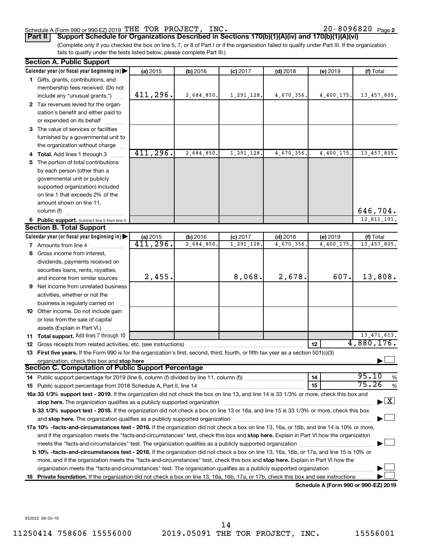#### Schedule A (Form 990 or 990-EZ) 2019 THE TOR PROJECT, INC.  $20-8096820$  Page

20-8096820 Page 2

(Complete only if you checked the box on line 5, 7, or 8 of Part I or if the organization failed to qualify under Part III. If the organization **Part II Support Schedule for Organizations Described in Sections 170(b)(1)(A)(iv) and 170(b)(1)(A)(vi)**

fails to qualify under the tests listed below, please complete Part III.)

|     | <b>Section A. Public Support</b>                                                                                                                                                                                               |           |            |            |            |            |                            |  |
|-----|--------------------------------------------------------------------------------------------------------------------------------------------------------------------------------------------------------------------------------|-----------|------------|------------|------------|------------|----------------------------|--|
|     | Calendar year (or fiscal year beginning in)                                                                                                                                                                                    | (a) 2015  | (b) 2016   | $(c)$ 2017 | $(d)$ 2018 | (e) 2019   | (f) Total                  |  |
|     | 1 Gifts, grants, contributions, and                                                                                                                                                                                            |           |            |            |            |            |                            |  |
|     | membership fees received. (Do not                                                                                                                                                                                              |           |            |            |            |            |                            |  |
|     | include any "unusual grants.")                                                                                                                                                                                                 | 411,296.  | 2,684,850. | 1,291,128. | 4,670,356. | 4,400,175. | 13, 457, 805.              |  |
|     | 2 Tax revenues levied for the organ-                                                                                                                                                                                           |           |            |            |            |            |                            |  |
|     | ization's benefit and either paid to                                                                                                                                                                                           |           |            |            |            |            |                            |  |
|     | or expended on its behalf                                                                                                                                                                                                      |           |            |            |            |            |                            |  |
|     | 3 The value of services or facilities                                                                                                                                                                                          |           |            |            |            |            |                            |  |
|     | furnished by a governmental unit to                                                                                                                                                                                            |           |            |            |            |            |                            |  |
|     | the organization without charge                                                                                                                                                                                                |           |            |            |            |            |                            |  |
|     | 4 Total. Add lines 1 through 3                                                                                                                                                                                                 | 411, 296. | 2,684,850. | 1,291,128  | 4,670,356. | 4,400,175. | 13,457,805.                |  |
| 5.  | The portion of total contributions                                                                                                                                                                                             |           |            |            |            |            |                            |  |
|     | by each person (other than a                                                                                                                                                                                                   |           |            |            |            |            |                            |  |
|     | governmental unit or publicly                                                                                                                                                                                                  |           |            |            |            |            |                            |  |
|     | supported organization) included                                                                                                                                                                                               |           |            |            |            |            |                            |  |
|     | on line 1 that exceeds 2% of the                                                                                                                                                                                               |           |            |            |            |            |                            |  |
|     | amount shown on line 11,                                                                                                                                                                                                       |           |            |            |            |            |                            |  |
|     | column (f)                                                                                                                                                                                                                     |           |            |            |            |            | 646,704.                   |  |
|     | 6 Public support. Subtract line 5 from line 4.                                                                                                                                                                                 |           |            |            |            |            | 12,811,101.                |  |
|     | <b>Section B. Total Support</b>                                                                                                                                                                                                |           |            |            |            |            |                            |  |
|     | Calendar year (or fiscal year beginning in)                                                                                                                                                                                    | (a) 2015  | (b) 2016   | $(c)$ 2017 | $(d)$ 2018 | (e) 2019   | (f) Total                  |  |
|     | 7 Amounts from line 4                                                                                                                                                                                                          | 411,296.  | 2,684,850  | 1,291,128  | 4,670,356  | 4,400,175. | 13, 457, 805.              |  |
| 8   | Gross income from interest,                                                                                                                                                                                                    |           |            |            |            |            |                            |  |
|     | dividends, payments received on                                                                                                                                                                                                |           |            |            |            |            |                            |  |
|     | securities loans, rents, royalties,                                                                                                                                                                                            |           |            |            |            |            |                            |  |
|     | and income from similar sources                                                                                                                                                                                                | 2,455.    |            | 8,068.     | 2,678.     | 607.       | 13,808.                    |  |
|     | <b>9</b> Net income from unrelated business                                                                                                                                                                                    |           |            |            |            |            |                            |  |
|     | activities, whether or not the                                                                                                                                                                                                 |           |            |            |            |            |                            |  |
|     | business is regularly carried on                                                                                                                                                                                               |           |            |            |            |            |                            |  |
|     | 10 Other income. Do not include gain                                                                                                                                                                                           |           |            |            |            |            |                            |  |
|     | or loss from the sale of capital                                                                                                                                                                                               |           |            |            |            |            |                            |  |
|     | assets (Explain in Part VI.)                                                                                                                                                                                                   |           |            |            |            |            |                            |  |
|     | <b>11 Total support.</b> Add lines 7 through 10                                                                                                                                                                                |           |            |            |            |            | 13, 471, 613.              |  |
|     | <b>12</b> Gross receipts from related activities, etc. (see instructions)                                                                                                                                                      |           |            |            |            | 12         | $\overline{4}$ , 880, 176. |  |
|     | 13 First five years. If the Form 990 is for the organization's first, second, third, fourth, or fifth tax year as a section 501(c)(3)                                                                                          |           |            |            |            |            |                            |  |
|     | organization, check this box and stop here<br><b>Section C. Computation of Public Support Percentage</b>                                                                                                                       |           |            |            |            |            |                            |  |
|     |                                                                                                                                                                                                                                |           |            |            |            | 14         | 95.10                      |  |
|     | 14 Public support percentage for 2019 (line 6, column (f) divided by line 11, column (f) <i>mummumumum</i>                                                                                                                     |           |            |            |            | 15         | %<br>75.26<br>$\%$         |  |
|     | 16a 33 1/3% support test - 2019. If the organization did not check the box on line 13, and line 14 is 33 1/3% or more, check this box and                                                                                      |           |            |            |            |            |                            |  |
|     | stop here. The organization qualifies as a publicly supported organization [11] manuscription manuscription manuscription manuscription manuscription manuscription and the state of the state of the state of the state of th |           |            |            |            |            | $\mathbf{X}$               |  |
|     | b 33 1/3% support test - 2018. If the organization did not check a box on line 13 or 16a, and line 15 is 33 1/3% or more, check this box                                                                                       |           |            |            |            |            |                            |  |
|     | and stop here. The organization qualifies as a publicly supported organization [11] content to the content of the content of the content of the content of the content of the content of the content of the content of the con |           |            |            |            |            |                            |  |
|     | 17a 10% -facts-and-circumstances test - 2019. If the organization did not check a box on line 13, 16a, or 16b, and line 14 is 10% or more,                                                                                     |           |            |            |            |            |                            |  |
|     | and if the organization meets the "facts-and-circumstances" test, check this box and stop here. Explain in Part VI how the organization                                                                                        |           |            |            |            |            |                            |  |
|     | meets the "facts-and-circumstances" test. The organization qualifies as a publicly supported organization <i>manumumumum</i>                                                                                                   |           |            |            |            |            |                            |  |
|     | b 10% -facts-and-circumstances test - 2018. If the organization did not check a box on line 13, 16a, 16b, or 17a, and line 15 is 10% or                                                                                        |           |            |            |            |            |                            |  |
|     | more, and if the organization meets the "facts-and-circumstances" test, check this box and stop here. Explain in Part VI how the                                                                                               |           |            |            |            |            |                            |  |
|     | organization meets the "facts-and-circumstances" test. The organization qualifies as a publicly supported organization                                                                                                         |           |            |            |            |            |                            |  |
| 18. |                                                                                                                                                                                                                                |           |            |            |            |            |                            |  |
|     | Private foundation. If the organization did not check a box on line 13, 16a, 16b, 17a, or 17b, check this box and see instructions<br>Schedule A (Form 990 or 990-EZ) 2019                                                     |           |            |            |            |            |                            |  |

932022 09-25-19

11250414 758606 15556000 2019.05091 THE TOR PROJECT, INC. 15556001 14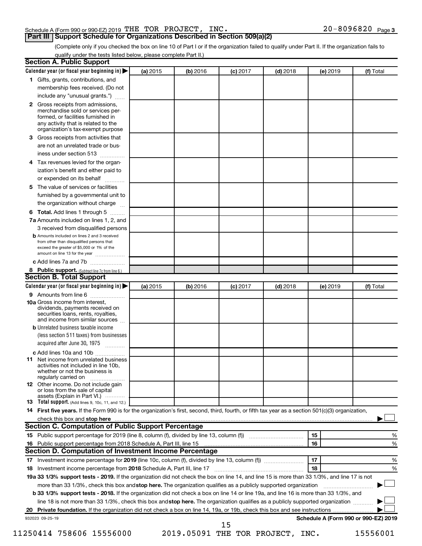## Schedule A (Form 990 or 990-EZ) 2019 THE TOR PROJECT, INC.  $20-8096820$  Page

(Complete only if you checked the box on line 10 of Part I or if the organization failed to qualify under Part II. If the organization fails to qualify under the tests listed below, please complete Part II.)

|                                        | Calendar year (or fiscal year beginning in)                                                                                                                                                                                                                                     | (a) 2015 | (b) 2016                         | $(c)$ 2017 | $(d)$ 2018 |    | (e) 2019 | (f) Total                            |   |
|----------------------------------------|---------------------------------------------------------------------------------------------------------------------------------------------------------------------------------------------------------------------------------------------------------------------------------|----------|----------------------------------|------------|------------|----|----------|--------------------------------------|---|
|                                        | 1 Gifts, grants, contributions, and                                                                                                                                                                                                                                             |          |                                  |            |            |    |          |                                      |   |
|                                        | membership fees received. (Do not                                                                                                                                                                                                                                               |          |                                  |            |            |    |          |                                      |   |
|                                        | include any "unusual grants.")                                                                                                                                                                                                                                                  |          |                                  |            |            |    |          |                                      |   |
|                                        | 2 Gross receipts from admissions,<br>merchandise sold or services per-<br>formed, or facilities furnished in<br>any activity that is related to the<br>organization's tax-exempt purpose                                                                                        |          |                                  |            |            |    |          |                                      |   |
| 3.                                     | Gross receipts from activities that                                                                                                                                                                                                                                             |          |                                  |            |            |    |          |                                      |   |
|                                        | are not an unrelated trade or bus-                                                                                                                                                                                                                                              |          |                                  |            |            |    |          |                                      |   |
| iness under section 513                |                                                                                                                                                                                                                                                                                 |          |                                  |            |            |    |          |                                      |   |
| 4                                      | Tax revenues levied for the organ-                                                                                                                                                                                                                                              |          |                                  |            |            |    |          |                                      |   |
|                                        | ization's benefit and either paid to<br>or expended on its behalf<br>.                                                                                                                                                                                                          |          |                                  |            |            |    |          |                                      |   |
| 5.                                     | The value of services or facilities                                                                                                                                                                                                                                             |          |                                  |            |            |    |          |                                      |   |
|                                        | furnished by a governmental unit to<br>the organization without charge                                                                                                                                                                                                          |          |                                  |            |            |    |          |                                      |   |
| 6                                      | Total. Add lines 1 through 5                                                                                                                                                                                                                                                    |          |                                  |            |            |    |          |                                      |   |
|                                        | 7a Amounts included on lines 1, 2, and                                                                                                                                                                                                                                          |          |                                  |            |            |    |          |                                      |   |
|                                        | 3 received from disqualified persons                                                                                                                                                                                                                                            |          |                                  |            |            |    |          |                                      |   |
|                                        | <b>b</b> Amounts included on lines 2 and 3 received                                                                                                                                                                                                                             |          |                                  |            |            |    |          |                                      |   |
|                                        | from other than disqualified persons that<br>exceed the greater of \$5,000 or 1% of the<br>amount on line 13 for the year                                                                                                                                                       |          |                                  |            |            |    |          |                                      |   |
|                                        | c Add lines 7a and 7b                                                                                                                                                                                                                                                           |          |                                  |            |            |    |          |                                      |   |
|                                        | 8 Public support. (Subtract line 7c from line 6.)                                                                                                                                                                                                                               |          |                                  |            |            |    |          |                                      |   |
|                                        | <b>Section B. Total Support</b>                                                                                                                                                                                                                                                 |          |                                  |            |            |    |          |                                      |   |
|                                        | Calendar year (or fiscal year beginning in)                                                                                                                                                                                                                                     | (a) 2015 | (b) 2016                         | $(c)$ 2017 | $(d)$ 2018 |    | (e) 2019 | (f) Total                            |   |
|                                        | 9 Amounts from line 6                                                                                                                                                                                                                                                           |          |                                  |            |            |    |          |                                      |   |
| <b>10a</b> Gross income from interest, | dividends, payments received on<br>securities loans, rents, royalties,<br>and income from similar sources                                                                                                                                                                       |          |                                  |            |            |    |          |                                      |   |
|                                        | <b>b</b> Unrelated business taxable income                                                                                                                                                                                                                                      |          |                                  |            |            |    |          |                                      |   |
|                                        | (less section 511 taxes) from businesses<br>acquired after June 30, 1975                                                                                                                                                                                                        |          |                                  |            |            |    |          |                                      |   |
|                                        | c Add lines 10a and 10b                                                                                                                                                                                                                                                         |          |                                  |            |            |    |          |                                      |   |
| 11<br>regularly carried on             | Net income from unrelated business<br>activities not included in line 10b.<br>whether or not the business is                                                                                                                                                                    |          |                                  |            |            |    |          |                                      |   |
|                                        | <b>12</b> Other income. Do not include gain<br>or loss from the sale of capital<br>assets (Explain in Part VI.)                                                                                                                                                                 |          |                                  |            |            |    |          |                                      |   |
|                                        | <b>13</b> Total support. (Add lines 9, 10c, 11, and 12.)                                                                                                                                                                                                                        |          |                                  |            |            |    |          |                                      |   |
|                                        | 14 First five years. If the Form 990 is for the organization's first, second, third, fourth, or fifth tax year as a section 501(c)(3) organization,                                                                                                                             |          |                                  |            |            |    |          |                                      |   |
|                                        | check this box and stop here <i>macuum macuum macuum macuum macuum macuum macuum macuum macuum</i>                                                                                                                                                                              |          |                                  |            |            |    |          |                                      |   |
|                                        | Section C. Computation of Public Support Percentage                                                                                                                                                                                                                             |          |                                  |            |            |    |          |                                      |   |
|                                        |                                                                                                                                                                                                                                                                                 |          |                                  |            |            | 15 |          |                                      | % |
|                                        |                                                                                                                                                                                                                                                                                 |          |                                  |            |            | 16 |          |                                      | % |
|                                        | Section D. Computation of Investment Income Percentage                                                                                                                                                                                                                          |          |                                  |            |            |    |          |                                      |   |
|                                        |                                                                                                                                                                                                                                                                                 |          |                                  |            |            | 17 |          |                                      | % |
|                                        |                                                                                                                                                                                                                                                                                 |          |                                  |            |            | 18 |          |                                      | % |
|                                        | 19a 33 1/3% support tests - 2019. If the organization did not check the box on line 14, and line 15 is more than 33 1/3%, and line 17 is not                                                                                                                                    |          |                                  |            |            |    |          |                                      |   |
|                                        | more than 33 1/3%, check this box and stop here. The organization qualifies as a publicly supported organization                                                                                                                                                                |          |                                  |            |            |    |          |                                      |   |
|                                        | <b>b 33 1/3% support tests - 2018.</b> If the organization did not check a box on line 14 or line 19a, and line 16 is more than 33 1/3%, and<br>line 18 is not more than 33 1/3%, check this box and stop here. The organization qualifies as a publicly supported organization |          |                                  |            |            |    |          |                                      |   |
|                                        |                                                                                                                                                                                                                                                                                 |          |                                  |            |            |    |          |                                      |   |
|                                        |                                                                                                                                                                                                                                                                                 |          |                                  |            |            |    |          |                                      |   |
| 932023 09-25-19                        |                                                                                                                                                                                                                                                                                 |          |                                  | 15         |            |    |          | Schedule A (Form 990 or 990-EZ) 2019 |   |
|                                        | 11250414 758606 15556000                                                                                                                                                                                                                                                        |          | 2019.05091 THE TOR PROJECT, INC. |            |            |    |          | 15556001                             |   |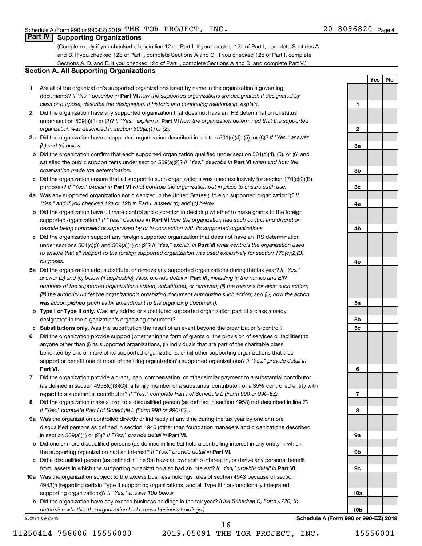**1**

**2**

**3a**

**3b**

**3c**

**4a**

**4b**

**4c**

**5a**

**5b 5c**

**6**

**7**

**8**

**9a**

**9b**

**9c**

**10a**

**10b**

**Yes No**

## **Part IV Supporting Organizations**

(Complete only if you checked a box in line 12 on Part I. If you checked 12a of Part I, complete Sections A and B. If you checked 12b of Part I, complete Sections A and C. If you checked 12c of Part I, complete Sections A, D, and E. If you checked 12d of Part I, complete Sections A and D, and complete Part V.)

### **Section A. All Supporting Organizations**

- **1** Are all of the organization's supported organizations listed by name in the organization's governing documents? If "No," describe in Part VI how the supported organizations are designated. If designated by *class or purpose, describe the designation. If historic and continuing relationship, explain.*
- **2** Did the organization have any supported organization that does not have an IRS determination of status under section 509(a)(1) or (2)? If "Yes," explain in Part **VI** how the organization determined that the supported *organization was described in section 509(a)(1) or (2).*
- **3a** Did the organization have a supported organization described in section 501(c)(4), (5), or (6)? If "Yes," answer *(b) and (c) below.*
- **b** Did the organization confirm that each supported organization qualified under section 501(c)(4), (5), or (6) and satisfied the public support tests under section 509(a)(2)? If "Yes," describe in Part VI when and how the *organization made the determination.*
- **c** Did the organization ensure that all support to such organizations was used exclusively for section 170(c)(2)(B) purposes? If "Yes," explain in Part VI what controls the organization put in place to ensure such use.
- **4 a** *If* Was any supported organization not organized in the United States ("foreign supported organization")? *"Yes," and if you checked 12a or 12b in Part I, answer (b) and (c) below.*
- **b** Did the organization have ultimate control and discretion in deciding whether to make grants to the foreign supported organization? If "Yes," describe in Part VI how the organization had such control and discretion *despite being controlled or supervised by or in connection with its supported organizations.*
- **c** Did the organization support any foreign supported organization that does not have an IRS determination under sections 501(c)(3) and 509(a)(1) or (2)? If "Yes," explain in Part VI what controls the organization used *to ensure that all support to the foreign supported organization was used exclusively for section 170(c)(2)(B) purposes.*
- **5a** Did the organization add, substitute, or remove any supported organizations during the tax year? If "Yes," answer (b) and (c) below (if applicable). Also, provide detail in **Part VI,** including (i) the names and EIN *numbers of the supported organizations added, substituted, or removed; (ii) the reasons for each such action; (iii) the authority under the organization's organizing document authorizing such action; and (iv) how the action was accomplished (such as by amendment to the organizing document).*
- **b Type I or Type II only.** Was any added or substituted supported organization part of a class already designated in the organization's organizing document?
- **c Substitutions only.**  Was the substitution the result of an event beyond the organization's control?
- **6** Did the organization provide support (whether in the form of grants or the provision of services or facilities) to **Part VI.** support or benefit one or more of the filing organization's supported organizations? If "Yes," provide detail in anyone other than (i) its supported organizations, (ii) individuals that are part of the charitable class benefited by one or more of its supported organizations, or (iii) other supporting organizations that also
- **7** Did the organization provide a grant, loan, compensation, or other similar payment to a substantial contributor regard to a substantial contributor? If "Yes," complete Part I of Schedule L (Form 990 or 990-EZ). (as defined in section 4958(c)(3)(C)), a family member of a substantial contributor, or a 35% controlled entity with
- **8** Did the organization make a loan to a disqualified person (as defined in section 4958) not described in line 7? *If "Yes," complete Part I of Schedule L (Form 990 or 990-EZ).*
- **9 a** Was the organization controlled directly or indirectly at any time during the tax year by one or more in section 509(a)(1) or (2))? If "Yes," provide detail in **Part VI.** disqualified persons as defined in section 4946 (other than foundation managers and organizations described
- **b** Did one or more disqualified persons (as defined in line 9a) hold a controlling interest in any entity in which the supporting organization had an interest? If "Yes," provide detail in Part VI.
- **c** Did a disqualified person (as defined in line 9a) have an ownership interest in, or derive any personal benefit from, assets in which the supporting organization also had an interest? If "Yes," provide detail in Part VI.
- **10 a** Was the organization subject to the excess business holdings rules of section 4943 because of section supporting organizations)? If "Yes," answer 10b below. 4943(f) (regarding certain Type II supporting organizations, and all Type III non-functionally integrated
	- **b** Did the organization have any excess business holdings in the tax year? (Use Schedule C, Form 4720, to *determine whether the organization had excess business holdings.)*

932024 09-25-19

**Schedule A (Form 990 or 990-EZ) 2019**

11250414 758606 15556000 2019.05091 THE TOR PROJECT, INC. 15556001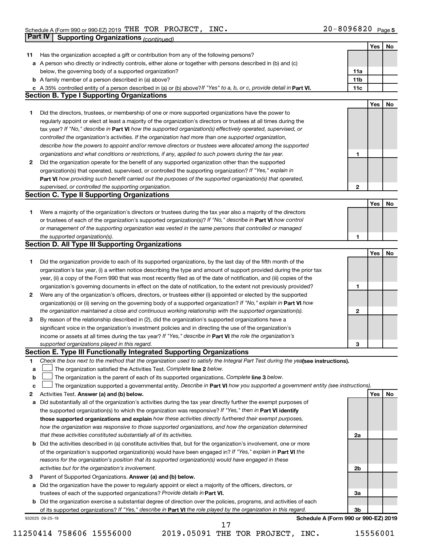|    | <b>Part IV</b>  | <b>Supporting Organizations (continued)</b>                                                                                     |                 |     |    |
|----|-----------------|---------------------------------------------------------------------------------------------------------------------------------|-----------------|-----|----|
|    |                 |                                                                                                                                 |                 | Yes | No |
| 11 |                 | Has the organization accepted a gift or contribution from any of the following persons?                                         |                 |     |    |
| а  |                 | A person who directly or indirectly controls, either alone or together with persons described in (b) and (c)                    |                 |     |    |
|    |                 | below, the governing body of a supported organization?                                                                          | 11a             |     |    |
|    |                 | <b>b</b> A family member of a person described in (a) above?                                                                    | 11 <sub>b</sub> |     |    |
|    |                 | c A 35% controlled entity of a person described in (a) or (b) above? If "Yes" to a, b, or c, provide detail in Part VI.         | 11c             |     |    |
|    |                 | <b>Section B. Type I Supporting Organizations</b>                                                                               |                 |     |    |
|    |                 |                                                                                                                                 |                 | Yes | No |
| 1. |                 | Did the directors, trustees, or membership of one or more supported organizations have the power to                             |                 |     |    |
|    |                 | regularly appoint or elect at least a majority of the organization's directors or trustees at all times during the              |                 |     |    |
|    |                 |                                                                                                                                 |                 |     |    |
|    |                 | tax year? If "No," describe in Part VI how the supported organization(s) effectively operated, supervised, or                   |                 |     |    |
|    |                 | controlled the organization's activities. If the organization had more than one supported organization,                         |                 |     |    |
|    |                 | describe how the powers to appoint and/or remove directors or trustees were allocated among the supported                       |                 |     |    |
|    |                 | organizations and what conditions or restrictions, if any, applied to such powers during the tax year.                          | 1               |     |    |
| 2  |                 | Did the organization operate for the benefit of any supported organization other than the supported                             |                 |     |    |
|    |                 | organization(s) that operated, supervised, or controlled the supporting organization? If "Yes," explain in                      |                 |     |    |
|    |                 | Part VI how providing such benefit carried out the purposes of the supported organization(s) that operated,                     |                 |     |    |
|    |                 | supervised, or controlled the supporting organization.                                                                          | 2               |     |    |
|    |                 | <b>Section C. Type II Supporting Organizations</b>                                                                              |                 |     |    |
|    |                 |                                                                                                                                 |                 | Yes | No |
| 1. |                 | Were a majority of the organization's directors or trustees during the tax year also a majority of the directors                |                 |     |    |
|    |                 | or trustees of each of the organization's supported organization(s)? If "No," describe in Part VI how control                   |                 |     |    |
|    |                 | or management of the supporting organization was vested in the same persons that controlled or managed                          |                 |     |    |
|    |                 | the supported organization(s).                                                                                                  | 1               |     |    |
|    |                 | <b>Section D. All Type III Supporting Organizations</b>                                                                         |                 |     |    |
|    |                 |                                                                                                                                 |                 | Yes | No |
| 1  |                 | Did the organization provide to each of its supported organizations, by the last day of the fifth month of the                  |                 |     |    |
|    |                 | organization's tax year, (i) a written notice describing the type and amount of support provided during the prior tax           |                 |     |    |
|    |                 | year, (ii) a copy of the Form 990 that was most recently filed as of the date of notification, and (iii) copies of the          |                 |     |    |
|    |                 | organization's governing documents in effect on the date of notification, to the extent not previously provided?                | 1               |     |    |
| 2  |                 | Were any of the organization's officers, directors, or trustees either (i) appointed or elected by the supported                |                 |     |    |
|    |                 | organization(s) or (ii) serving on the governing body of a supported organization? If "No," explain in Part VI how              |                 |     |    |
|    |                 | the organization maintained a close and continuous working relationship with the supported organization(s).                     | 2               |     |    |
| 3  |                 | By reason of the relationship described in (2), did the organization's supported organizations have a                           |                 |     |    |
|    |                 | significant voice in the organization's investment policies and in directing the use of the organization's                      |                 |     |    |
|    |                 | income or assets at all times during the tax year? If "Yes," describe in Part VI the role the organization's                    |                 |     |    |
|    |                 | supported organizations played in this regard.                                                                                  | з               |     |    |
|    |                 | Section E. Type III Functionally Integrated Supporting Organizations                                                            |                 |     |    |
| 1  |                 | Check the box next to the method that the organization used to satisfy the Integral Part Test during the yealsee instructions). |                 |     |    |
| a  |                 | The organization satisfied the Activities Test. Complete line 2 below.                                                          |                 |     |    |
| b  |                 | The organization is the parent of each of its supported organizations. Complete line 3 below.                                   |                 |     |    |
| c  |                 | The organization supported a governmental entity. Describe in Part VI how you supported a government entity (see instructions). |                 |     |    |
| 2  |                 | Activities Test. Answer (a) and (b) below.                                                                                      |                 | Yes | No |
|    |                 | Did substantially all of the organization's activities during the tax year directly further the exempt purposes of              |                 |     |    |
| а  |                 | the supported organization(s) to which the organization was responsive? If "Yes," then in Part VI identify                      |                 |     |    |
|    |                 | those supported organizations and explain how these activities directly furthered their exempt purposes,                        |                 |     |    |
|    |                 |                                                                                                                                 |                 |     |    |
|    |                 | how the organization was responsive to those supported organizations, and how the organization determined                       |                 |     |    |
|    |                 | that these activities constituted substantially all of its activities.                                                          | 2a              |     |    |
| b  |                 | Did the activities described in (a) constitute activities that, but for the organization's involvement, one or more             |                 |     |    |
|    |                 | of the organization's supported organization(s) would have been engaged in? If "Yes," explain in Part VI the                    |                 |     |    |
|    |                 | reasons for the organization's position that its supported organization(s) would have engaged in these                          |                 |     |    |
|    |                 | activities but for the organization's involvement.                                                                              | 2b              |     |    |
| з  |                 | Parent of Supported Organizations. Answer (a) and (b) below.                                                                    |                 |     |    |
| а  |                 | Did the organization have the power to regularly appoint or elect a majority of the officers, directors, or                     |                 |     |    |
|    |                 | trustees of each of the supported organizations? Provide details in Part VI.                                                    | За              |     |    |
|    |                 | <b>b</b> Did the organization exercise a substantial degree of direction over the policies, programs, and activities of each    |                 |     |    |
|    |                 | of its supported organizations? If "Yes," describe in Part VI the role played by the organization in this regard.               | 3b              |     |    |
|    | 932025 09-25-19 | Schedule A (Form 990 or 990-EZ) 2019                                                                                            |                 |     |    |
|    |                 | 17                                                                                                                              |                 |     |    |

<sup>11250414 758606 15556000 2019.05091</sup> THE TOR PROJECT, INC. 15556001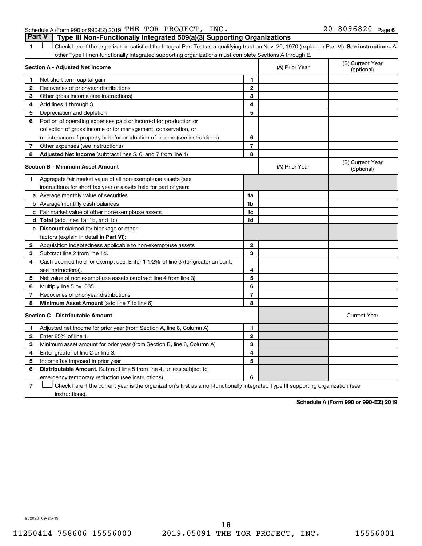### Schedule A (Form 990 or 990-EZ) 2019 THE TOR PROJECT, INC.  $20-8096820$  Page **Part V Type III Non-Functionally Integrated 509(a)(3) Supporting Organizations**

1 **Letter See instructions.** All Check here if the organization satisfied the Integral Part Test as a qualifying trust on Nov. 20, 1970 (explain in Part VI). See instructions. All other Type III non-functionally integrated supporting organizations must complete Sections A through E.

|                | Section A - Adjusted Net Income                                              |                | (A) Prior Year | (B) Current Year<br>(optional) |
|----------------|------------------------------------------------------------------------------|----------------|----------------|--------------------------------|
| 1              | Net short-term capital gain                                                  | 1              |                |                                |
| $\overline{2}$ | Recoveries of prior-year distributions                                       | $\overline{2}$ |                |                                |
| 3              | Other gross income (see instructions)                                        | 3              |                |                                |
| 4              | Add lines 1 through 3.                                                       | 4              |                |                                |
| 5              | Depreciation and depletion                                                   | 5              |                |                                |
| 6              | Portion of operating expenses paid or incurred for production or             |                |                |                                |
|                | collection of gross income or for management, conservation, or               |                |                |                                |
|                | maintenance of property held for production of income (see instructions)     | 6              |                |                                |
| 7              | Other expenses (see instructions)                                            | $\overline{7}$ |                |                                |
| 8              | Adjusted Net Income (subtract lines 5, 6, and 7 from line 4)                 | 8              |                |                                |
|                | <b>Section B - Minimum Asset Amount</b>                                      |                | (A) Prior Year | (B) Current Year<br>(optional) |
| 1              | Aggregate fair market value of all non-exempt-use assets (see                |                |                |                                |
|                | instructions for short tax year or assets held for part of year):            |                |                |                                |
|                | a Average monthly value of securities                                        | 1a             |                |                                |
|                | <b>b</b> Average monthly cash balances                                       | 1 <sub>b</sub> |                |                                |
|                | c Fair market value of other non-exempt-use assets                           | 1c             |                |                                |
|                | d Total (add lines 1a, 1b, and 1c)                                           | 1 <sub>d</sub> |                |                                |
|                | e Discount claimed for blockage or other                                     |                |                |                                |
|                | factors (explain in detail in <b>Part VI</b> ):                              |                |                |                                |
| 2              | Acquisition indebtedness applicable to non-exempt-use assets                 | $\mathbf{2}$   |                |                                |
| 3              | Subtract line 2 from line 1d.                                                | 3              |                |                                |
| 4              | Cash deemed held for exempt use. Enter 1-1/2% of line 3 (for greater amount, |                |                |                                |
|                | see instructions).                                                           | 4              |                |                                |
| 5              | Net value of non-exempt-use assets (subtract line 4 from line 3)             | 5              |                |                                |
| 6              | Multiply line 5 by .035.                                                     | 6              |                |                                |
| 7              | Recoveries of prior-year distributions                                       | $\overline{7}$ |                |                                |
| 8              | Minimum Asset Amount (add line 7 to line 6)                                  | 8              |                |                                |
|                | <b>Section C - Distributable Amount</b>                                      |                |                | <b>Current Year</b>            |
| 1              | Adjusted net income for prior year (from Section A, line 8, Column A)        | 1              |                |                                |
| 2              | Enter 85% of line 1.                                                         | $\mathbf{2}$   |                |                                |
| З              | Minimum asset amount for prior year (from Section B, line 8, Column A)       | 3              |                |                                |
| 4              | Enter greater of line 2 or line 3.                                           | 4              |                |                                |
| 5              | Income tax imposed in prior year                                             | 5              |                |                                |
| 6              | <b>Distributable Amount.</b> Subtract line 5 from line 4, unless subject to  |                |                |                                |
|                | emergency temporary reduction (see instructions).                            | 6              |                |                                |
|                |                                                                              |                |                |                                |

**7** Check here if the current year is the organization's first as a non-functionally integrated Type III supporting organization (see † instructions).

**Schedule A (Form 990 or 990-EZ) 2019**

932026 09-25-19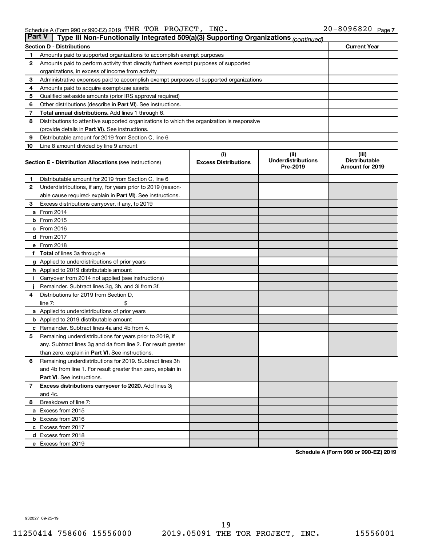| <b>Part V</b> | Type III Non-Functionally Integrated 509(a)(3) Supporting Organizations (continued)        |                             |                                       |                                                |
|---------------|--------------------------------------------------------------------------------------------|-----------------------------|---------------------------------------|------------------------------------------------|
|               | <b>Section D - Distributions</b>                                                           |                             |                                       | <b>Current Year</b>                            |
| 1             | Amounts paid to supported organizations to accomplish exempt purposes                      |                             |                                       |                                                |
| $\mathbf{2}$  | Amounts paid to perform activity that directly furthers exempt purposes of supported       |                             |                                       |                                                |
|               | organizations, in excess of income from activity                                           |                             |                                       |                                                |
| 3             | Administrative expenses paid to accomplish exempt purposes of supported organizations      |                             |                                       |                                                |
| 4             | Amounts paid to acquire exempt-use assets                                                  |                             |                                       |                                                |
| 5             | Qualified set-aside amounts (prior IRS approval required)                                  |                             |                                       |                                                |
| 6             | Other distributions (describe in Part VI). See instructions.                               |                             |                                       |                                                |
| 7             | Total annual distributions. Add lines 1 through 6.                                         |                             |                                       |                                                |
| 8             | Distributions to attentive supported organizations to which the organization is responsive |                             |                                       |                                                |
|               | (provide details in Part VI). See instructions.                                            |                             |                                       |                                                |
| 9             | Distributable amount for 2019 from Section C, line 6                                       |                             |                                       |                                                |
| 10            | Line 8 amount divided by line 9 amount                                                     |                             |                                       |                                                |
|               |                                                                                            | (i)                         | (ii)                                  | (iii)                                          |
|               | <b>Section E - Distribution Allocations (see instructions)</b>                             | <b>Excess Distributions</b> | <b>Underdistributions</b><br>Pre-2019 | <b>Distributable</b><br><b>Amount for 2019</b> |
| 1             | Distributable amount for 2019 from Section C, line 6                                       |                             |                                       |                                                |
| $\mathbf{2}$  | Underdistributions, if any, for years prior to 2019 (reason-                               |                             |                                       |                                                |
|               | able cause required- explain in Part VI). See instructions.                                |                             |                                       |                                                |
| 3             | Excess distributions carryover, if any, to 2019                                            |                             |                                       |                                                |
|               | a From 2014                                                                                |                             |                                       |                                                |
|               | <b>b</b> From 2015                                                                         |                             |                                       |                                                |
|               | c From 2016                                                                                |                             |                                       |                                                |
|               | <b>d</b> From 2017                                                                         |                             |                                       |                                                |
|               | e From 2018                                                                                |                             |                                       |                                                |
|               | f Total of lines 3a through e                                                              |                             |                                       |                                                |
|               | <b>g</b> Applied to underdistributions of prior years                                      |                             |                                       |                                                |
|               | h Applied to 2019 distributable amount                                                     |                             |                                       |                                                |
| Ť.            | Carryover from 2014 not applied (see instructions)                                         |                             |                                       |                                                |
|               | Remainder. Subtract lines 3g, 3h, and 3i from 3f.                                          |                             |                                       |                                                |
| 4             | Distributions for 2019 from Section D,                                                     |                             |                                       |                                                |
|               | line $7:$                                                                                  |                             |                                       |                                                |
|               | a Applied to underdistributions of prior years                                             |                             |                                       |                                                |
|               | <b>b</b> Applied to 2019 distributable amount                                              |                             |                                       |                                                |
| с             | Remainder. Subtract lines 4a and 4b from 4.                                                |                             |                                       |                                                |
| 5             | Remaining underdistributions for years prior to 2019, if                                   |                             |                                       |                                                |
|               | any. Subtract lines 3g and 4a from line 2. For result greater                              |                             |                                       |                                                |
|               | than zero, explain in Part VI. See instructions.                                           |                             |                                       |                                                |
| 6             | Remaining underdistributions for 2019. Subtract lines 3h                                   |                             |                                       |                                                |
|               | and 4b from line 1. For result greater than zero, explain in                               |                             |                                       |                                                |
|               | <b>Part VI.</b> See instructions.                                                          |                             |                                       |                                                |
| $\mathbf{7}$  | Excess distributions carryover to 2020. Add lines 3j                                       |                             |                                       |                                                |
|               | and 4c.                                                                                    |                             |                                       |                                                |
| 8             | Breakdown of line 7:                                                                       |                             |                                       |                                                |
|               | a Excess from 2015                                                                         |                             |                                       |                                                |
|               | <b>b</b> Excess from 2016                                                                  |                             |                                       |                                                |
|               | c Excess from 2017                                                                         |                             |                                       |                                                |
|               | d Excess from 2018                                                                         |                             |                                       |                                                |
|               | e Excess from 2019                                                                         |                             |                                       |                                                |

**Schedule A (Form 990 or 990-EZ) 2019**

932027 09-25-19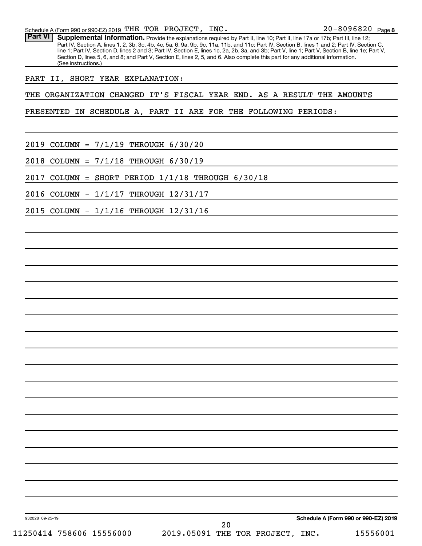Part VI | Supplemental Information. Provide the explanations required by Part II, line 10; Part II, line 17a or 17b; Part III, line 12; Part IV, Section A, lines 1, 2, 3b, 3c, 4b, 4c, 5a, 6, 9a, 9b, 9c, 11a, 11b, and 11c; Part IV, Section B, lines 1 and 2; Part IV, Section C, line 1; Part IV, Section D, lines 2 and 3; Part IV, Section E, lines 1c, 2a, 2b, 3a, and 3b; Part V, line 1; Part V, Section B, line 1e; Part V, Section D, lines 5, 6, and 8; and Part V, Section E, lines 2, 5, and 6. Also complete this part for any additional information. (See instructions.)

PART II, SHORT YEAR EXPLANATION:

THE ORGANIZATION CHANGED IT'S FISCAL YEAR END. AS A RESULT THE AMOUNTS

PRESENTED IN SCHEDULE A, PART II ARE FOR THE FOLLOWING PERIODS:

2019 COLUMN = 7/1/19 THROUGH 6/30/20

2018 COLUMN = 7/1/18 THROUGH 6/30/19

2017 COLUMN = SHORT PERIOD 1/1/18 THROUGH 6/30/18

2016 COLUMN - 1/1/17 THROUGH 12/31/17

2015 COLUMN - 1/1/16 THROUGH 12/31/16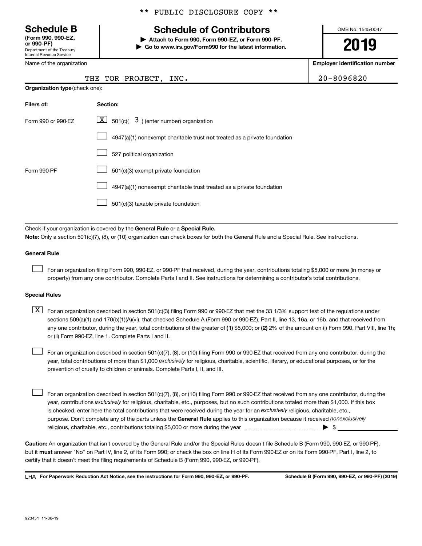Department of the Treasury Internal Revenue Service **(Form 990, 990-EZ,**

Name of the organization

# **Schedule B Schedule of Contributors**

**or 990-PF) | Attach to Form 990, Form 990-EZ, or Form 990-PF. | Go to www.irs.gov/Form990 for the latest information.** OMB No. 1545-0047

**2019**

**Employer identification number**

| $0 - 8096820$ |  |
|---------------|--|
|---------------|--|

|  | THE TOR PROJECT, INC. | 20-8096820 |
|--|-----------------------|------------|
|  |                       |            |

| <b>Organization type (check one):</b> |                                                                           |  |  |  |
|---------------------------------------|---------------------------------------------------------------------------|--|--|--|
| Filers of:                            | Section:                                                                  |  |  |  |
| Form 990 or 990-EZ                    | $ \mathbf{X} $ 501(c)( 3) (enter number) organization                     |  |  |  |
|                                       | 4947(a)(1) nonexempt charitable trust not treated as a private foundation |  |  |  |
|                                       | 527 political organization                                                |  |  |  |
| Form 990-PF                           | 501(c)(3) exempt private foundation                                       |  |  |  |
|                                       | 4947(a)(1) nonexempt charitable trust treated as a private foundation     |  |  |  |
|                                       | 501(c)(3) taxable private foundation                                      |  |  |  |

Check if your organization is covered by the General Rule or a Special Rule. **Note:**  Only a section 501(c)(7), (8), or (10) organization can check boxes for both the General Rule and a Special Rule. See instructions.

#### **General Rule**

 $\Box$ 

For an organization filing Form 990, 990-EZ, or 990-PF that received, during the year, contributions totaling \$5,000 or more (in money or property) from any one contributor. Complete Parts I and II. See instructions for determining a contributor's total contributions.

#### **Special Rules**

any one contributor, during the year, total contributions of the greater of (1) \$5,000; or (2) 2% of the amount on (i) Form 990, Part VIII, line 1h;  $\boxed{\text{X}}$  For an organization described in section 501(c)(3) filing Form 990 or 990-EZ that met the 33 1/3% support test of the regulations under sections 509(a)(1) and 170(b)(1)(A)(vi), that checked Schedule A (Form 990 or 990-EZ), Part II, line 13, 16a, or 16b, and that received from or (ii) Form 990-EZ, line 1. Complete Parts I and II.

year, total contributions of more than \$1,000 *exclusively* for religious, charitable, scientific, literary, or educational purposes, or for the For an organization described in section 501(c)(7), (8), or (10) filing Form 990 or 990-EZ that received from any one contributor, during the prevention of cruelty to children or animals. Complete Parts I, II, and III.  $\Box$ 

purpose. Don't complete any of the parts unless the General Rule applies to this organization because it received nonexclusively year, contributions exclusively for religious, charitable, etc., purposes, but no such contributions totaled more than \$1,000. If this box is checked, enter here the total contributions that were received during the year for an exclusively religious, charitable, etc., For an organization described in section 501(c)(7), (8), or (10) filing Form 990 or 990-EZ that received from any one contributor, during the religious, charitable, etc., contributions totaling \$5,000 or more during the year  $~\ldots\ldots\ldots\ldots\ldots\ldots\ldots\ldots\blacktriangleright~$ \$  $\Box$ 

**Caution:**  An organization that isn't covered by the General Rule and/or the Special Rules doesn't file Schedule B (Form 990, 990-EZ, or 990-PF),  **must** but it answer "No" on Part IV, line 2, of its Form 990; or check the box on line H of its Form 990-EZ or on its Form 990-PF, Part I, line 2, to certify that it doesn't meet the filing requirements of Schedule B (Form 990, 990-EZ, or 990-PF).

**For Paperwork Reduction Act Notice, see the instructions for Form 990, 990-EZ, or 990-PF. Schedule B (Form 990, 990-EZ, or 990-PF) (2019)** LHA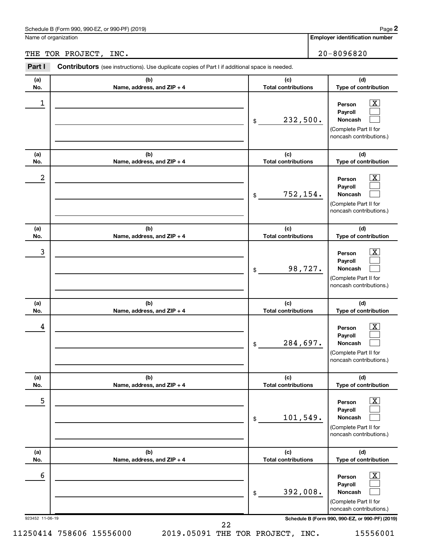Name of organization

## THE TOR PROJECT, INC. 20-8096820

| (a)              | (b)                               | (c)                               | (d)                                                                                                       |
|------------------|-----------------------------------|-----------------------------------|-----------------------------------------------------------------------------------------------------------|
| No.              | Name, address, and ZIP + 4        | <b>Total contributions</b>        | Type of contribution                                                                                      |
| 1                |                                   | 232,500.<br>\$                    | $\overline{\text{X}}$<br>Person<br>Payroll<br>Noncash<br>(Complete Part II for<br>noncash contributions.) |
| (a)<br>No.       | (b)<br>Name, address, and ZIP + 4 | (c)<br><b>Total contributions</b> | (d)<br>Type of contribution                                                                               |
| $\boldsymbol{2}$ |                                   | 752,154.<br>\$                    | x<br>Person<br>Payroll<br>Noncash<br>(Complete Part II for<br>noncash contributions.)                     |
| (a)<br>No.       | (b)<br>Name, address, and ZIP + 4 | (c)<br><b>Total contributions</b> | (d)<br>Type of contribution                                                                               |
| 3                |                                   | 98,727.<br>\$                     | x<br>Person<br>Pavroll<br>Noncash<br>(Complete Part II for<br>noncash contributions.)                     |
| (a)<br>No.       | (b)<br>Name, address, and ZIP + 4 | (c)<br><b>Total contributions</b> | (d)<br>Type of contribution                                                                               |
| 4                |                                   | 284,697.<br>\$                    | X<br>Person<br>Payroll<br>Noncash<br>(Complete Part II for<br>noncash contributions.)                     |
| (a)<br>No.       | (b)<br>Name, address, and ZIP + 4 | (c)<br><b>Total contributions</b> | (d)<br>Type of contribution                                                                               |
| 5                |                                   | 101,549.<br>\$                    | $\overline{\text{X}}$<br>Person<br>Payroll<br>Noncash<br>(Complete Part II for<br>noncash contributions.) |
| (a)<br>No.       | (b)<br>Name, address, and ZIP + 4 | (c)<br><b>Total contributions</b> | (d)<br>Type of contribution                                                                               |
| 6                |                                   | 392,008.<br>\$                    | $\overline{\text{X}}$<br>Person<br>Payroll<br>Noncash<br>(Complete Part II for<br>noncash contributions.) |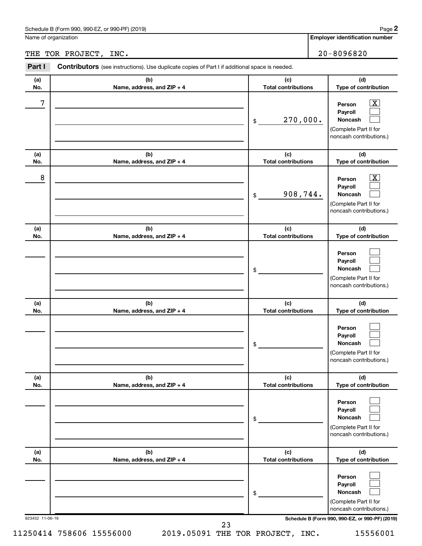Name of organization

THE TOR PROJECT, INC. 20-8096820

| Part I          | <b>Contributors</b> (see instructions). Use duplicate copies of Part I if additional space is needed. |                                   |                                                                                                             |
|-----------------|-------------------------------------------------------------------------------------------------------|-----------------------------------|-------------------------------------------------------------------------------------------------------------|
| (a)<br>No.      | (b)<br>Name, address, and ZIP + 4                                                                     | (c)<br><b>Total contributions</b> | (d)<br>Type of contribution                                                                                 |
| 7               |                                                                                                       | 270,000.<br>\$                    | $\overline{\mathbf{X}}$<br>Person<br>Payroll<br>Noncash<br>(Complete Part II for<br>noncash contributions.) |
| (a)<br>No.      | (b)<br>Name, address, and ZIP + 4                                                                     | (c)<br><b>Total contributions</b> | (d)<br>Type of contribution                                                                                 |
| 8               |                                                                                                       | 908,744.<br>\$                    | $\boxed{\mathbf{X}}$<br>Person<br>Payroll<br>Noncash<br>(Complete Part II for<br>noncash contributions.)    |
| (a)<br>No.      | (b)<br>Name, address, and ZIP + 4                                                                     | (c)<br><b>Total contributions</b> | (d)<br>Type of contribution                                                                                 |
|                 |                                                                                                       | \$                                | Person<br>Payroll<br>Noncash<br>(Complete Part II for<br>noncash contributions.)                            |
| (a)<br>No.      | (b)<br>Name, address, and ZIP + 4                                                                     | (c)<br><b>Total contributions</b> | (d)<br>Type of contribution                                                                                 |
|                 |                                                                                                       | \$                                | Person<br>Payroll<br>Noncash<br>(Complete Part II for<br>noncash contributions.)                            |
| (a)<br>No.      | (b)<br>Name, address, and ZIP + 4                                                                     | (c)<br><b>Total contributions</b> | (d)<br>Type of contribution                                                                                 |
|                 |                                                                                                       | \$                                | Person<br>Payroll<br>Noncash<br>(Complete Part II for<br>noncash contributions.)                            |
| (a)<br>No.      | (b)<br>Name, address, and ZIP + 4                                                                     | (c)<br><b>Total contributions</b> | (d)<br>Type of contribution                                                                                 |
|                 |                                                                                                       | \$                                | Person<br>Payroll<br>Noncash<br>(Complete Part II for<br>noncash contributions.)                            |
| 923452 11-06-19 |                                                                                                       | 23                                | Schedule B (Form 990, 990-EZ, or 990-PF) (2019)                                                             |

11250414 758606 15556000 2019.05091 THE TOR PROJECT, INC. 15556001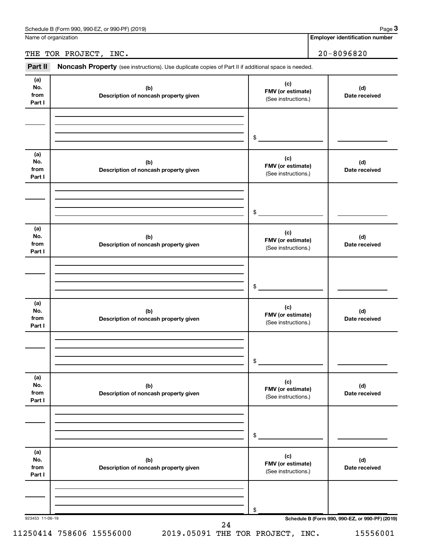Name of organization

**Employer identification number**

## THE TOR PROJECT, INC. 20-8096820

Part II Noncash Property (see instructions). Use duplicate copies of Part II if additional space is needed.

| No.<br>from<br>Part I        | (b)<br>Description of noncash property given | (c)<br>FMV (or estimate)<br>(See instructions.) | (d)<br>Date received |
|------------------------------|----------------------------------------------|-------------------------------------------------|----------------------|
|                              |                                              | $\mathfrak{S}$                                  |                      |
| (a)<br>No.<br>from<br>Part I | (b)<br>Description of noncash property given | (c)<br>FMV (or estimate)<br>(See instructions.) | (d)<br>Date received |
|                              |                                              | $\sim$                                          |                      |
| (a)<br>No.<br>from<br>Part I | (b)<br>Description of noncash property given | (c)<br>FMV (or estimate)<br>(See instructions.) | (d)<br>Date received |
|                              |                                              | $\frac{1}{2}$                                   |                      |
| (a)<br>No.<br>from<br>Part I | (b)<br>Description of noncash property given | (c)<br>FMV (or estimate)<br>(See instructions.) | (d)<br>Date received |
|                              |                                              | \$                                              |                      |
| (a)<br>No.<br>from<br>Part I | (b)<br>Description of noncash property given | (c)<br>FMV (or estimate)<br>(See instructions.) | (d)<br>Date received |
|                              |                                              | \$                                              |                      |
| (a)<br>No.<br>from<br>Part I | (b)<br>Description of noncash property given | (c)<br>FMV (or estimate)<br>(See instructions.) | (d)<br>Date received |
|                              |                                              | \$                                              |                      |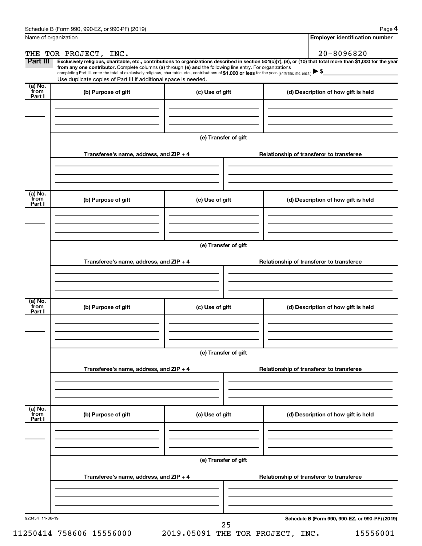**4**

| Name of organization        |                                                                                                                                                                                                                                                                                                                                                                                                                                                                                                             |                      |  | <b>Employer identification number</b>           |  |
|-----------------------------|-------------------------------------------------------------------------------------------------------------------------------------------------------------------------------------------------------------------------------------------------------------------------------------------------------------------------------------------------------------------------------------------------------------------------------------------------------------------------------------------------------------|----------------------|--|-------------------------------------------------|--|
|                             | THE TOR PROJECT, INC.                                                                                                                                                                                                                                                                                                                                                                                                                                                                                       |                      |  | $20 - 8096820$                                  |  |
| Part III                    | Exclusively religious, charitable, etc., contributions to organizations described in section 501(c)(7), (8), or (10) that total more than \$1,000 for the year<br>from any one contributor. Complete columns (a) through (e) and the following line entry. For organizations<br>completing Part III, enter the total of exclusively religious, charitable, etc., contributions of \$1,000 or less for the year. (Enter this info. once.)<br>Use duplicate copies of Part III if additional space is needed. |                      |  |                                                 |  |
| (a) No.<br>from<br>Part I   | (b) Purpose of gift                                                                                                                                                                                                                                                                                                                                                                                                                                                                                         | (c) Use of gift      |  | (d) Description of how gift is held             |  |
|                             |                                                                                                                                                                                                                                                                                                                                                                                                                                                                                                             |                      |  |                                                 |  |
|                             |                                                                                                                                                                                                                                                                                                                                                                                                                                                                                                             | (e) Transfer of gift |  |                                                 |  |
|                             | Transferee's name, address, and ZIP + 4                                                                                                                                                                                                                                                                                                                                                                                                                                                                     |                      |  | Relationship of transferor to transferee        |  |
| $(a)$ No.<br>from<br>Part I | (b) Purpose of gift                                                                                                                                                                                                                                                                                                                                                                                                                                                                                         | (c) Use of gift      |  | (d) Description of how gift is held             |  |
|                             |                                                                                                                                                                                                                                                                                                                                                                                                                                                                                                             |                      |  |                                                 |  |
|                             |                                                                                                                                                                                                                                                                                                                                                                                                                                                                                                             | (e) Transfer of gift |  |                                                 |  |
|                             | Transferee's name, address, and ZIP + 4                                                                                                                                                                                                                                                                                                                                                                                                                                                                     |                      |  | Relationship of transferor to transferee        |  |
| $(a)$ No.<br>from           | (b) Purpose of gift                                                                                                                                                                                                                                                                                                                                                                                                                                                                                         | (c) Use of gift      |  | (d) Description of how gift is held             |  |
| Part I                      |                                                                                                                                                                                                                                                                                                                                                                                                                                                                                                             |                      |  |                                                 |  |
|                             |                                                                                                                                                                                                                                                                                                                                                                                                                                                                                                             | (e) Transfer of gift |  |                                                 |  |
|                             | Transferee's name, address, and ZIP + 4                                                                                                                                                                                                                                                                                                                                                                                                                                                                     |                      |  | Relationship of transferor to transferee        |  |
| (a) No.<br>from<br>Part I   | (b) Purpose of gift                                                                                                                                                                                                                                                                                                                                                                                                                                                                                         | (c) Use of gift      |  | (d) Description of how gift is held             |  |
|                             |                                                                                                                                                                                                                                                                                                                                                                                                                                                                                                             |                      |  |                                                 |  |
|                             | (e) Transfer of gift                                                                                                                                                                                                                                                                                                                                                                                                                                                                                        |                      |  |                                                 |  |
|                             | Transferee's name, address, and ZIP + 4                                                                                                                                                                                                                                                                                                                                                                                                                                                                     |                      |  | Relationship of transferor to transferee        |  |
|                             |                                                                                                                                                                                                                                                                                                                                                                                                                                                                                                             |                      |  |                                                 |  |
| 923454 11-06-19             |                                                                                                                                                                                                                                                                                                                                                                                                                                                                                                             | 25                   |  | Schedule B (Form 990, 990-EZ, or 990-PF) (2019) |  |

11250414 758606 15556000 2019.05091 THE TOR PROJECT, INC. 15556001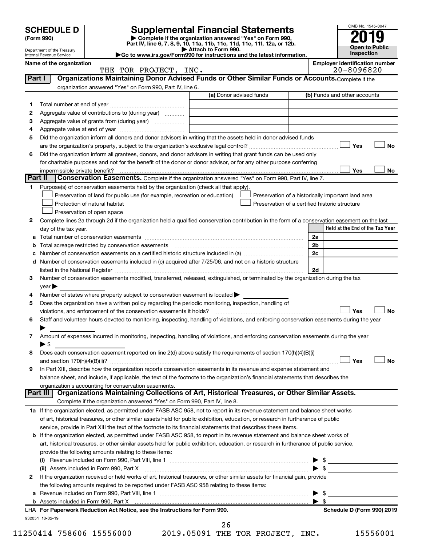OMB No. 1545-0047 Department of the Treasury Internal Revenue Service **Held at the End of the Tax Year (Form 990) | Complete if the organization answered "Yes" on Form 990, Part IV, line 6, 7, 8, 9, 10, 11a, 11b, 11c, 11d, 11e, 11f, 12a, or 12b.**<br>► Attach to Form 990. **| Attach to Form 990. |Go to www.irs.gov/Form990 for instructions and the latest information. Open to Public Inspection Name of the organization Employer identification number** (a) Donor advised funds **1 2 3 4 5 6 Yes No** † † **Yes No 1 2** Complete lines 2a through 2d if the organization held a qualified conservation contribution in the form of a conservation easement on the last **3 4 5** Does the organization have a written policy regarding the periodic monitoring, inspection, handling of **6 7 8 9 a** Total number of conservation easements ~~~~~~~~~~~~~~~~~~~~~~~~~~~~~~~~ **b** Total acreage restricted by conservation easements ~~~~~~~~~~~~~~~~~~~~~~~~~~ **c** Number of conservation easements on a certified historic structure included in (a)  $\ldots$  $\ldots$  $\ldots$  $\ldots$  $\ldots$  $\ldots$ **d 2a 2b 2c 2d Yes No Yes No** † † **1 a** If the organization elected, as permitted under FASB ASC 958, not to report in its revenue statement and balance sheet works **b** If the organization elected, as permitted under FASB ASC 958, to report in its revenue statement and balance sheet works of **(i)** Revenue included on Form 990, Part VIII, line 1 ~~~~~~~~~~~~~~~~~~~~~~~~~~~~ | \$ **(ii)** Assets included in Form 990, Part X ~~~~~~~~~~~~~~~~~~~~~~~~~~~~~~~~~ | \$ **Part I** | Organizations Maintaining Donor Advised Funds or Other Similar Funds or Accounts. Complete if the organization answered "Yes" on Form 990, Part IV, line 6. (b) Funds and other accounts Total number at end of year ~~~~~~~~~~~~~~~ Aggregate value of contributions to (during year)  $\quad \quad \ldots \ldots \ldots$ Aggregate value of grants from (during year) will contain the Aggregate value of grants from (during year) Aggregate value at end of year ~~~~~~~~~~~~~ Did the organization inform all donors and donor advisors in writing that the assets held in donor advised funds are the organization's property, subject to the organization's exclusive legal control?~~~~~~~~~~~~~~~~~~ Did the organization inform all grantees, donors, and donor advisors in writing that grant funds can be used only for charitable purposes and not for the benefit of the donor or donor advisor, or for any other purpose conferring impermissible private benefit? **Part II** Conservation Easements. Complete if the organization answered "Yes" on Form 990, Part IV, line 7. Purpose(s) of conservation easements held by the organization (check all that apply). **Preservation of land for public use (for example, recreation or education) Protection of natural habitat Fig. 1.1 The state of the state of the state of the state of the state of the state of the state of the state of the state of the state of the state of the state of the state of the state o** Preservation of open space Preservation of a historically important land area Preservation of a certified historic structure day of the tax year. Number of conservation easements included in (c) acquired after 7/25/06, and not on a historic structure listed in the National Register ~~~~~~~~~~~~~~~~~~~~~~~~~~~~~~~~~~~~~~ Number of conservation easements modified, transferred, released, extinguished, or terminated by the organization during the tax  $year$ Number of states where property subject to conservation easement is located  $\blacktriangleright$ violations, and enforcement of the conservation easements it holds? ~~~~~~~~~~~~~~~~~~~~~~~~~ Staff and volunteer hours devoted to monitoring, inspecting, handling of violations, and enforcing conservation easements during the year  $\blacktriangleright$ Amount of expenses incurred in monitoring, inspecting, handling of violations, and enforcing conservation easements during the year  $\triangleright$  \$ Does each conservation easement reported on line 2(d) above satisfy the requirements of section 170(h)(4)(B)(i) and section 170(h)(4)(B)(ii)? ~~~~~~~~~~~~~~~~~~~~~~~~~~~~~~~~~~~~~~~~~~~~~~ In Part XIII, describe how the organization reports conservation easements in its revenue and expense statement and balance sheet, and include, if applicable, the text of the footnote to the organization's financial statements that describes the organization's accounting for conservation easements. Complete if the organization answered "Yes" on Form 990, Part IV, line 8. of art, historical treasures, or other similar assets held for public exhibition, education, or research in furtherance of public service, provide in Part XIII the text of the footnote to its financial statements that describes these items. art, historical treasures, or other similar assets held for public exhibition, education, or research in furtherance of public service, provide the following amounts relating to these items: **Part III Organizations Maintaining Collections of Art, Historical Treasures, or Other Similar Assets. SCHEDULE D Supplemental Financial Statements 2019 10**<br>(Form 990) **2019** † †  $\Box$  $|$  Yes THE TOR PROJECT, INC. 20-8096820

**2** If the organization received or held works of art, historical treasures, or other similar assets for financial gain, provide **a** Revenue included on Form 990, Part VIII, line 1 ~~~~~~~~~~~~~~~~~~~~~~~~~~~~~~ | \$ the following amounts required to be reported under FASB ASC 958 relating to these items:

**b** Assets included in Form 990, Part X | \$

932051 10-02-19 **For Paperwork Reduction Act Notice, see the Instructions for Form 990. Schedule D (Form 990) 2019** LHA

- 11250414 758606 15556000 2019.05091 THE TOR PROJECT, INC. 15556001
- 26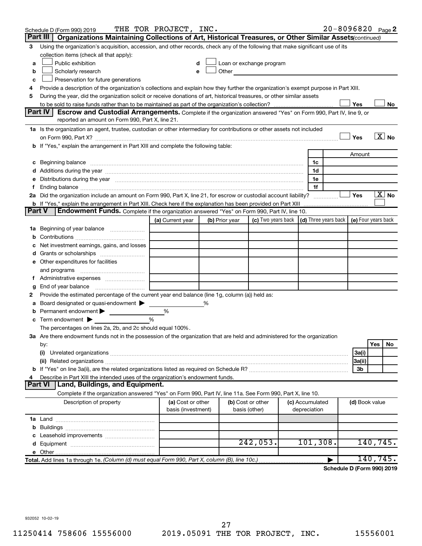|               | Schedule D (Form 990) 2019                                                                                                                                                                                                     | THE TOR PROJECT, INC. |   |                |                                                                                                                                                                                                                               |  |                 | 20-8096820 Page 2          |                     |     |                       |
|---------------|--------------------------------------------------------------------------------------------------------------------------------------------------------------------------------------------------------------------------------|-----------------------|---|----------------|-------------------------------------------------------------------------------------------------------------------------------------------------------------------------------------------------------------------------------|--|-----------------|----------------------------|---------------------|-----|-----------------------|
|               | Part III   Organizations Maintaining Collections of Art, Historical Treasures, or Other Similar Assets (continued)                                                                                                             |                       |   |                |                                                                                                                                                                                                                               |  |                 |                            |                     |     |                       |
| 3             | Using the organization's acquisition, accession, and other records, check any of the following that make significant use of its                                                                                                |                       |   |                |                                                                                                                                                                                                                               |  |                 |                            |                     |     |                       |
|               | collection items (check all that apply):                                                                                                                                                                                       |                       |   |                |                                                                                                                                                                                                                               |  |                 |                            |                     |     |                       |
| a             | Public exhibition                                                                                                                                                                                                              | d                     |   |                | Loan or exchange program                                                                                                                                                                                                      |  |                 |                            |                     |     |                       |
| b             | Scholarly research                                                                                                                                                                                                             | e                     |   |                | Other and the contract of the contract of the contract of the contract of the contract of the contract of the contract of the contract of the contract of the contract of the contract of the contract of the contract of the |  |                 |                            |                     |     |                       |
| c             | Preservation for future generations                                                                                                                                                                                            |                       |   |                |                                                                                                                                                                                                                               |  |                 |                            |                     |     |                       |
| 4             | Provide a description of the organization's collections and explain how they further the organization's exempt purpose in Part XIII.                                                                                           |                       |   |                |                                                                                                                                                                                                                               |  |                 |                            |                     |     |                       |
| 5             | During the year, did the organization solicit or receive donations of art, historical treasures, or other similar assets                                                                                                       |                       |   |                |                                                                                                                                                                                                                               |  |                 |                            |                     |     |                       |
|               |                                                                                                                                                                                                                                |                       |   |                |                                                                                                                                                                                                                               |  |                 |                            | Yes                 |     | No.                   |
|               | Part IV<br>Escrow and Custodial Arrangements. Complete if the organization answered "Yes" on Form 990, Part IV, line 9, or                                                                                                     |                       |   |                |                                                                                                                                                                                                                               |  |                 |                            |                     |     |                       |
|               | reported an amount on Form 990, Part X, line 21.                                                                                                                                                                               |                       |   |                |                                                                                                                                                                                                                               |  |                 |                            |                     |     |                       |
|               | 1a Is the organization an agent, trustee, custodian or other intermediary for contributions or other assets not included                                                                                                       |                       |   |                |                                                                                                                                                                                                                               |  |                 |                            |                     |     |                       |
|               |                                                                                                                                                                                                                                |                       |   |                |                                                                                                                                                                                                                               |  |                 |                            | Yes                 |     | $\boxed{\text{X}}$ No |
|               | <b>b</b> If "Yes," explain the arrangement in Part XIII and complete the following table:                                                                                                                                      |                       |   |                |                                                                                                                                                                                                                               |  |                 |                            |                     |     |                       |
|               |                                                                                                                                                                                                                                |                       |   |                |                                                                                                                                                                                                                               |  |                 |                            | Amount              |     |                       |
| с             | Beginning balance material content contracts and content to the content of the content of the content of the content of the content of the content of the content of the content of the content of the content of the content  |                       |   |                |                                                                                                                                                                                                                               |  | 1c              |                            |                     |     |                       |
|               |                                                                                                                                                                                                                                |                       |   |                |                                                                                                                                                                                                                               |  | 1d              |                            |                     |     |                       |
|               | e Distributions during the year manufactured and contain an account of the year manufactured and the year manufactured and the year manufactured and the year manufactured and the year manufactured and the year manufactured |                       |   |                |                                                                                                                                                                                                                               |  | 1e              |                            |                     |     |                       |
| f             |                                                                                                                                                                                                                                |                       |   |                |                                                                                                                                                                                                                               |  | 1f              |                            |                     |     |                       |
|               | 2a Did the organization include an amount on Form 990, Part X, line 21, for escrow or custodial account liability?                                                                                                             |                       |   |                |                                                                                                                                                                                                                               |  |                 |                            | Yes                 |     | $\boxed{\text{X}}$ No |
|               | <b>b</b> If "Yes," explain the arrangement in Part XIII. Check here if the explanation has been provided on Part XIII                                                                                                          |                       |   |                |                                                                                                                                                                                                                               |  |                 |                            |                     |     |                       |
| <b>Part V</b> | Endowment Funds. Complete if the organization answered "Yes" on Form 990, Part IV, line 10.                                                                                                                                    |                       |   |                |                                                                                                                                                                                                                               |  |                 |                            |                     |     |                       |
|               |                                                                                                                                                                                                                                | (a) Current year      |   | (b) Prior year | (c) Two years back                                                                                                                                                                                                            |  |                 | (d) Three years back       | (e) Four years back |     |                       |
|               | 1a Beginning of year balance                                                                                                                                                                                                   |                       |   |                |                                                                                                                                                                                                                               |  |                 |                            |                     |     |                       |
| b             |                                                                                                                                                                                                                                |                       |   |                |                                                                                                                                                                                                                               |  |                 |                            |                     |     |                       |
| с             | Net investment earnings, gains, and losses                                                                                                                                                                                     |                       |   |                |                                                                                                                                                                                                                               |  |                 |                            |                     |     |                       |
| d             |                                                                                                                                                                                                                                |                       |   |                |                                                                                                                                                                                                                               |  |                 |                            |                     |     |                       |
|               | e Other expenditures for facilities                                                                                                                                                                                            |                       |   |                |                                                                                                                                                                                                                               |  |                 |                            |                     |     |                       |
|               | and programs                                                                                                                                                                                                                   |                       |   |                |                                                                                                                                                                                                                               |  |                 |                            |                     |     |                       |
|               |                                                                                                                                                                                                                                |                       |   |                |                                                                                                                                                                                                                               |  |                 |                            |                     |     |                       |
| g             |                                                                                                                                                                                                                                |                       |   |                |                                                                                                                                                                                                                               |  |                 |                            |                     |     |                       |
| 2             | Provide the estimated percentage of the current year end balance (line 1g, column (a)) held as:                                                                                                                                |                       |   |                |                                                                                                                                                                                                                               |  |                 |                            |                     |     |                       |
| а             | Board designated or quasi-endowment                                                                                                                                                                                            |                       | % |                |                                                                                                                                                                                                                               |  |                 |                            |                     |     |                       |
| b             | Permanent endowment >                                                                                                                                                                                                          | $\%$                  |   |                |                                                                                                                                                                                                                               |  |                 |                            |                     |     |                       |
| с             | Term endowment $\blacktriangleright$                                                                                                                                                                                           | %                     |   |                |                                                                                                                                                                                                                               |  |                 |                            |                     |     |                       |
|               | The percentages on lines 2a, 2b, and 2c should equal 100%.                                                                                                                                                                     |                       |   |                |                                                                                                                                                                                                                               |  |                 |                            |                     |     |                       |
|               | 3a Are there endowment funds not in the possession of the organization that are held and administered for the organization                                                                                                     |                       |   |                |                                                                                                                                                                                                                               |  |                 |                            |                     |     |                       |
|               | by:                                                                                                                                                                                                                            |                       |   |                |                                                                                                                                                                                                                               |  |                 |                            |                     | Yes | No                    |
|               | (i)                                                                                                                                                                                                                            |                       |   |                |                                                                                                                                                                                                                               |  |                 |                            | 3a(i)               |     |                       |
|               |                                                                                                                                                                                                                                |                       |   |                |                                                                                                                                                                                                                               |  |                 |                            | 3a(ii)              |     |                       |
|               |                                                                                                                                                                                                                                |                       |   |                |                                                                                                                                                                                                                               |  |                 |                            | 3b                  |     |                       |
| 4             | Describe in Part XIII the intended uses of the organization's endowment funds.                                                                                                                                                 |                       |   |                |                                                                                                                                                                                                                               |  |                 |                            |                     |     |                       |
|               | Part VI   Land, Buildings, and Equipment.                                                                                                                                                                                      |                       |   |                |                                                                                                                                                                                                                               |  |                 |                            |                     |     |                       |
|               | Complete if the organization answered "Yes" on Form 990, Part IV, line 11a. See Form 990, Part X, line 10.                                                                                                                     |                       |   |                |                                                                                                                                                                                                                               |  |                 |                            |                     |     |                       |
|               | Description of property                                                                                                                                                                                                        | (a) Cost or other     |   |                | (b) Cost or other                                                                                                                                                                                                             |  | (c) Accumulated |                            | (d) Book value      |     |                       |
|               |                                                                                                                                                                                                                                | basis (investment)    |   |                | basis (other)                                                                                                                                                                                                                 |  | depreciation    |                            |                     |     |                       |
|               |                                                                                                                                                                                                                                |                       |   |                |                                                                                                                                                                                                                               |  |                 |                            |                     |     |                       |
| b             |                                                                                                                                                                                                                                |                       |   |                |                                                                                                                                                                                                                               |  |                 |                            |                     |     |                       |
|               |                                                                                                                                                                                                                                |                       |   |                |                                                                                                                                                                                                                               |  |                 |                            |                     |     |                       |
| d             |                                                                                                                                                                                                                                |                       |   |                | 242,053.                                                                                                                                                                                                                      |  | 101, 308.       |                            | 140, 745.           |     |                       |
|               |                                                                                                                                                                                                                                |                       |   |                |                                                                                                                                                                                                                               |  |                 |                            |                     |     |                       |
|               | Total. Add lines 1a through 1e. (Column (d) must equal Form 990, Part X, column (B), line 10c.)                                                                                                                                |                       |   |                |                                                                                                                                                                                                                               |  |                 |                            | 140,745.            |     |                       |
|               |                                                                                                                                                                                                                                |                       |   |                |                                                                                                                                                                                                                               |  |                 | Schedule D (Form 990) 2019 |                     |     |                       |

932052 10-02-19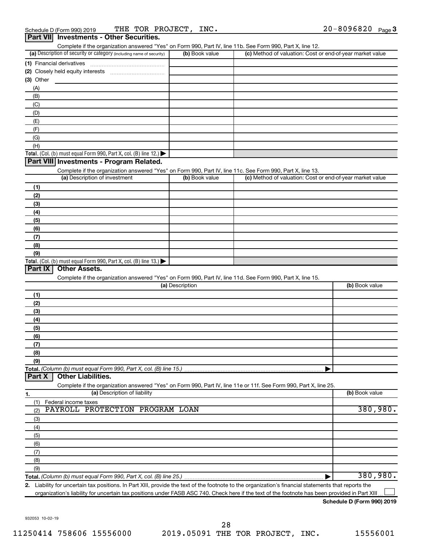| Schedule D (Form 990) 2019                      | THE TOR PROJECT,<br>INC. | $20 - 8096820$ Page 3 |
|-------------------------------------------------|--------------------------|-----------------------|
| <b>Part VII</b> Investments - Other Securities. |                          |                       |

| Complete if the organization answered "Yes" on Form 990, Part IV, line 11b. See Form 990, Part X, line 12.                                         |                 |                                                           |                |
|----------------------------------------------------------------------------------------------------------------------------------------------------|-----------------|-----------------------------------------------------------|----------------|
| (a) Description of security or category (including name of security)                                                                               | (b) Book value  | (c) Method of valuation: Cost or end-of-year market value |                |
|                                                                                                                                                    |                 |                                                           |                |
|                                                                                                                                                    |                 |                                                           |                |
| (3) Other                                                                                                                                          |                 |                                                           |                |
| (A)                                                                                                                                                |                 |                                                           |                |
| (B)                                                                                                                                                |                 |                                                           |                |
| (C)                                                                                                                                                |                 |                                                           |                |
|                                                                                                                                                    |                 |                                                           |                |
| (D)                                                                                                                                                |                 |                                                           |                |
| (E)                                                                                                                                                |                 |                                                           |                |
| (F)                                                                                                                                                |                 |                                                           |                |
| (G)                                                                                                                                                |                 |                                                           |                |
| (H)                                                                                                                                                |                 |                                                           |                |
| Total. (Col. (b) must equal Form 990, Part X, col. (B) line 12.) $\blacktriangleright$                                                             |                 |                                                           |                |
| Part VIII Investments - Program Related.                                                                                                           |                 |                                                           |                |
| Complete if the organization answered "Yes" on Form 990, Part IV, line 11c. See Form 990, Part X, line 13.                                         |                 |                                                           |                |
| (a) Description of investment                                                                                                                      | (b) Book value  | (c) Method of valuation: Cost or end-of-year market value |                |
| (1)                                                                                                                                                |                 |                                                           |                |
| (2)                                                                                                                                                |                 |                                                           |                |
| (3)                                                                                                                                                |                 |                                                           |                |
| (4)                                                                                                                                                |                 |                                                           |                |
| (5)                                                                                                                                                |                 |                                                           |                |
| (6)                                                                                                                                                |                 |                                                           |                |
| (7)                                                                                                                                                |                 |                                                           |                |
| (8)                                                                                                                                                |                 |                                                           |                |
| (9)                                                                                                                                                |                 |                                                           |                |
| Total. (Col. (b) must equal Form 990, Part X, col. (B) line 13.) $\blacktriangleright$                                                             |                 |                                                           |                |
| Part IX<br><b>Other Assets.</b>                                                                                                                    |                 |                                                           |                |
| Complete if the organization answered "Yes" on Form 990, Part IV, line 11d. See Form 990, Part X, line 15.                                         |                 |                                                           |                |
|                                                                                                                                                    | (a) Description |                                                           | (b) Book value |
| (1)                                                                                                                                                |                 |                                                           |                |
| (2)                                                                                                                                                |                 |                                                           |                |
| (3)                                                                                                                                                |                 |                                                           |                |
| (4)                                                                                                                                                |                 |                                                           |                |
| (5)                                                                                                                                                |                 |                                                           |                |
| (6)                                                                                                                                                |                 |                                                           |                |
| (7)                                                                                                                                                |                 |                                                           |                |
| (8)                                                                                                                                                |                 |                                                           |                |
| (9)                                                                                                                                                |                 |                                                           |                |
|                                                                                                                                                    |                 |                                                           |                |
| Total. (Column (b) must equal Form 990, Part X, col. (B) line 15.)<br><b>Other Liabilities.</b><br>Part X                                          |                 |                                                           |                |
| Complete if the organization answered "Yes" on Form 990, Part IV, line 11e or 11f. See Form 990, Part X, line 25.                                  |                 |                                                           |                |
| (a) Description of liability                                                                                                                       |                 |                                                           | (b) Book value |
| 1.                                                                                                                                                 |                 |                                                           |                |
| (1)<br>Federal income taxes<br>PAYROLL PROTECTION PROGRAM LOAN                                                                                     |                 |                                                           | 380,980.       |
| (2)                                                                                                                                                |                 |                                                           |                |
| (3)                                                                                                                                                |                 |                                                           |                |
| (4)                                                                                                                                                |                 |                                                           |                |
| (5)                                                                                                                                                |                 |                                                           |                |
| (6)                                                                                                                                                |                 |                                                           |                |
| (7)                                                                                                                                                |                 |                                                           |                |
| (8)                                                                                                                                                |                 |                                                           |                |
| (9)                                                                                                                                                |                 |                                                           |                |
|                                                                                                                                                    |                 |                                                           | 380,980.       |
| 2. Lightlity for upontain tax positions, in Dart VIII, provide the taxt of the footpate to the examination's financial atatoments that reports the |                 |                                                           |                |

**2.** Liability for uncertain tax positions. In Part XIII, provide the text of the footnote to the organization's financial statements that reports the organization's liability for uncertain tax positions under FASB ASC 740. Check here if the text of the footnote has been provided in Part XIII  $\perp$ 

#### **Schedule D (Form 990) 2019**

932053 10-02-19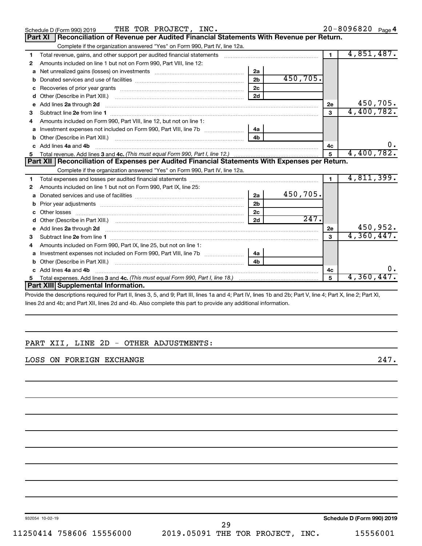|    | THE TOR PROJECT, INC.<br>Schedule D (Form 990) 2019                                                                                                                                                                                 |                |                    |                | 20-8096820 Page 4 |
|----|-------------------------------------------------------------------------------------------------------------------------------------------------------------------------------------------------------------------------------------|----------------|--------------------|----------------|-------------------|
|    | Reconciliation of Revenue per Audited Financial Statements With Revenue per Return.<br>Part XI                                                                                                                                      |                |                    |                |                   |
|    | Complete if the organization answered "Yes" on Form 990, Part IV, line 12a.                                                                                                                                                         |                |                    |                |                   |
| 1  | Total revenue, gains, and other support per audited financial statements [[[[[[[[[[[[[[[[[[[[[[[[]]]]]]]]]]]]                                                                                                                       |                |                    | $\blacksquare$ | 4,851,487.        |
| 2  | Amounts included on line 1 but not on Form 990, Part VIII, line 12:                                                                                                                                                                 |                |                    |                |                   |
| a  | Net unrealized gains (losses) on investments [111] [12] matter and the unrealized gains (losses) on investments                                                                                                                     | 2a             |                    |                |                   |
|    |                                                                                                                                                                                                                                     | 2 <sub>b</sub> | 450, 705.          |                |                   |
| c  |                                                                                                                                                                                                                                     | 2 <sub>c</sub> |                    |                |                   |
| d  |                                                                                                                                                                                                                                     | 2d             |                    |                |                   |
| e  | Add lines 2a through 2d <b>continuum continuum contract and continuum contract a</b> through 2d continuum contract and continuum contract a term of the state of the state of the state of the state of the state of the state of t |                |                    | 2e             | 450,705.          |
| 3  |                                                                                                                                                                                                                                     |                |                    | 3              | 4,400,782.        |
| 4  | Amounts included on Form 990, Part VIII, line 12, but not on line 1:                                                                                                                                                                |                |                    |                |                   |
|    |                                                                                                                                                                                                                                     | 4a             |                    |                |                   |
|    |                                                                                                                                                                                                                                     | 4 <sub>b</sub> |                    |                |                   |
|    | c Add lines 4a and 4b                                                                                                                                                                                                               |                |                    | 4c             |                   |
|    |                                                                                                                                                                                                                                     | 5              | 4,400,782.         |                |                   |
|    | Part XII   Reconciliation of Expenses per Audited Financial Statements With Expenses per Return.                                                                                                                                    |                |                    |                |                   |
|    | Complete if the organization answered "Yes" on Form 990, Part IV, line 12a.                                                                                                                                                         |                |                    |                |                   |
| 1. |                                                                                                                                                                                                                                     |                |                    | $\blacksquare$ | 4,811,399.        |
| 2  | Amounts included on line 1 but not on Form 990, Part IX, line 25:                                                                                                                                                                   |                |                    |                |                   |
| a  |                                                                                                                                                                                                                                     | 2a             | 450,705.           |                |                   |
| b  |                                                                                                                                                                                                                                     | 2 <sub>b</sub> |                    |                |                   |
|    |                                                                                                                                                                                                                                     | 2 <sub>c</sub> |                    |                |                   |
|    |                                                                                                                                                                                                                                     | 2d             | $\overline{247}$ . |                |                   |
|    | e Add lines 2a through 2d <b>[10]</b> [10] <b>All and Provide Add lines 2a</b> through 2d <b>[10] All and Provide Add lines 2a</b> through 2d                                                                                       |                |                    | 2e             | 450,952.          |
| з  |                                                                                                                                                                                                                                     |                |                    | $\mathbf{a}$   | 4,360,447.        |
|    |                                                                                                                                                                                                                                     |                |                    |                |                   |
|    | Amounts included on Form 990, Part IX, line 25, but not on line 1:                                                                                                                                                                  |                |                    |                |                   |
| a  |                                                                                                                                                                                                                                     | 4a             |                    |                |                   |
|    |                                                                                                                                                                                                                                     | 4 <sub>b</sub> |                    |                |                   |
|    | c Add lines 4a and 4b                                                                                                                                                                                                               |                |                    | 4c             | ο.                |
| 5  |                                                                                                                                                                                                                                     |                |                    | 5              | 4,360,447.        |
|    | Part XIII Supplemental Information.                                                                                                                                                                                                 |                |                    |                |                   |

Provide the descriptions required for Part II, lines 3, 5, and 9; Part III, lines 1a and 4; Part IV, lines 1b and 2b; Part V, line 4; Part X, line 2; Part XI, lines 2d and 4b; and Part XII, lines 2d and 4b. Also complete this part to provide any additional information.

# PART XII, LINE 2D - OTHER ADJUSTMENTS:

## LOSS ON FOREIGN EXCHANGE 247.

932054 10-02-19

**Schedule D (Form 990) 2019**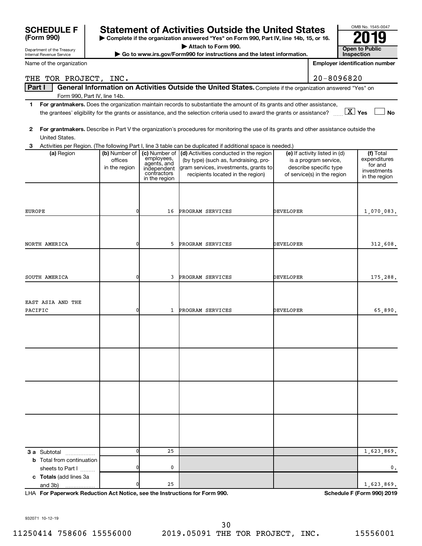| <b>Statement of Activities Outside the United States</b><br><b>SCHEDULE F</b> |                                                                                        |                             |                                                                                                                                         |                  |                                                 | OMB No. 1545-0047                     |
|-------------------------------------------------------------------------------|----------------------------------------------------------------------------------------|-----------------------------|-----------------------------------------------------------------------------------------------------------------------------------------|------------------|-------------------------------------------------|---------------------------------------|
| (Form 990)                                                                    | Complete if the organization answered "Yes" on Form 990, Part IV, line 14b, 15, or 16. |                             |                                                                                                                                         |                  |                                                 |                                       |
| Department of the Treasury                                                    |                                                                                        |                             | <b>Open to Public</b>                                                                                                                   |                  |                                                 |                                       |
| Internal Revenue Service                                                      |                                                                                        |                             | Go to www.irs.gov/Form990 for instructions and the latest information.                                                                  |                  |                                                 | Inspection                            |
| Name of the organization                                                      |                                                                                        |                             |                                                                                                                                         |                  |                                                 | <b>Employer identification number</b> |
| THE TOR PROJECT, INC.                                                         |                                                                                        |                             |                                                                                                                                         |                  | 20-8096820                                      |                                       |
| Part I<br>Form 990, Part IV, line 14b.                                        |                                                                                        |                             | General Information on Activities Outside the United States. Complete if the organization answered "Yes" on                             |                  |                                                 |                                       |
| 1.                                                                            |                                                                                        |                             | For grantmakers. Does the organization maintain records to substantiate the amount of its grants and other assistance,                  |                  |                                                 |                                       |
|                                                                               |                                                                                        |                             | the grantees' eligibility for the grants or assistance, and the selection criteria used to award the grants or assistance?              |                  |                                                 | $\boxed{\text{X}}$ Yes<br><b>No</b>   |
| 2<br>United States.                                                           |                                                                                        |                             | For grantmakers. Describe in Part V the organization's procedures for monitoring the use of its grants and other assistance outside the |                  |                                                 |                                       |
| З                                                                             |                                                                                        |                             | Activities per Region. (The following Part I, line 3 table can be duplicated if additional space is needed.)                            |                  |                                                 |                                       |
| (a) Region                                                                    | (b) Number of                                                                          | (c) Number of<br>employees, | (d) Activities conducted in the region                                                                                                  |                  | (e) If activity listed in (d)                   | (f) Total<br>expenditures             |
|                                                                               | offices<br>in the region                                                               | agents, and<br>independent  | (by type) (such as, fundraising, pro-<br>gram services, investments, grants to                                                          |                  | is a program service,<br>describe specific type | for and                               |
|                                                                               |                                                                                        | contractors                 | recipients located in the region)                                                                                                       |                  | of service(s) in the region                     | investments                           |
|                                                                               |                                                                                        | in the region               |                                                                                                                                         |                  |                                                 | in the region                         |
|                                                                               |                                                                                        |                             |                                                                                                                                         |                  |                                                 |                                       |
|                                                                               |                                                                                        |                             |                                                                                                                                         |                  |                                                 |                                       |
| <b>EUROPE</b>                                                                 | 0                                                                                      | 16                          | PROGRAM SERVICES                                                                                                                        | DEVELOPER        |                                                 | 1,070,083.                            |
|                                                                               |                                                                                        |                             |                                                                                                                                         |                  |                                                 |                                       |
| NORTH AMERICA                                                                 | 0                                                                                      | 5                           | PROGRAM SERVICES                                                                                                                        | <b>DEVELOPER</b> |                                                 | 312,608.                              |
|                                                                               |                                                                                        |                             |                                                                                                                                         |                  |                                                 |                                       |
|                                                                               |                                                                                        |                             |                                                                                                                                         |                  |                                                 |                                       |
| SOUTH AMERICA                                                                 | 0                                                                                      | 3                           | PROGRAM SERVICES                                                                                                                        | <b>DEVELOPER</b> |                                                 | 175,288.                              |
|                                                                               |                                                                                        |                             |                                                                                                                                         |                  |                                                 |                                       |
| EAST ASIA AND THE                                                             |                                                                                        |                             |                                                                                                                                         |                  |                                                 |                                       |
| PACIFIC                                                                       | 0                                                                                      | 1                           | PROGRAM SERVICES                                                                                                                        | <b>DEVELOPER</b> |                                                 | 65,890.                               |
|                                                                               |                                                                                        |                             |                                                                                                                                         |                  |                                                 |                                       |
|                                                                               |                                                                                        |                             |                                                                                                                                         |                  |                                                 |                                       |
|                                                                               |                                                                                        |                             |                                                                                                                                         |                  |                                                 |                                       |
|                                                                               |                                                                                        |                             |                                                                                                                                         |                  |                                                 |                                       |
|                                                                               |                                                                                        |                             |                                                                                                                                         |                  |                                                 |                                       |
|                                                                               |                                                                                        |                             |                                                                                                                                         |                  |                                                 |                                       |
|                                                                               |                                                                                        |                             |                                                                                                                                         |                  |                                                 |                                       |
|                                                                               |                                                                                        |                             |                                                                                                                                         |                  |                                                 |                                       |
|                                                                               |                                                                                        |                             |                                                                                                                                         |                  |                                                 |                                       |
|                                                                               |                                                                                        |                             |                                                                                                                                         |                  |                                                 |                                       |
|                                                                               |                                                                                        |                             |                                                                                                                                         |                  |                                                 |                                       |
| <b>3 a</b> Subtotal                                                           | ŋ                                                                                      | 25                          |                                                                                                                                         |                  |                                                 | 1,623,869.                            |
| <b>b</b> Total from continuation                                              |                                                                                        |                             |                                                                                                                                         |                  |                                                 |                                       |
| sheets to Part I<br>c Totals (add lines 3a                                    |                                                                                        | 0                           |                                                                                                                                         |                  |                                                 | 0.                                    |
| and 3b)                                                                       | 0                                                                                      | 25                          |                                                                                                                                         |                  |                                                 | 1,623,869.                            |

**For Paperwork Reduction Act Notice, see the Instructions for Form 990. Schedule F (Form 990) 2019** LHA

932071 10-12-19

11250414 758606 15556000 2019.05091 THE TOR PROJECT, INC. 15556001 30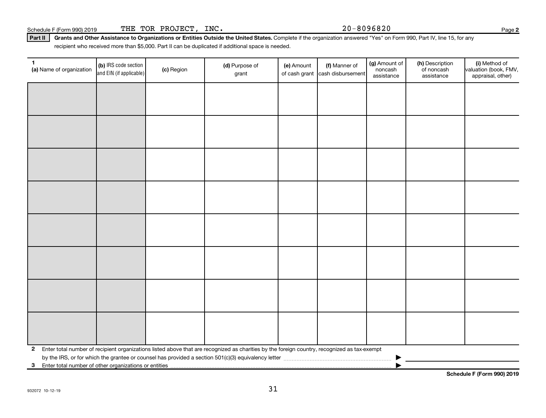Schedule F (Form 990) 2019 THE TOR PROJECT, INC. 20-8096820

Part II | Grants and Other Assistance to Organizations or Entities Outside the United States. Complete if the organization answered "Yes" on Form 990, Part IV, line 15, for any recipient who received more than \$5,000. Part II can be duplicated if additional space is needed.

| $\mathbf{1}$<br>(a) Name of organization                              | (b) IRS code section<br>and EIN (if applicable) | (c) Region | (d) Purpose of<br>grant                                                                                                                      | (e) Amount | (f) Manner of<br>of cash grant cash disbursement | (g) Amount of<br>noncash<br>assistance | (h) Description<br>of noncash<br>assistance | (i) Method of<br>valuation (book, FMV,<br>appraisal, other) |
|-----------------------------------------------------------------------|-------------------------------------------------|------------|----------------------------------------------------------------------------------------------------------------------------------------------|------------|--------------------------------------------------|----------------------------------------|---------------------------------------------|-------------------------------------------------------------|
|                                                                       |                                                 |            |                                                                                                                                              |            |                                                  |                                        |                                             |                                                             |
|                                                                       |                                                 |            |                                                                                                                                              |            |                                                  |                                        |                                             |                                                             |
|                                                                       |                                                 |            |                                                                                                                                              |            |                                                  |                                        |                                             |                                                             |
|                                                                       |                                                 |            |                                                                                                                                              |            |                                                  |                                        |                                             |                                                             |
|                                                                       |                                                 |            |                                                                                                                                              |            |                                                  |                                        |                                             |                                                             |
|                                                                       |                                                 |            |                                                                                                                                              |            |                                                  |                                        |                                             |                                                             |
|                                                                       |                                                 |            |                                                                                                                                              |            |                                                  |                                        |                                             |                                                             |
|                                                                       |                                                 |            |                                                                                                                                              |            |                                                  |                                        |                                             |                                                             |
|                                                                       |                                                 |            |                                                                                                                                              |            |                                                  |                                        |                                             |                                                             |
|                                                                       |                                                 |            |                                                                                                                                              |            |                                                  |                                        |                                             |                                                             |
|                                                                       |                                                 |            |                                                                                                                                              |            |                                                  |                                        |                                             |                                                             |
|                                                                       |                                                 |            |                                                                                                                                              |            |                                                  |                                        |                                             |                                                             |
|                                                                       |                                                 |            |                                                                                                                                              |            |                                                  |                                        |                                             |                                                             |
|                                                                       |                                                 |            |                                                                                                                                              |            |                                                  |                                        |                                             |                                                             |
|                                                                       |                                                 |            |                                                                                                                                              |            |                                                  |                                        |                                             |                                                             |
|                                                                       |                                                 |            |                                                                                                                                              |            |                                                  |                                        |                                             |                                                             |
| $\mathbf{2}$                                                          |                                                 |            | Enter total number of recipient organizations listed above that are recognized as charities by the foreign country, recognized as tax-exempt |            |                                                  |                                        |                                             |                                                             |
| Enter total number of other organizations or entities<br>$\mathbf{3}$ |                                                 |            |                                                                                                                                              |            |                                                  |                                        |                                             |                                                             |

**Schedule F (Form 990) 2019**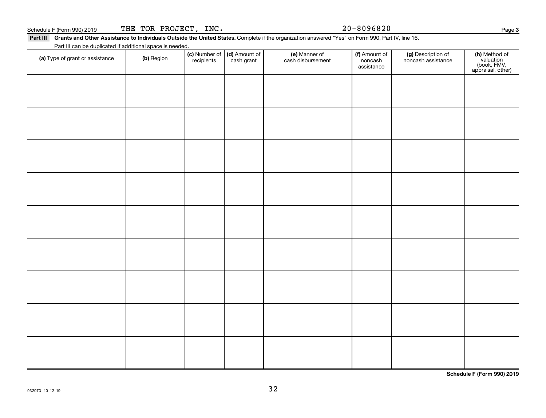Page 3

**(h)** Method of<br>valuation<br>(book, FMV,<br>appraisal, other)

Part III Grants and Other Assistance to Individuals Outside the United States. Complete if the organization answered "Yes" on Form 990, Part IV, line 16. (a) Type of grant or assistance (b) Region (b) Region (c) Number of (d) Amount of (e) Manner of (f) Amount of (f)<br>Region (cash grant cash dishursement popcash noncash assistance v Schedule F (Form 990) 2019 THE TOR PROJECT, INC. 20-8096820 Part III can be duplicated if additional space is needed. (c) Number of **recipients** (d) Amount of cash grant (e) Manner of cash disbursement (f) Amount of noncash assistance (g) Description of noncash assistance

**Schedule F (Form 990) 2019**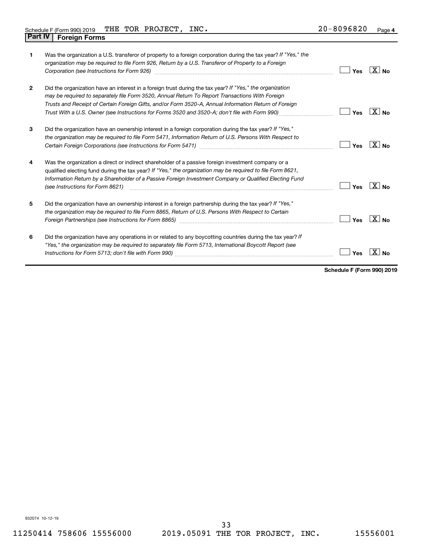| $\mathbf 1$    | Was the organization a U.S. transferor of property to a foreign corporation during the tax year? If "Yes," the<br>organization may be required to file Form 926, Return by a U.S. Transferor of Property to a Foreign                                                                                                                                                                                                  | Yes | $ X _{\mathsf{No}}$ |
|----------------|------------------------------------------------------------------------------------------------------------------------------------------------------------------------------------------------------------------------------------------------------------------------------------------------------------------------------------------------------------------------------------------------------------------------|-----|---------------------|
| $\overline{2}$ | Did the organization have an interest in a foreign trust during the tax year? If "Yes," the organization<br>may be required to separately file Form 3520, Annual Return To Report Transactions With Foreign<br>Trusts and Receipt of Certain Foreign Gifts, and/or Form 3520-A, Annual Information Return of Foreign<br>Trust With a U.S. Owner (see Instructions for Forms 3520 and 3520-A; don't file with Form 990) | Yes | $X _{N_{\Omega}}$   |
| 3              | Did the organization have an ownership interest in a foreign corporation during the tax year? If "Yes,"<br>the organization may be required to file Form 5471, Information Return of U.S. Persons With Respect to<br>Certain Foreign Corporations (see Instructions for Form 5471)                                                                                                                                     | Yes | $X _{\text{No}}$    |
| 4              | Was the organization a direct or indirect shareholder of a passive foreign investment company or a<br>qualified electing fund during the tax year? If "Yes," the organization may be required to file Form 8621,<br>Information Return by a Shareholder of a Passive Foreign Investment Company or Qualified Electing Fund<br>(see Instructions for Form 8621)                                                         | Yes | $\overline{X}$ No   |
| 5              | Did the organization have an ownership interest in a foreign partnership during the tax year? If "Yes,"<br>the organization may be required to file Form 8865, Return of U.S. Persons With Respect to Certain                                                                                                                                                                                                          | Yes | $X _{N_{\Omega}}$   |
| 6              | Did the organization have any operations in or related to any boycotting countries during the tax year? If<br>"Yes," the organization may be required to separately file Form 5713, International Boycott Report (see                                                                                                                                                                                                  | Yes |                     |

**Schedule F (Form 990) 2019**

932074 10-12-19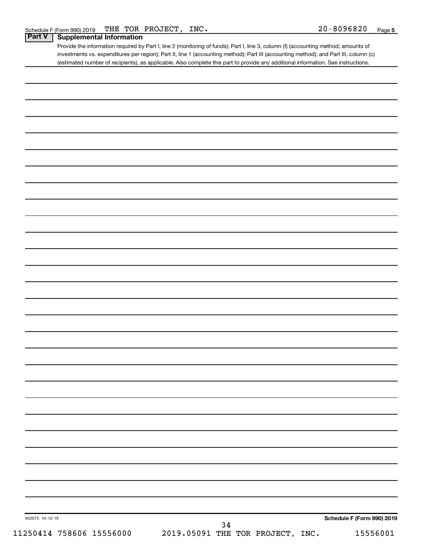Provide the information required by Part I, line 2 (monitoring of funds); Part I, line 3, column (f) (accounting method; amounts of investments vs. expenditures per region); Part II, line 1 (accounting method); Part III (accounting method); and Part III, column (c) (estimated number of recipients), as applicable. Also complete this part to provide any additional information. See instructions.

| 932075 10-12-19          |                                                                                     |  | Schedule F (Form 990) 2019 |
|--------------------------|-------------------------------------------------------------------------------------|--|----------------------------|
|                          | $\begin{array}{rrrr} & 34 \\ 2019.05091 & \text{THE TOR PROJECT, INC.} \end{array}$ |  |                            |
| 11250414 758606 15556000 |                                                                                     |  | 15556001                   |
|                          |                                                                                     |  |                            |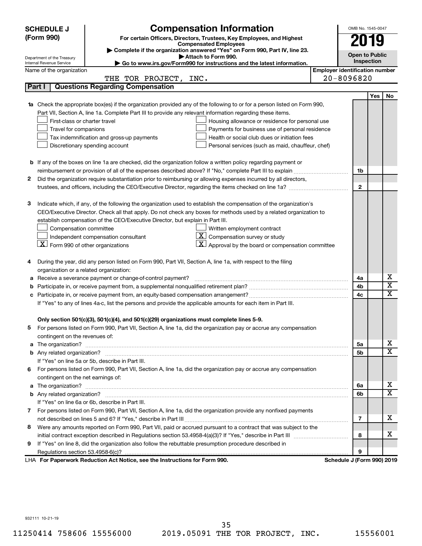|    | <b>SCHEDULE J</b>                                                                          |                                                                                                                                                                       | OMB No. 1545-0047                     |                            |            |                         |  |  |  |
|----|--------------------------------------------------------------------------------------------|-----------------------------------------------------------------------------------------------------------------------------------------------------------------------|---------------------------------------|----------------------------|------------|-------------------------|--|--|--|
|    | (Form 990)                                                                                 | <b>Compensation Information</b><br>For certain Officers, Directors, Trustees, Key Employees, and Highest                                                              |                                       | 2019                       |            |                         |  |  |  |
|    |                                                                                            | <b>Compensated Employees</b>                                                                                                                                          |                                       |                            |            |                         |  |  |  |
|    | Department of the Treasury                                                                 | Complete if the organization answered "Yes" on Form 990, Part IV, line 23.<br>Attach to Form 990.                                                                     |                                       | <b>Open to Public</b>      |            |                         |  |  |  |
|    | Internal Revenue Service                                                                   | ► Go to www.irs.gov/Form990 for instructions and the latest information.                                                                                              |                                       |                            | Inspection |                         |  |  |  |
|    | Name of the organization                                                                   |                                                                                                                                                                       | <b>Employer identification number</b> |                            |            |                         |  |  |  |
|    |                                                                                            | THE TOR PROJECT, INC.                                                                                                                                                 |                                       | $20 - 8096820$             |            |                         |  |  |  |
|    | Part I                                                                                     | <b>Questions Regarding Compensation</b>                                                                                                                               |                                       |                            |            |                         |  |  |  |
|    |                                                                                            |                                                                                                                                                                       |                                       |                            | Yes        | No                      |  |  |  |
| 1a |                                                                                            | Check the appropriate box(es) if the organization provided any of the following to or for a person listed on Form 990,                                                |                                       |                            |            |                         |  |  |  |
|    |                                                                                            | Part VII, Section A, line 1a. Complete Part III to provide any relevant information regarding these items.                                                            |                                       |                            |            |                         |  |  |  |
|    | First-class or charter travel                                                              | Housing allowance or residence for personal use                                                                                                                       |                                       |                            |            |                         |  |  |  |
|    | Travel for companions<br>Payments for business use of personal residence                   |                                                                                                                                                                       |                                       |                            |            |                         |  |  |  |
|    | Health or social club dues or initiation fees<br>Tax indemnification and gross-up payments |                                                                                                                                                                       |                                       |                            |            |                         |  |  |  |
|    |                                                                                            | Discretionary spending account<br>Personal services (such as maid, chauffeur, chef)                                                                                   |                                       |                            |            |                         |  |  |  |
|    |                                                                                            |                                                                                                                                                                       |                                       |                            |            |                         |  |  |  |
|    |                                                                                            | <b>b</b> If any of the boxes on line 1a are checked, did the organization follow a written policy regarding payment or                                                |                                       |                            |            |                         |  |  |  |
|    |                                                                                            |                                                                                                                                                                       |                                       | 1b                         |            |                         |  |  |  |
| 2  |                                                                                            | Did the organization require substantiation prior to reimbursing or allowing expenses incurred by all directors,                                                      |                                       |                            |            |                         |  |  |  |
|    |                                                                                            | trustees, and officers, including the CEO/Executive Director, regarding the items checked on line 1a?                                                                 |                                       | $\mathbf{2}$               |            |                         |  |  |  |
|    |                                                                                            |                                                                                                                                                                       |                                       |                            |            |                         |  |  |  |
| З  |                                                                                            | Indicate which, if any, of the following the organization used to establish the compensation of the organization's                                                    |                                       |                            |            |                         |  |  |  |
|    |                                                                                            | CEO/Executive Director. Check all that apply. Do not check any boxes for methods used by a related organization to                                                    |                                       |                            |            |                         |  |  |  |
|    |                                                                                            | establish compensation of the CEO/Executive Director, but explain in Part III.                                                                                        |                                       |                            |            |                         |  |  |  |
|    | Compensation committee<br>Written employment contract                                      |                                                                                                                                                                       |                                       |                            |            |                         |  |  |  |
|    | $\lfloor \underline{X} \rfloor$ Form 990 of other organizations                            | $ \mathbf{X} $ Compensation survey or study<br>Independent compensation consultant<br>$\lfloor \underline{X} \rfloor$ Approval by the board or compensation committee |                                       |                            |            |                         |  |  |  |
|    |                                                                                            |                                                                                                                                                                       |                                       |                            |            |                         |  |  |  |
| 4  |                                                                                            | During the year, did any person listed on Form 990, Part VII, Section A, line 1a, with respect to the filing                                                          |                                       |                            |            |                         |  |  |  |
|    | organization or a related organization:                                                    |                                                                                                                                                                       |                                       |                            |            |                         |  |  |  |
| а  |                                                                                            | Receive a severance payment or change-of-control payment?                                                                                                             |                                       | 4a                         |            | х                       |  |  |  |
| b  |                                                                                            |                                                                                                                                                                       |                                       | 4b                         |            | $\overline{\textbf{x}}$ |  |  |  |
| c  |                                                                                            |                                                                                                                                                                       |                                       | 4c                         |            | $\overline{\textbf{x}}$ |  |  |  |
|    |                                                                                            | If "Yes" to any of lines 4a-c, list the persons and provide the applicable amounts for each item in Part III.                                                         |                                       |                            |            |                         |  |  |  |
|    |                                                                                            |                                                                                                                                                                       |                                       |                            |            |                         |  |  |  |
|    |                                                                                            | Only section 501(c)(3), 501(c)(4), and 501(c)(29) organizations must complete lines 5-9.                                                                              |                                       |                            |            |                         |  |  |  |
|    |                                                                                            | For persons listed on Form 990, Part VII, Section A, line 1a, did the organization pay or accrue any compensation                                                     |                                       |                            |            |                         |  |  |  |
|    | contingent on the revenues of:                                                             |                                                                                                                                                                       |                                       |                            |            |                         |  |  |  |
|    |                                                                                            |                                                                                                                                                                       |                                       | 5а                         |            | х                       |  |  |  |
|    |                                                                                            |                                                                                                                                                                       |                                       | 5b                         |            | х                       |  |  |  |
|    |                                                                                            | If "Yes" on line 5a or 5b, describe in Part III.                                                                                                                      |                                       |                            |            |                         |  |  |  |
|    |                                                                                            | 6 For persons listed on Form 990, Part VII, Section A, line 1a, did the organization pay or accrue any compensation                                                   |                                       |                            |            |                         |  |  |  |
|    | contingent on the net earnings of:                                                         |                                                                                                                                                                       |                                       |                            |            |                         |  |  |  |
|    |                                                                                            |                                                                                                                                                                       |                                       | 6a                         |            | х                       |  |  |  |
|    |                                                                                            |                                                                                                                                                                       |                                       | 6b                         |            | х                       |  |  |  |
|    |                                                                                            | If "Yes" on line 6a or 6b, describe in Part III.                                                                                                                      |                                       |                            |            |                         |  |  |  |
|    |                                                                                            | 7 For persons listed on Form 990, Part VII, Section A, line 1a, did the organization provide any nonfixed payments                                                    |                                       |                            |            |                         |  |  |  |
|    |                                                                                            |                                                                                                                                                                       |                                       | 7                          |            | х                       |  |  |  |
| 8  |                                                                                            | Were any amounts reported on Form 990, Part VII, paid or accrued pursuant to a contract that was subject to the                                                       |                                       |                            |            |                         |  |  |  |
|    |                                                                                            |                                                                                                                                                                       |                                       | 8                          |            | х                       |  |  |  |
| 9. |                                                                                            | If "Yes" on line 8, did the organization also follow the rebuttable presumption procedure described in                                                                |                                       |                            |            |                         |  |  |  |
|    |                                                                                            |                                                                                                                                                                       |                                       | 9                          |            |                         |  |  |  |
|    |                                                                                            | LHA For Paperwork Reduction Act Notice, see the Instructions for Form 990.                                                                                            |                                       | Schedule J (Form 990) 2019 |            |                         |  |  |  |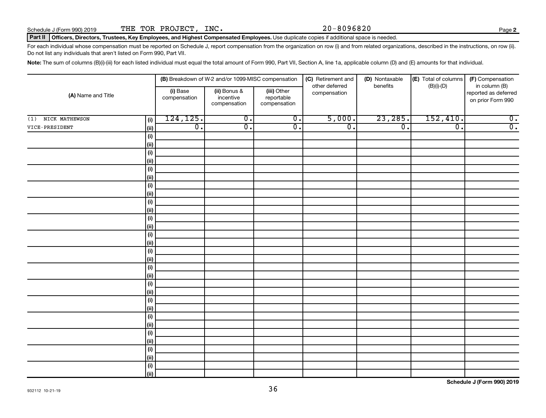#### Part II | Officers, Directors, Trustees, Key Employees, and Highest Compensated Employees. Use duplicate copies if additional space is needed.

For each individual whose compensation must be reported on Schedule J, report compensation from the organization on row (i) and from related organizations, described in the instructions, on row (ii). Do not list any individuals that aren't listed on Form 990, Part VII.

Note: The sum of columns (B)(i)-(iii) for each listed individual must equal the total amount of Form 990, Part VII, Section A, line 1a, applicable column (D) and (E) amounts for that individual.

|                       |                   | (B) Breakdown of W-2 and/or 1099-MISC compensation |                                           | (C) Retirement and                        | (D) Nontaxable                 | (E) Total of columns | (F) Compensation            |                                                            |
|-----------------------|-------------------|----------------------------------------------------|-------------------------------------------|-------------------------------------------|--------------------------------|----------------------|-----------------------------|------------------------------------------------------------|
| (A) Name and Title    |                   | (i) Base<br>compensation                           | (ii) Bonus &<br>incentive<br>compensation | (iii) Other<br>reportable<br>compensation | other deferred<br>compensation | benefits             | $(B)(i)$ - $(D)$            | in column (B)<br>reported as deferred<br>on prior Form 990 |
| NICK MATHEWSON<br>(1) | (i)               | 124, 125.                                          | $\overline{0}$ .                          | $\overline{0}$ .                          | 5,000.                         | 23,285.              | 152,410.                    | $\overline{0}$ .                                           |
| VICE-PRESIDENT        | (ii)              | $\overline{0}$ .                                   | $\overline{0}$ .                          | $\overline{0}$ .                          | $\overline{0}$ .               | $\overline{0}$ .     | $\overline{\mathfrak{o}}$ . | $\overline{0}$ .                                           |
|                       | (i)               |                                                    |                                           |                                           |                                |                      |                             |                                                            |
|                       | (ii)              |                                                    |                                           |                                           |                                |                      |                             |                                                            |
|                       | $(\sf{i})$        |                                                    |                                           |                                           |                                |                      |                             |                                                            |
|                       | (ii)              |                                                    |                                           |                                           |                                |                      |                             |                                                            |
|                       | $(\sf{i})$        |                                                    |                                           |                                           |                                |                      |                             |                                                            |
|                       | (ii)              |                                                    |                                           |                                           |                                |                      |                             |                                                            |
|                       | (i)               |                                                    |                                           |                                           |                                |                      |                             |                                                            |
|                       | (ii)              |                                                    |                                           |                                           |                                |                      |                             |                                                            |
|                       | (i)               |                                                    |                                           |                                           |                                |                      |                             |                                                            |
|                       | (i)               |                                                    |                                           |                                           |                                |                      |                             |                                                            |
|                       | (i)               |                                                    |                                           |                                           |                                |                      |                             |                                                            |
|                       | (i)               |                                                    |                                           |                                           |                                |                      |                             |                                                            |
|                       | (i)               |                                                    |                                           |                                           |                                |                      |                             |                                                            |
|                       | (ii)              |                                                    |                                           |                                           |                                |                      |                             |                                                            |
|                       | $(\sf{i})$        |                                                    |                                           |                                           |                                |                      |                             |                                                            |
|                       | (i)<br>$(\sf{i})$ |                                                    |                                           |                                           |                                |                      |                             |                                                            |
|                       | (i)               |                                                    |                                           |                                           |                                |                      |                             |                                                            |
|                       | (i)               |                                                    |                                           |                                           |                                |                      |                             |                                                            |
|                       | (i)               |                                                    |                                           |                                           |                                |                      |                             |                                                            |
|                       | (i)               |                                                    |                                           |                                           |                                |                      |                             |                                                            |
|                       | (ii)              |                                                    |                                           |                                           |                                |                      |                             |                                                            |
|                       | (i)               |                                                    |                                           |                                           |                                |                      |                             |                                                            |
|                       | (ii)              |                                                    |                                           |                                           |                                |                      |                             |                                                            |
|                       | (i)               |                                                    |                                           |                                           |                                |                      |                             |                                                            |
|                       | (ii)              |                                                    |                                           |                                           |                                |                      |                             |                                                            |
|                       | (i)               |                                                    |                                           |                                           |                                |                      |                             |                                                            |
|                       | (ii)              |                                                    |                                           |                                           |                                |                      |                             |                                                            |
|                       | (i)               |                                                    |                                           |                                           |                                |                      |                             |                                                            |
|                       | (ii)              |                                                    |                                           |                                           |                                |                      |                             |                                                            |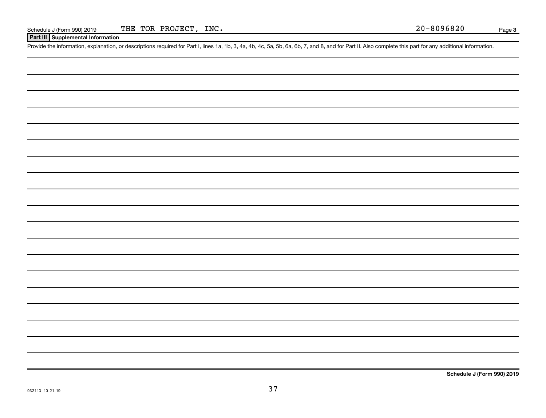### **Part III Supplemental Information**

Provide the information, explanation, or descriptions required for Part I, lines 1a, 1b, 3, 4a, 4b, 4c, 5a, 5b, 6a, 6b, 7, and 8, and for Part II. Also complete this part for any additional information.

**Schedule J (Form 990) 2019**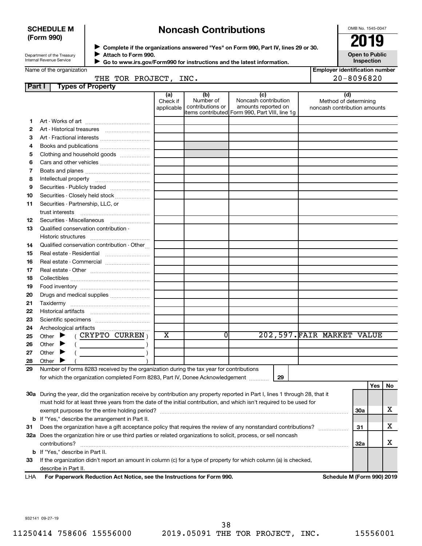### **SCHEDULE M (Form 990)**

# **Noncash Contributions**

OMB No. 1545-0047

| Department of the Treasury |  |
|----------------------------|--|
| Internal Revenue Service   |  |

◆ Complete if the organizations answered "Yes" on Form 990, Part IV, lines 29 or 30.<br>▶ Complete if the organizations answered "Yes" on Form 990, Part IV, lines 29 or 30. **Attach to Form 990.**  $\blacktriangleright$ 

**Open to Public Inspection**

|  | Name of the organization |
|--|--------------------------|

 $\blacktriangleright$ 

 **Go to www.irs.gov/Form990 for instructions and the latest information.**

| <b>Employer identification number</b> |
|---------------------------------------|
| $20 - 8096820$                        |

|        | THE                      | TOR | PROJECT | INC. |    |     |
|--------|--------------------------|-----|---------|------|----|-----|
| Part I | <b>Types of Property</b> |     |         |      |    |     |
|        |                          |     | (a      | (b)  | (c | (d) |

|    |                                                                                                                                                                                                                                                                                                                                                                                                                                                                                                                                                                                                                   | (a)<br>Check if<br>applicable | (D)<br>Number of<br>contributions or | (C)<br>Noncash contribution<br>amounts reported on<br>items contributed Form 990, Part VIII, line 1g | (u)<br>Method of determining<br>noncash contribution amounts |            |     |    |
|----|-------------------------------------------------------------------------------------------------------------------------------------------------------------------------------------------------------------------------------------------------------------------------------------------------------------------------------------------------------------------------------------------------------------------------------------------------------------------------------------------------------------------------------------------------------------------------------------------------------------------|-------------------------------|--------------------------------------|------------------------------------------------------------------------------------------------------|--------------------------------------------------------------|------------|-----|----|
| 1. |                                                                                                                                                                                                                                                                                                                                                                                                                                                                                                                                                                                                                   |                               |                                      |                                                                                                      |                                                              |            |     |    |
| 2  |                                                                                                                                                                                                                                                                                                                                                                                                                                                                                                                                                                                                                   |                               |                                      |                                                                                                      |                                                              |            |     |    |
| 3  | Art - Fractional interests                                                                                                                                                                                                                                                                                                                                                                                                                                                                                                                                                                                        |                               |                                      |                                                                                                      |                                                              |            |     |    |
| 4  |                                                                                                                                                                                                                                                                                                                                                                                                                                                                                                                                                                                                                   |                               |                                      |                                                                                                      |                                                              |            |     |    |
| 5  | Clothing and household goods                                                                                                                                                                                                                                                                                                                                                                                                                                                                                                                                                                                      |                               |                                      |                                                                                                      |                                                              |            |     |    |
| 6  |                                                                                                                                                                                                                                                                                                                                                                                                                                                                                                                                                                                                                   |                               |                                      |                                                                                                      |                                                              |            |     |    |
| 7  |                                                                                                                                                                                                                                                                                                                                                                                                                                                                                                                                                                                                                   |                               |                                      |                                                                                                      |                                                              |            |     |    |
| 8  |                                                                                                                                                                                                                                                                                                                                                                                                                                                                                                                                                                                                                   |                               |                                      |                                                                                                      |                                                              |            |     |    |
| 9  |                                                                                                                                                                                                                                                                                                                                                                                                                                                                                                                                                                                                                   |                               |                                      |                                                                                                      |                                                              |            |     |    |
| 10 | Securities - Closely held stock                                                                                                                                                                                                                                                                                                                                                                                                                                                                                                                                                                                   |                               |                                      |                                                                                                      |                                                              |            |     |    |
| 11 | Securities - Partnership, LLC, or                                                                                                                                                                                                                                                                                                                                                                                                                                                                                                                                                                                 |                               |                                      |                                                                                                      |                                                              |            |     |    |
|    |                                                                                                                                                                                                                                                                                                                                                                                                                                                                                                                                                                                                                   |                               |                                      |                                                                                                      |                                                              |            |     |    |
| 12 | Securities - Miscellaneous                                                                                                                                                                                                                                                                                                                                                                                                                                                                                                                                                                                        |                               |                                      |                                                                                                      |                                                              |            |     |    |
| 13 | Qualified conservation contribution -                                                                                                                                                                                                                                                                                                                                                                                                                                                                                                                                                                             |                               |                                      |                                                                                                      |                                                              |            |     |    |
|    |                                                                                                                                                                                                                                                                                                                                                                                                                                                                                                                                                                                                                   |                               |                                      |                                                                                                      |                                                              |            |     |    |
| 14 | Qualified conservation contribution - Other                                                                                                                                                                                                                                                                                                                                                                                                                                                                                                                                                                       |                               |                                      |                                                                                                      |                                                              |            |     |    |
| 15 | Real estate - Residential                                                                                                                                                                                                                                                                                                                                                                                                                                                                                                                                                                                         |                               |                                      |                                                                                                      |                                                              |            |     |    |
| 16 | Real estate - Commercial                                                                                                                                                                                                                                                                                                                                                                                                                                                                                                                                                                                          |                               |                                      |                                                                                                      |                                                              |            |     |    |
| 17 |                                                                                                                                                                                                                                                                                                                                                                                                                                                                                                                                                                                                                   |                               |                                      |                                                                                                      |                                                              |            |     |    |
| 18 |                                                                                                                                                                                                                                                                                                                                                                                                                                                                                                                                                                                                                   |                               |                                      |                                                                                                      |                                                              |            |     |    |
| 19 |                                                                                                                                                                                                                                                                                                                                                                                                                                                                                                                                                                                                                   |                               |                                      |                                                                                                      |                                                              |            |     |    |
| 20 |                                                                                                                                                                                                                                                                                                                                                                                                                                                                                                                                                                                                                   |                               |                                      |                                                                                                      |                                                              |            |     |    |
| 21 |                                                                                                                                                                                                                                                                                                                                                                                                                                                                                                                                                                                                                   |                               |                                      |                                                                                                      |                                                              |            |     |    |
| 22 |                                                                                                                                                                                                                                                                                                                                                                                                                                                                                                                                                                                                                   |                               |                                      |                                                                                                      |                                                              |            |     |    |
| 23 |                                                                                                                                                                                                                                                                                                                                                                                                                                                                                                                                                                                                                   |                               |                                      |                                                                                                      |                                                              |            |     |    |
| 24 |                                                                                                                                                                                                                                                                                                                                                                                                                                                                                                                                                                                                                   |                               |                                      |                                                                                                      |                                                              |            |     |    |
| 25 | ( CRYPTO CURREN )<br>Other $\blacktriangleright$                                                                                                                                                                                                                                                                                                                                                                                                                                                                                                                                                                  | X                             | 01                                   |                                                                                                      | 202,597. FAIR MARKET VALUE                                   |            |     |    |
| 26 | Other $\blacktriangleright$<br>$\left(\begin{array}{ccc} \begin{array}{ccc} \end{array} & \begin{array}{ccc} \end{array} & \begin{array}{ccc} \end{array} & \begin{array}{ccc} \end{array} & \begin{array}{ccc} \end{array} & \begin{array}{ccc} \end{array} & \begin{array}{ccc} \end{array} & \begin{array}{ccc} \end{array} & \begin{array}{ccc} \end{array} & \begin{array}{ccc} \end{array} & \begin{array}{ccc} \end{array} & \begin{array}{ccc} \end{array} & \begin{array}{ccc} \end{array} & \begin{array}{ccc} \end{array} & \begin{array}{ccc} \end{array} & \begin{array}{ccc} \end{array} & \begin{$ |                               |                                      |                                                                                                      |                                                              |            |     |    |
| 27 | Other $\blacktriangleright$<br>$\left($                                                                                                                                                                                                                                                                                                                                                                                                                                                                                                                                                                           |                               |                                      |                                                                                                      |                                                              |            |     |    |
| 28 | Other                                                                                                                                                                                                                                                                                                                                                                                                                                                                                                                                                                                                             |                               |                                      |                                                                                                      |                                                              |            |     |    |
| 29 | Number of Forms 8283 received by the organization during the tax year for contributions                                                                                                                                                                                                                                                                                                                                                                                                                                                                                                                           |                               |                                      |                                                                                                      |                                                              |            |     |    |
|    | for which the organization completed Form 8283, Part IV, Donee Acknowledgement                                                                                                                                                                                                                                                                                                                                                                                                                                                                                                                                    |                               |                                      | 29                                                                                                   |                                                              |            |     |    |
|    |                                                                                                                                                                                                                                                                                                                                                                                                                                                                                                                                                                                                                   |                               |                                      |                                                                                                      |                                                              |            | Yes | No |
|    | 30a During the year, did the organization receive by contribution any property reported in Part I, lines 1 through 28, that it                                                                                                                                                                                                                                                                                                                                                                                                                                                                                    |                               |                                      |                                                                                                      |                                                              |            |     |    |
|    | must hold for at least three years from the date of the initial contribution, and which isn't required to be used for                                                                                                                                                                                                                                                                                                                                                                                                                                                                                             |                               |                                      |                                                                                                      |                                                              |            |     |    |
|    |                                                                                                                                                                                                                                                                                                                                                                                                                                                                                                                                                                                                                   |                               |                                      |                                                                                                      |                                                              | 30a        |     | х  |
|    | <b>b</b> If "Yes," describe the arrangement in Part II.                                                                                                                                                                                                                                                                                                                                                                                                                                                                                                                                                           |                               |                                      |                                                                                                      |                                                              |            |     |    |
| 31 | Does the organization have a gift acceptance policy that requires the review of any nonstandard contributions?                                                                                                                                                                                                                                                                                                                                                                                                                                                                                                    |                               |                                      |                                                                                                      | .                                                            | 31         |     | x  |
|    | 32a Does the organization hire or use third parties or related organizations to solicit, process, or sell noncash                                                                                                                                                                                                                                                                                                                                                                                                                                                                                                 |                               |                                      |                                                                                                      |                                                              |            |     |    |
|    | contributions?                                                                                                                                                                                                                                                                                                                                                                                                                                                                                                                                                                                                    |                               |                                      |                                                                                                      |                                                              | <b>32a</b> |     | х  |
|    | <b>b</b> If "Yes," describe in Part II.                                                                                                                                                                                                                                                                                                                                                                                                                                                                                                                                                                           |                               |                                      |                                                                                                      |                                                              |            |     |    |
| 33 | If the organization didn't report an amount in column (c) for a type of property for which column (a) is checked,                                                                                                                                                                                                                                                                                                                                                                                                                                                                                                 |                               |                                      |                                                                                                      |                                                              |            |     |    |

describe in Part II.

**For Paperwork Reduction Act Notice, see the Instructions for Form 990. Schedule M (Form 990) 2019** LHA

932141 09-27-19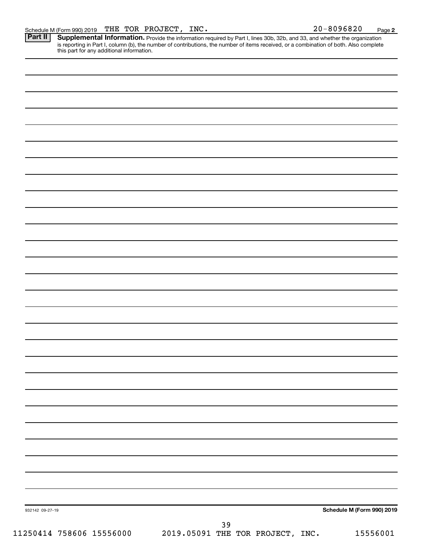Provide the information required by Part I, lines 30b, 32b, and 33, and whether the organization is reporting in Part I, column (b), the number of contributions, the number of items received, or a combination of both. Also complete this part for any additional information. **Part II Supplemental Information.** 

| 932142 09-27-19          |                                           | Schedule M (Form 990) 2019 |
|--------------------------|-------------------------------------------|----------------------------|
|                          | 39                                        |                            |
| 11250414 758606 15556000 | 2019.05091 THE TOR PROJECT, INC. 15556001 |                            |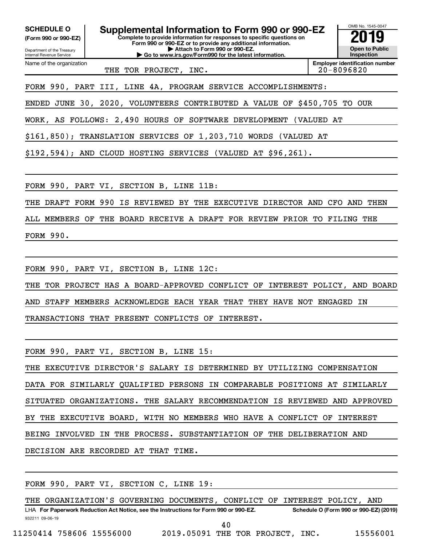**(Form 990 or 990-EZ)**

Department of the Treasury Internal Revenue Service

Name of the organization

**Complete to provide information for responses to specific questions on Form 990 or 990-EZ or to provide any additional information. | Attach to Form 990 or 990-EZ. | Go to www.irs.gov/Form990 for the latest information. SCHEDULE O Supplemental Information to Form 990 or 990-EZ 2019** 



THE TOR PROJECT, INC.  $\vert$  20-8096820

FORM 990, PART III, LINE 4A, PROGRAM SERVICE ACCOMPLISHMENTS:

ENDED JUNE 30, 2020, VOLUNTEERS CONTRIBUTED A VALUE OF \$450,705 TO OUR

WORK, AS FOLLOWS: 2,490 HOURS OF SOFTWARE DEVELOPMENT (VALUED AT

\$161,850); TRANSLATION SERVICES OF 1,203,710 WORDS (VALUED AT

\$192,594); AND CLOUD HOSTING SERVICES (VALUED AT \$96,261).

FORM 990, PART VI, SECTION B, LINE 11B:

THE DRAFT FORM 990 IS REVIEWED BY THE EXECUTIVE DIRECTOR AND CFO AND THEN

ALL MEMBERS OF THE BOARD RECEIVE A DRAFT FOR REVIEW PRIOR TO FILING THE FORM 990.

FORM 990, PART VI, SECTION B, LINE 12C:

THE TOR PROJECT HAS A BOARD-APPROVED CONFLICT OF INTEREST POLICY, AND BOARD AND STAFF MEMBERS ACKNOWLEDGE EACH YEAR THAT THEY HAVE NOT ENGAGED IN

TRANSACTIONS THAT PRESENT CONFLICTS OF INTEREST.

FORM 990, PART VI, SECTION B, LINE 15:

THE EXECUTIVE DIRECTOR'S SALARY IS DETERMINED BY UTILIZING COMPENSATION DATA FOR SIMILARLY QUALIFIED PERSONS IN COMPARABLE POSITIONS AT SIMILARLY SITUATED ORGANIZATIONS. THE SALARY RECOMMENDATION IS REVIEWED AND APPROVED BY THE EXECUTIVE BOARD, WITH NO MEMBERS WHO HAVE A CONFLICT OF INTEREST BEING INVOLVED IN THE PROCESS. SUBSTANTIATION OF THE DELIBERATION AND DECISION ARE RECORDED AT THAT TIME.

FORM 990, PART VI, SECTION C, LINE 19:

932211 09-06-19 LHA For Paperwork Reduction Act Notice, see the Instructions for Form 990 or 990-EZ. Schedule O (Form 990 or 990-EZ) (2019) THE ORGANIZATION'S GOVERNING DOCUMENTS, CONFLICT OF INTEREST POLICY, AND

40

11250414 758606 15556000 2019.05091 THE TOR PROJECT, INC. 15556001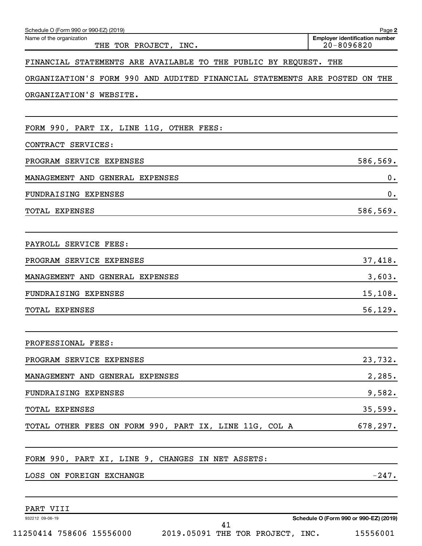| Schedule O (Form 990 or 990-EZ) (2019)                                     | Page 2                                                  |
|----------------------------------------------------------------------------|---------------------------------------------------------|
| Name of the organization<br>THE TOR PROJECT, INC.                          | <b>Employer identification number</b><br>$20 - 8096820$ |
| FINANCIAL STATEMENTS ARE AVAILABLE TO THE PUBLIC BY REQUEST. THE           |                                                         |
| ORGANIZATION'S FORM 990 AND AUDITED FINANCIAL STATEMENTS ARE POSTED ON THE |                                                         |
| ORGANIZATION'S WEBSITE.                                                    |                                                         |
|                                                                            |                                                         |
| FORM 990, PART IX, LINE 11G, OTHER FEES:                                   |                                                         |
| CONTRACT SERVICES:                                                         |                                                         |
| PROGRAM SERVICE EXPENSES                                                   | 586,569.                                                |
| MANAGEMENT AND GENERAL EXPENSES                                            | 0.                                                      |
| FUNDRAISING EXPENSES                                                       | 0.                                                      |
| TOTAL EXPENSES                                                             | 586,569.                                                |
|                                                                            |                                                         |
| PAYROLL SERVICE FEES:                                                      |                                                         |
| PROGRAM SERVICE EXPENSES                                                   | 37,418.                                                 |
| MANAGEMENT AND GENERAL EXPENSES                                            | 3,603.                                                  |
| FUNDRAISING EXPENSES                                                       | 15, 108.                                                |
| TOTAL EXPENSES                                                             | 56, 129.                                                |
|                                                                            |                                                         |
| PROFESSIONAL FEES:                                                         |                                                         |
| PROGRAM SERVICE EXPENSES                                                   | 23,732.                                                 |
| MANAGEMENT AND GENERAL EXPENSES                                            | 2,285.                                                  |
| FUNDRAISING EXPENSES                                                       | 9,582.                                                  |
| <b>TOTAL EXPENSES</b>                                                      | 35,599.                                                 |
| TOTAL OTHER FEES ON FORM 990, PART IX, LINE 11G, COL A                     | 678, 297.                                               |
|                                                                            |                                                         |
| FORM 990, PART XI, LINE 9, CHANGES IN NET ASSETS:                          |                                                         |
| LOSS ON FOREIGN EXCHANGE                                                   | $-247.$                                                 |
| PART VIII                                                                  |                                                         |
| 932212 09-06-19                                                            | Schedule O (Form 990 or 990-EZ) (2019)                  |

11250414 758606 15556000 2019.05091 THE TOR PROJECT, INC. 15556001

**Schedule O (Form 990 or 990-EZ) (2019)**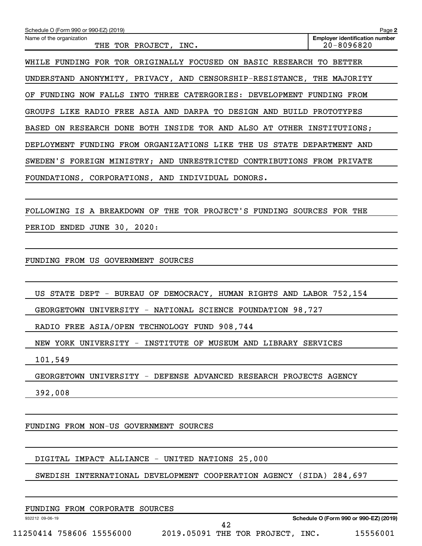**2 Employer identification number** Schedule O (Form 990 or 990-EZ) (2019) Name of the organization THE TOR PROJECT, INC.  $\vert$  20-8096820 WHILE FUNDING FOR TOR ORIGINALLY FOCUSED ON BASIC RESEARCH TO BETTER UNDERSTAND ANONYMITY, PRIVACY, AND CENSORSHIP-RESISTANCE, THE MAJORITY OF FUNDING NOW FALLS INTO THREE CATERGORIES: DEVELOPMENT FUNDING FROM GROUPS LIKE RADIO FREE ASIA AND DARPA TO DESIGN AND BUILD PROTOTYPES BASED ON RESEARCH DONE BOTH INSIDE TOR AND ALSO AT OTHER INSTITUTIONS; DEPLOYMENT FUNDING FROM ORGANIZATIONS LIKE THE US STATE DEPARTMENT AND SWEDEN'S FOREIGN MINISTRY; AND UNRESTRICTED CONTRIBUTIONS FROM PRIVATE FOUNDATIONS, CORPORATIONS, AND INDIVIDUAL DONORS. FOLLOWING IS A BREAKDOWN OF THE TOR PROJECT'S FUNDING SOURCES FOR THE

PERIOD ENDED JUNE 30, 2020:

FUNDING FROM US GOVERNMENT SOURCES

US STATE DEPT - BUREAU OF DEMOCRACY, HUMAN RIGHTS AND LABOR 752,154

GEORGETOWN UNIVERSITY - NATIONAL SCIENCE FOUNDATION 98,727

RADIO FREE ASIA/OPEN TECHNOLOGY FUND 908,744

NEW YORK UNIVERSITY - INSTITUTE OF MUSEUM AND LIBRARY SERVICES

101,549

GEORGETOWN UNIVERSITY - DEFENSE ADVANCED RESEARCH PROJECTS AGENCY

392,008

FUNDING FROM NON-US GOVERNMENT SOURCES

DIGITAL IMPACT ALLIANCE - UNITED NATIONS 25,000

SWEDISH INTERNATIONAL DEVELOPMENT COOPERATION AGENCY (SIDA) 284,697

932212 09-06-19

**Schedule O (Form 990 or 990-EZ) (2019)**